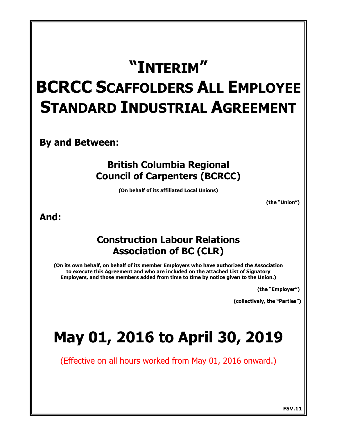# **"INTERIM" BCRCC SCAFFOLDERS ALL EMPLOYEE STANDARD INDUSTRIAL AGREEMENT**

**By and Between:**

## **British Columbia Regional Council of Carpenters (BCRCC)**

**(On behalf of its affiliated Local Unions)**

**(the "Union")** 

**And:**

## **Construction Labour Relations Association of BC (CLR)**

**(On its own behalf, on behalf of its member Employers who have authorized the Association to execute this Agreement and who are included on the attached List of Signatory Employers, and those members added from time to time by notice given to the Union.)**

**(the "Employer")** 

**(collectively, the "Parties")** 

# **May 01, 2016 to April 30, 2019**

(Effective on all hours worked from May 01, 2016 onward.)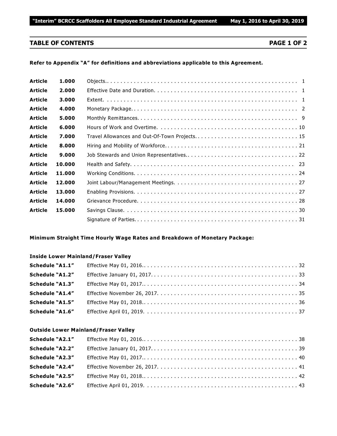### **TABLE OF CONTENTS PAGE 1 OF 2**

### **Refer to Appendix "A" for definitions and abbreviations applicable to this Agreement.**

| <b>Article</b> | 1.000  |                                               |
|----------------|--------|-----------------------------------------------|
| <b>Article</b> | 2.000  |                                               |
| <b>Article</b> | 3.000  |                                               |
| <b>Article</b> | 4.000  |                                               |
| <b>Article</b> | 5.000  |                                               |
| <b>Article</b> | 6.000  |                                               |
| <b>Article</b> | 7.000  | Travel Allowances and Out-Of-Town Projects 15 |
| <b>Article</b> | 8.000  |                                               |
| <b>Article</b> | 9.000  |                                               |
| <b>Article</b> | 10.000 |                                               |
| <b>Article</b> | 11.000 |                                               |
| <b>Article</b> | 12.000 |                                               |
| <b>Article</b> | 13.000 |                                               |
| <b>Article</b> | 14.000 |                                               |
| <b>Article</b> | 15.000 |                                               |
|                |        |                                               |

### **Minimum Straight Time Hourly Wage Rates and Breakdown of Monetary Package:**

### **Inside Lower Mainland/Fraser Valley**

| Schedule "A1.1"        |  |
|------------------------|--|
| Schedule "A1.2"        |  |
| Schedule "A1.3"        |  |
| Schedule "A1.4"        |  |
| <b>Schedule "A1.5"</b> |  |
| <b>Schedule "A1.6"</b> |  |

### **Outside Lower Mainland/Fraser Valley**

| Schedule "A2.1"        |  |
|------------------------|--|
| Schedule "A2.2"        |  |
| <b>Schedule "A2.3"</b> |  |
| Schedule "A2.4"        |  |
| <b>Schedule "A2.5"</b> |  |
| <b>Schedule "A2.6"</b> |  |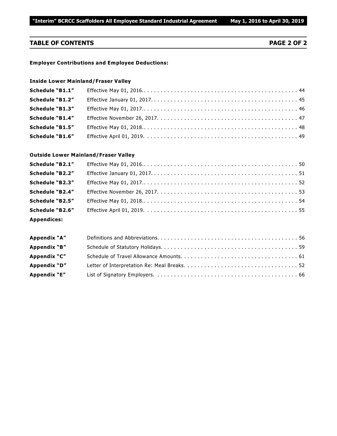### **TABLE OF CONTENTS PAGE 2 OF 2**

### **Employer Contributions and Employee Deductions:**

### **Inside Lower Mainland/Fraser Valley**

| Schedule "B1.1"        |  |
|------------------------|--|
| Schedule "B1.2"        |  |
| <b>Schedule "B1.3"</b> |  |
| <b>Schedule "B1.4"</b> |  |
| Schedule "B1.5"        |  |
| <b>Schedule "B1.6"</b> |  |

### **Outside Lower Mainland/Fraser Valley**

| Schedule "B2.1"        |  |
|------------------------|--|
| Schedule "B2.2"        |  |
| Schedule "B2.3"        |  |
| <b>Schedule "B2.4"</b> |  |
| Schedule "B2.5"        |  |
| <b>Schedule "B2.6"</b> |  |
| <b>Appendices:</b>     |  |

| Appendix "A" |  |
|--------------|--|
| Appendix "B" |  |
| Appendix "C" |  |
| Appendix "D" |  |
| Appendix "E" |  |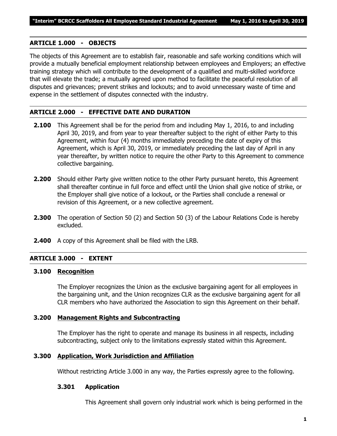### **ARTICLE 1.000 - OBJECTS**

The objects of this Agreement are to establish fair, reasonable and safe working conditions which will provide a mutually beneficial employment relationship between employees and Employers; an effective training strategy which will contribute to the development of a qualified and multi-skilled workforce that will elevate the trade; a mutually agreed upon method to facilitate the peaceful resolution of all disputes and grievances; prevent strikes and lockouts; and to avoid unnecessary waste of time and expense in the settlement of disputes connected with the industry.

### **ARTICLE 2.000 - EFFECTIVE DATE AND DURATION**

- **2.100** This Agreement shall be for the period from and including May 1, 2016, to and including April 30, 2019, and from year to year thereafter subject to the right of either Party to this Agreement, within four (4) months immediately preceding the date of expiry of this Agreement, which is April 30, 2019, or immediately preceding the last day of April in any year thereafter, by written notice to require the other Party to this Agreement to commence collective bargaining.
- **2.200** Should either Party give written notice to the other Party pursuant hereto, this Agreement shall thereafter continue in full force and effect until the Union shall give notice of strike, or the Employer shall give notice of a lockout, or the Parties shall conclude a renewal or revision of this Agreement, or a new collective agreement.
- **2.300** The operation of Section 50 (2) and Section 50 (3) of the *Labour Relations Code* is hereby excluded.
- **2.400** A copy of this Agreement shall be filed with the LRB.

### **ARTICLE 3.000 - EXTENT**

### **3.100 Recognition**

The Employer recognizes the Union as the exclusive bargaining agent for all employees in the bargaining unit, and the Union recognizes CLR as the exclusive bargaining agent for all CLR members who have authorized the Association to sign this Agreement on their behalf.

### **3.200 Management Rights and Subcontracting**

The Employer has the right to operate and manage its business in all respects, including subcontracting, subject only to the limitations expressly stated within this Agreement.

### **3.300 Application, Work Jurisdiction and Affiliation**

Without restricting Article 3.000 in any way, the Parties expressly agree to the following.

### **3.301 Application**

This Agreement shall govern only industrial work which is being performed in the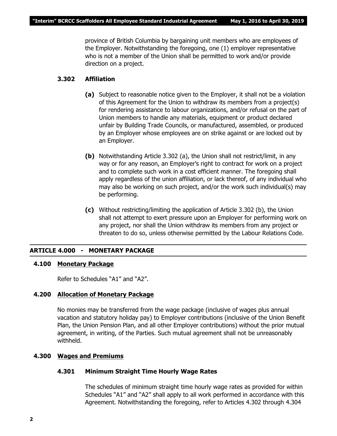province of British Columbia by bargaining unit members who are employees of the Employer. Notwithstanding the foregoing, one (1) employer representative who is not a member of the Union shall be permitted to work and/or provide direction on a project.

### **3.302 Affiliation**

- **(a)** Subject to reasonable notice given to the Employer, it shall not be a violation of this Agreement for the Union to withdraw its members from a project(s) for rendering assistance to labour organizations, and/or refusal on the part of Union members to handle any materials, equipment or product declared unfair by Building Trade Councils, or manufactured, assembled, or produced by an Employer whose employees are on strike against or are locked out by an Employer.
- **(b)** Notwithstanding Article 3.302 (a), the Union shall not restrict/limit, in any way or for any reason, an Employer's right to contract for work on a project and to complete such work in a cost efficient manner. The foregoing shall apply regardless of the union affiliation, or lack thereof, of any individual who may also be working on such project, and/or the work such individual(s) may be performing.
- **(c)** Without restricting/limiting the application of Article 3.302 (b), the Union shall not attempt to exert pressure upon an Employer for performing work on any project, nor shall the Union withdraw its members from any project or threaten to do so, unless otherwise permitted by the *Labour Relations Code*.

### **ARTICLE 4.000 - MONETARY PACKAGE**

### **4.100 Monetary Package**

Refer to Schedules "A1" and "A2".

### **4.200 Allocation of Monetary Package**

No monies may be transferred from the wage package (inclusive of wages plus annual vacation and statutory holiday pay) to Employer contributions (inclusive of the Union Benefit Plan, the Union Pension Plan, and all other Employer contributions) without the prior mutual agreement, in writing, of the Parties. Such mutual agreement shall not be unreasonably withheld.

### **4.300 Wages and Premiums**

### **4.301 Minimum Straight Time Hourly Wage Rates**

The schedules of minimum straight time hourly wage rates as provided for within Schedules "A1" and "A2" shall apply to all work performed in accordance with this Agreement. Notwithstanding the foregoing, refer to Articles 4.302 through 4.304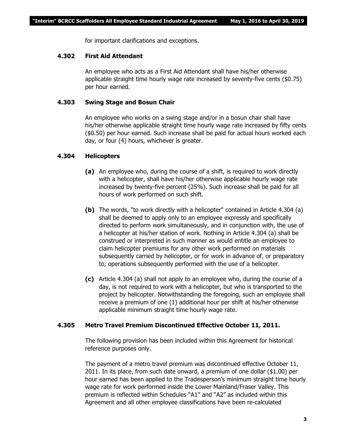for important clarifications and exceptions.

### **4.302 First Aid Attendant**

An employee who acts as a First Aid Attendant shall have his/her otherwise applicable straight time hourly wage rate increased by seventy-five cents (\$0.75) per hour earned.

### **4.303 Swing Stage and Bosun Chair**

An employee who works on a swing stage and/or in a bosun chair shall have his/her otherwise applicable straight time hourly wage rate increased by fifty cents (\$0.50) per hour earned. Such increase shall be paid for actual hours worked each day, or four (4) hours, whichever is greater.

### **4.304 Helicopters**

- **(a)** An employee who, during the course of a shift, is required to work directly with a helicopter, shall have his/her otherwise applicable hourly wage rate increased by twenty-five percent (25%). Such increase shall be paid for all hours of work performed on such shift.
- **(b)** The words, "to work directly with a helicopter" contained in Article 4.304 (a) shall be deemed to apply only to an employee expressly and specifically directed to perform work simultaneously, and in conjunction with, the use of a helicopter at his/her station of work. Nothing in Article 4.304 (a) shall be construed or interpreted in such manner as would entitle an employee to claim helicopter premiums for any other work performed on materials subsequently carried by helicopter, or for work in advance of, or preparatory to, operations subsequently performed with the use of a helicopter.
- **(c)** Article 4.304 (a) shall not apply to an employee who, during the course of a day, is not required to work with a helicopter, but who is transported to the project by helicopter. Notwithstanding the foregoing, such an employee shall receive a premium of one (1) additional hour per shift at his/her otherwise applicable minimum straight time hourly wage rate.

### **4.305 Metro Travel Premium Discontinued Effective October 11, 2011.**

The following provision has been included within this Agreement for historical reference purposes only.

The payment of a metro travel premium was discontinued effective October 11, 2011. In its place, from such date onward, a premium of one dollar (\$1.00) per hour earned has been applied to the Tradesperson's minimum straight time hourly wage rate for work performed inside the Lower Mainland/Fraser Valley. This premium is reflected within Schedules "A1" and "A2" as included within this Agreement and all other employee classifications have been re-calculated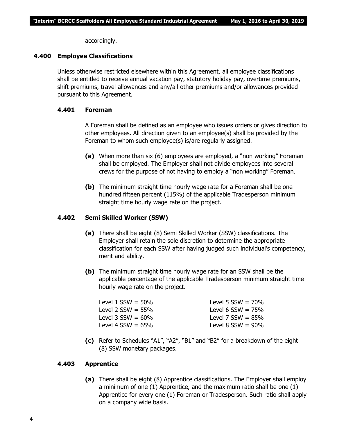accordingly.

### **4.400 Employee Classifications**

Unless otherwise restricted elsewhere within this Agreement, all employee classifications shall be entitled to receive annual vacation pay, statutory holiday pay, overtime premiums, shift premiums, travel allowances and any/all other premiums and/or allowances provided pursuant to this Agreement.

### **4.401 Foreman**

A Foreman shall be defined as an employee who issues orders or gives direction to other employees. All direction given to an employee(s) shall be provided by the Foreman to whom such employee(s) is/are regularly assigned.

- **(a)** When more than six (6) employees are employed, a "non working" Foreman shall be employed. The Employer shall not divide employees into several crews for the purpose of not having to employ a "non working" Foreman.
- **(b)** The minimum straight time hourly wage rate for a Foreman shall be one hundred fifteen percent (115%) of the applicable Tradesperson minimum straight time hourly wage rate on the project.

### **4.402 Semi Skilled Worker (SSW)**

- **(a)** There shall be eight (8) Semi Skilled Worker (SSW) classifications. The Employer shall retain the sole discretion to determine the appropriate classification for each SSW after having judged such individual's competency, merit and ability.
- **(b)** The minimum straight time hourly wage rate for an SSW shall be the applicable percentage of the applicable Tradesperson minimum straight time hourly wage rate on the project.

| Level $1$ SSW = 50% | Level 5 $SSW = 70\%$   |
|---------------------|------------------------|
| Level 2 SSW = 55%   | Level 6 $SSW = 75%$    |
| Level 3 SSW = 60%   | Level 7 $SSW = 85%$    |
| Level 4 SSW = 65%   | Level $8$ SSW = $90\%$ |
|                     |                        |

**(c)** Refer to Schedules "A1", "A2", "B1" and "B2" for a breakdown of the eight (8) SSW monetary packages.

### **4.403 Apprentice**

**(a)** There shall be eight (8) Apprentice classifications. The Employer shall employ a minimum of one (1) Apprentice, and the maximum ratio shall be one (1) Apprentice for every one (1) Foreman or Tradesperson. Such ratio shall apply on a company wide basis.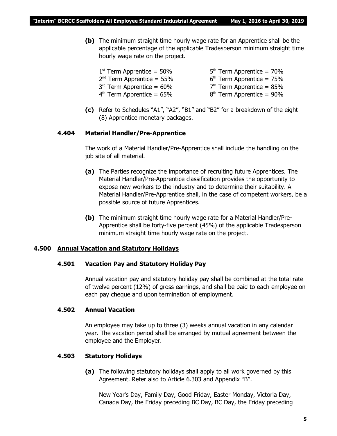**(b)** The minimum straight time hourly wage rate for an Apprentice shall be the applicable percentage of the applicable Tradesperson minimum straight time hourly wage rate on the project.

| $5th$ Term Apprentice = 70% |
|-----------------------------|
| $6th$ Term Apprentice = 75% |
| $7th$ Term Apprentice = 85% |
| $8th$ Term Apprentice = 90% |
|                             |

**(c)** Refer to Schedules "A1", "A2", "B1" and "B2" for a breakdown of the eight (8) Apprentice monetary packages.

### **4.404 Material Handler/Pre-Apprentice**

The work of a Material Handler/Pre-Apprentice shall include the handling on the job site of all material.

- **(a)** The Parties recognize the importance of recruiting future Apprentices. The Material Handler/Pre-Apprentice classification provides the opportunity to expose new workers to the industry and to determine their suitability. A Material Handler/Pre-Apprentice shall, in the case of competent workers, be a possible source of future Apprentices.
- **(b)** The minimum straight time hourly wage rate for a Material Handler/Pre-Apprentice shall be forty-five percent (45%) of the applicable Tradesperson minimum straight time hourly wage rate on the project.

### **4.500 Annual Vacation and Statutory Holidays**

### **4.501 Vacation Pay and Statutory Holiday Pay**

Annual vacation pay and statutory holiday pay shall be combined at the total rate of twelve percent (12%) of gross earnings, and shall be paid to each employee on each pay cheque and upon termination of employment.

### **4.502 Annual Vacation**

An employee may take up to three (3) weeks annual vacation in any calendar year. The vacation period shall be arranged by mutual agreement between the employee and the Employer.

### **4.503 Statutory Holidays**

**(a)** The following statutory holidays shall apply to all work governed by this Agreement. Refer also to Article 6.303 and Appendix "B".

New Year's Day, Family Day, Good Friday, Easter Monday, Victoria Day, Canada Day, the Friday preceding BC Day, BC Day, the Friday preceding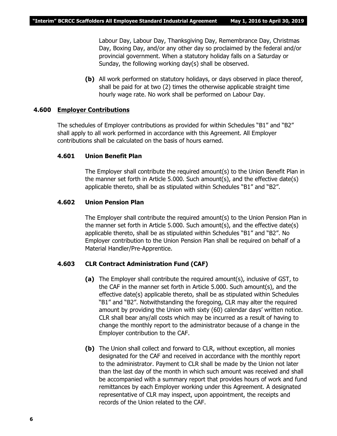Labour Day, Labour Day, Thanksgiving Day, Remembrance Day, Christmas Day, Boxing Day, and/or any other day so proclaimed by the federal and/or provincial government. When a statutory holiday falls on a Saturday or Sunday, the following working day(s) shall be observed.

**(b)** All work performed on statutory holidays, or days observed in place thereof, shall be paid for at two (2) times the otherwise applicable straight time hourly wage rate. No work shall be performed on Labour Day.

### **4.600 Employer Contributions**

The schedules of Employer contributions as provided for within Schedules "B1" and "B2" shall apply to all work performed in accordance with this Agreement. All Employer contributions shall be calculated on the basis of hours earned.

### **4.601 Union Benefit Plan**

The Employer shall contribute the required amount(s) to the Union Benefit Plan in the manner set forth in Article 5.000. Such amount(s), and the effective date(s) applicable thereto, shall be as stipulated within Schedules "B1" and "B2".

### **4.602 Union Pension Plan**

The Employer shall contribute the required amount(s) to the Union Pension Plan in the manner set forth in Article 5.000. Such amount(s), and the effective date(s) applicable thereto, shall be as stipulated within Schedules "B1" and "B2". No Employer contribution to the Union Pension Plan shall be required on behalf of a Material Handler/Pre-Apprentice.

### **4.603 CLR Contract Administration Fund (CAF)**

- **(a)** The Employer shall contribute the required amount(s), inclusive of GST, to the CAF in the manner set forth in Article 5.000. Such amount(s), and the effective date(s) applicable thereto, shall be as stipulated within Schedules "B1" and "B2". Notwithstanding the foregoing, CLR may alter the required amount by providing the Union with sixty (60) calendar days' written notice. CLR shall bear any/all costs which may be incurred as a result of having to change the monthly report to the administrator because of a change in the Employer contribution to the CAF.
- **(b)** The Union shall collect and forward to CLR, without exception, all monies designated for the CAF and received in accordance with the monthly report to the administrator. Payment to CLR shall be made by the Union not later than the last day of the month in which such amount was received and shall be accompanied with a summary report that provides hours of work and fund remittances by each Employer working under this Agreement. A designated representative of CLR may inspect, upon appointment, the receipts and records of the Union related to the CAF.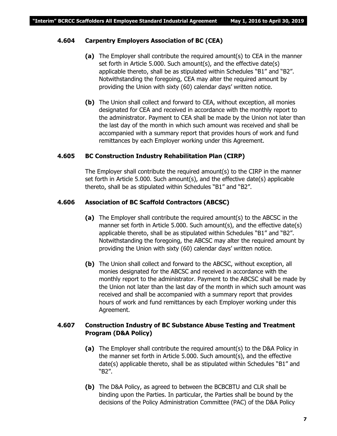### **4.604 Carpentry Employers Association of BC (CEA)**

- **(a)** The Employer shall contribute the required amount(s) to CEA in the manner set forth in Article 5.000. Such amount(s), and the effective date(s) applicable thereto, shall be as stipulated within Schedules "B1" and "B2". Notwithstanding the foregoing, CEA may alter the required amount by providing the Union with sixty (60) calendar days' written notice.
- **(b)** The Union shall collect and forward to CEA, without exception, all monies designated for CEA and received in accordance with the monthly report to the administrator. Payment to CEA shall be made by the Union not later than the last day of the month in which such amount was received and shall be accompanied with a summary report that provides hours of work and fund remittances by each Employer working under this Agreement.

### **4.605 BC Construction Industry Rehabilitation Plan (CIRP)**

The Employer shall contribute the required amount(s) to the CIRP in the manner set forth in Article 5.000. Such amount(s), and the effective date(s) applicable thereto, shall be as stipulated within Schedules "B1" and "B2".

### **4.606 Association of BC Scaffold Contractors (ABCSC)**

- **(a)** The Employer shall contribute the required amount(s) to the ABCSC in the manner set forth in Article 5.000. Such amount(s), and the effective date(s) applicable thereto, shall be as stipulated within Schedules "B1" and "B2". Notwithstanding the foregoing, the ABCSC may alter the required amount by providing the Union with sixty (60) calendar days' written notice.
- **(b)** The Union shall collect and forward to the ABCSC, without exception, all monies designated for the ABCSC and received in accordance with the monthly report to the administrator. Payment to the ABCSC shall be made by the Union not later than the last day of the month in which such amount was received and shall be accompanied with a summary report that provides hours of work and fund remittances by each Employer working under this Agreement.

### **4.607 Construction Industry of BC Substance Abuse Testing and Treatment Program (D&A Policy)**

- **(a)** The Employer shall contribute the required amount(s) to the D&A Policy in the manner set forth in Article 5.000. Such amount(s), and the effective date(s) applicable thereto, shall be as stipulated within Schedules "B1" and "B2".
- **(b)** The D&A Policy, as agreed to between the BCBCBTU and CLR shall be binding upon the Parties. In particular, the Parties shall be bound by the decisions of the Policy Administration Committee (PAC) of the D&A Policy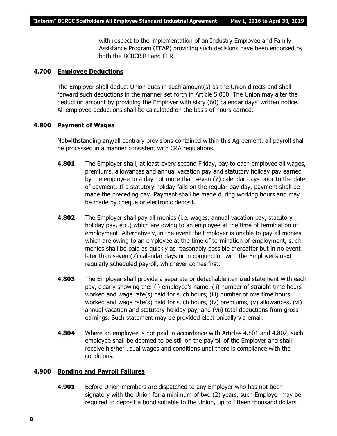with respect to the implementation of an Industry Employee and Family Assistance Program (EFAP) providing such decisions have been endorsed by both the BCBCBTU and CLR.

### **4.700 Employee Deductions**

The Employer shall deduct Union dues in such amount(s) as the Union directs and shall forward such deductions in the manner set forth in Article 5.000. The Union may alter the deduction amount by providing the Employer with sixty (60) calendar days' written notice. All employee deductions shall be calculated on the basis of hours earned.

### **4.800 Payment of Wages**

Notwithstanding any/all contrary provisions contained within this Agreement, all payroll shall be processed in a manner consistent with CRA regulations.

- **4.801** The Employer shall, at least every second Friday, pay to each employee all wages, premiums, allowances and annual vacation pay and statutory holiday pay earned by the employee to a day not more than seven (7) calendar days prior to the date of payment. If a statutory holiday falls on the regular pay day, payment shall be made the preceding day. Payment shall be made during working hours and may be made by cheque or electronic deposit.
- **4.802** The Employer shall pay all monies (i.e. wages, annual vacation pay, statutory holiday pay, etc.) which are owing to an employee at the time of termination of employment. Alternatively, in the event the Employer is unable to pay all monies which are owing to an employee at the time of termination of employment, such monies shall be paid as quickly as reasonably possible thereafter but in no event later than seven (7) calendar days or in conjunction with the Employer's next regularly scheduled payroll, whichever comes first.
- **4.803** The Employer shall provide a separate or detachable itemized statement with each pay, clearly showing the: (i) employee's name, (ii) number of straight time hours worked and wage rate(s) paid for such hours, (iii) number of overtime hours worked and wage rate(s) paid for such hours, (iv) premiums, (v) allowances, (vi) annual vacation and statutory holiday pay, and (vii) total deductions from gross earnings. Such statement may be provided electronically via email.
- **4.804** Where an employee is not paid in accordance with Articles 4.801 and 4.802, such employee shall be deemed to be still on the payroll of the Employer and shall receive his/her usual wages and conditions until there is compliance with the conditions.

### **4.900 Bonding and Payroll Failures**

**4.901** Before Union members are dispatched to any Employer who has not been signatory with the Union for a minimum of two (2) years, such Employer may be required to deposit a bond suitable to the Union, up to fifteen thousand dollars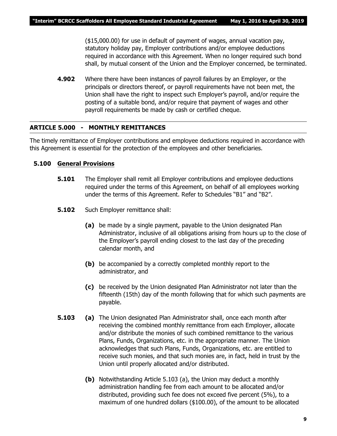(\$15,000.00) for use in default of payment of wages, annual vacation pay, statutory holiday pay, Employer contributions and/or employee deductions required in accordance with this Agreement. When no longer required such bond shall, by mutual consent of the Union and the Employer concerned, be terminated.

**4.902** Where there have been instances of payroll failures by an Employer, or the principals or directors thereof, or payroll requirements have not been met, the Union shall have the right to inspect such Employer's payroll, and/or require the posting of a suitable bond, and/or require that payment of wages and other payroll requirements be made by cash or certified cheque.

### **ARTICLE 5.000 - MONTHLY REMITTANCES**

The timely remittance of Employer contributions and employee deductions required in accordance with this Agreement is essential for the protection of the employees and other beneficiaries.

### **5.100 General Provisions**

- **5.101** The Employer shall remit all Employer contributions and employee deductions required under the terms of this Agreement, on behalf of all employees working under the terms of this Agreement. Refer to Schedules "B1" and "B2".
- **5.102** Such Employer remittance shall:
	- **(a)** be made by a single payment, payable to the Union designated Plan Administrator, inclusive of all obligations arising from hours up to the close of the Employer's payroll ending closest to the last day of the preceding calendar month, and
	- **(b)** be accompanied by a correctly completed monthly report to the administrator, and
	- **(c)** be received by the Union designated Plan Administrator not later than the fifteenth (15th) day of the month following that for which such payments are payable.
- **5.103 (a)** The Union designated Plan Administrator shall, once each month after receiving the combined monthly remittance from each Employer, allocate and/or distribute the monies of such combined remittance to the various Plans, Funds, Organizations, etc. in the appropriate manner. The Union acknowledges that such Plans, Funds, Organizations, etc. are entitled to receive such monies, and that such monies are, in fact, held in trust by the Union until properly allocated and/or distributed.
	- **(b)** Notwithstanding Article 5.103 (a), the Union may deduct a monthly administration handling fee from each amount to be allocated and/or distributed, providing such fee does not exceed five percent (5%), to a maximum of one hundred dollars (\$100.00), of the amount to be allocated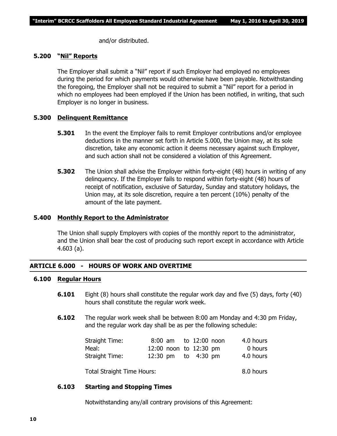and/or distributed.

### **5.200 "Nil" Reports**

The Employer shall submit a "Nil" report if such Employer had employed no employees during the period for which payments would otherwise have been payable. Notwithstanding the foregoing, the Employer shall not be required to submit a "Nil" report for a period in which no employees had been employed if the Union has been notified, in writing, that such Employer is no longer in business.

### **5.300 Delinquent Remittance**

- **5.301** In the event the Employer fails to remit Employer contributions and/or employee deductions in the manner set forth in Article 5.000, the Union may, at its sole discretion, take any economic action it deems necessary against such Employer, and such action shall not be considered a violation of this Agreement.
- **5.302** The Union shall advise the Employer within forty-eight (48) hours in writing of any delinquency. If the Employer fails to respond within forty-eight (48) hours of receipt of notification, exclusive of Saturday, Sunday and statutory holidays, the Union may, at its sole discretion, require a ten percent (10%) penalty of the amount of the late payment.

### **5.400 Monthly Report to the Administrator**

The Union shall supply Employers with copies of the monthly report to the administrator, and the Union shall bear the cost of producing such report except in accordance with Article 4.603 (a).

### **ARTICLE 6.000 - HOURS OF WORK AND OVERTIME**

### **6.100 Regular Hours**

- **6.101** Eight (8) hours shall constitute the regular work day and five (5) days, forty (40) hours shall constitute the regular work week.
- **6.102** The regular work week shall be between 8:00 am Monday and 4:30 pm Friday, and the regular work day shall be as per the following schedule:

| Straight Time: |  | 8:00 am to 12:00 noon  | 4.0 hours |
|----------------|--|------------------------|-----------|
| Meal:          |  | 12:00 noon to 12:30 pm | 0 hours   |
| Straight Time: |  | 12:30 pm to 4:30 pm    | 4.0 hours |
|                |  |                        |           |

Total Straight Time Hours: 8.0 hours

### **6.103 Starting and Stopping Times**

Notwithstanding any/all contrary provisions of this Agreement: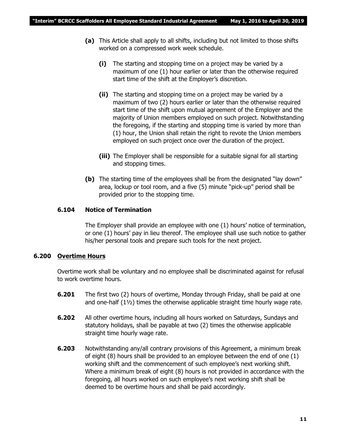- **(a)** This Article shall apply to all shifts, including but not limited to those shifts worked on a compressed work week schedule.
	- **(i)** The starting and stopping time on a project may be varied by a maximum of one (1) hour earlier or later than the otherwise required start time of the shift at the Employer's discretion.
	- **(ii)** The starting and stopping time on a project may be varied by a maximum of two (2) hours earlier or later than the otherwise required start time of the shift upon mutual agreement of the Employer and the majority of Union members employed on such project. Notwithstanding the foregoing, if the starting and stopping time is varied by more than (1) hour, the Union shall retain the right to revote the Union members employed on such project once over the duration of the project.
	- **(iii)** The Employer shall be responsible for a suitable signal for all starting and stopping times.
- **(b)** The starting time of the employees shall be from the designated "lay down" area, lockup or tool room, and a five (5) minute "pick-up" period shall be provided prior to the stopping time.

### **6.104 Notice of Termination**

The Employer shall provide an employee with one (1) hours' notice of termination, or one (1) hours' pay in lieu thereof. The employee shall use such notice to gather his/her personal tools and prepare such tools for the next project.

### **6.200 Overtime Hours**

Overtime work shall be voluntary and no employee shall be discriminated against for refusal to work overtime hours.

- **6.201** The first two (2) hours of overtime, Monday through Friday, shall be paid at one and one-half  $(1\frac{1}{2})$  times the otherwise applicable straight time hourly wage rate.
- **6.202** All other overtime hours, including all hours worked on Saturdays, Sundays and statutory holidays, shall be payable at two (2) times the otherwise applicable straight time hourly wage rate.
- **6.203** Notwithstanding any/all contrary provisions of this Agreement, a minimum break of eight (8) hours shall be provided to an employee between the end of one (1) working shift and the commencement of such employee's next working shift. Where a minimum break of eight (8) hours is not provided in accordance with the foregoing, all hours worked on such employee's next working shift shall be deemed to be overtime hours and shall be paid accordingly.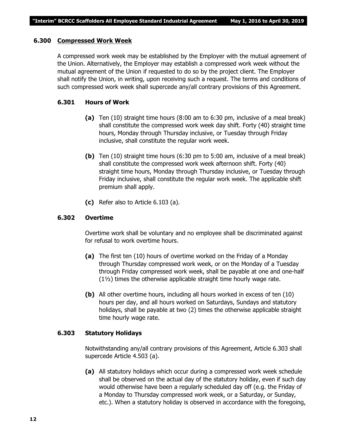### **6.300 Compressed Work Week**

A compressed work week may be established by the Employer with the mutual agreement of the Union. Alternatively, the Employer may establish a compressed work week without the mutual agreement of the Union if requested to do so by the project client. The Employer shall notify the Union, in writing, upon receiving such a request. The terms and conditions of such compressed work week shall supercede any/all contrary provisions of this Agreement.

### **6.301 Hours of Work**

- **(a)** Ten (10) straight time hours (8:00 am to 6:30 pm, inclusive of a meal break) shall constitute the compressed work week day shift. Forty (40) straight time hours, Monday through Thursday inclusive, or Tuesday through Friday inclusive, shall constitute the regular work week.
- **(b)** Ten (10) straight time hours (6:30 pm to 5:00 am, inclusive of a meal break) shall constitute the compressed work week afternoon shift. Forty (40) straight time hours, Monday through Thursday inclusive, or Tuesday through Friday inclusive, shall constitute the regular work week. The applicable shift premium shall apply.
- **(c)** Refer also to Article 6.103 (a).

### **6.302 Overtime**

Overtime work shall be voluntary and no employee shall be discriminated against for refusal to work overtime hours.

- **(a)** The first ten (10) hours of overtime worked on the Friday of a Monday through Thursday compressed work week, or on the Monday of a Tuesday through Friday compressed work week, shall be payable at one and one-half (1½) times the otherwise applicable straight time hourly wage rate.
- **(b)** All other overtime hours, including all hours worked in excess of ten (10) hours per day, and all hours worked on Saturdays, Sundays and statutory holidays, shall be payable at two (2) times the otherwise applicable straight time hourly wage rate.

### **6.303 Statutory Holidays**

Notwithstanding any/all contrary provisions of this Agreement, Article 6.303 shall supercede Article 4.503 (a).

**(a)** All statutory holidays which occur during a compressed work week schedule shall be observed on the actual day of the statutory holiday, even if such day would otherwise have been a regularly scheduled day off (e.g. the Friday of a Monday to Thursday compressed work week, or a Saturday, or Sunday, etc.). When a statutory holiday is observed in accordance with the foregoing,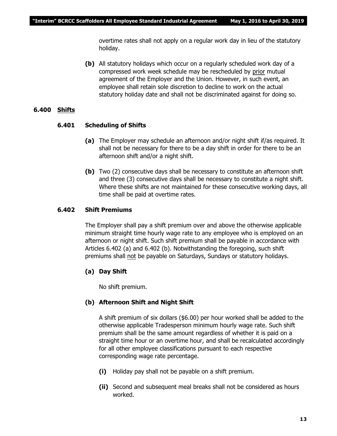overtime rates shall not apply on a regular work day in lieu of the statutory holiday.

**(b)** All statutory holidays which occur on a regularly scheduled work day of a compressed work week schedule may be rescheduled by prior mutual agreement of the Employer and the Union. However, in such event, an employee shall retain sole discretion to decline to work on the actual statutory holiday date and shall not be discriminated against for doing so.

### **6.400 Shifts**

### **6.401 Scheduling of Shifts**

- **(a)** The Employer may schedule an afternoon and/or night shift if/as required. It shall not be necessary for there to be a day shift in order for there to be an afternoon shift and/or a night shift.
- **(b)** Two (2) consecutive days shall be necessary to constitute an afternoon shift and three (3) consecutive days shall be necessary to constitute a night shift. Where these shifts are not maintained for these consecutive working days, all time shall be paid at overtime rates.

### **6.402 Shift Premiums**

The Employer shall pay a shift premium over and above the otherwise applicable minimum straight time hourly wage rate to any employee who is employed on an afternoon or night shift. Such shift premium shall be payable in accordance with Articles 6.402 (a) and 6.402 (b). Notwithstanding the foregoing, such shift premiums shall not be payable on Saturdays, Sundays or statutory holidays.

### **(a) Day Shift**

No shift premium.

### **(b) Afternoon Shift and Night Shift**

A shift premium of six dollars (\$6.00) per hour worked shall be added to the otherwise applicable Tradesperson minimum hourly wage rate. Such shift premium shall be the same amount regardless of whether it is paid on a straight time hour or an overtime hour, and shall be recalculated accordingly for all other employee classifications pursuant to each respective corresponding wage rate percentage.

- **(i)** Holiday pay shall not be payable on a shift premium.
- **(ii)** Second and subsequent meal breaks shall not be considered as hours worked.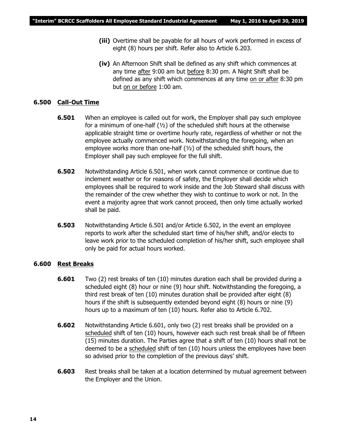- **(iii)** Overtime shall be payable for all hours of work performed in excess of eight (8) hours per shift. Refer also to Article 6.203.
- **(iv)** An Afternoon Shift shall be defined as any shift which commences at any time after 9:00 am but before 8:30 pm. A Night Shift shall be defined as any shift which commences at any time on or after 8:30 pm but on or before 1:00 am.

### **6.500 Call-Out Time**

- **6.501** When an employee is called out for work, the Employer shall pay such employee for a minimum of one-half  $(y_2)$  of the scheduled shift hours at the otherwise applicable straight time or overtime hourly rate, regardless of whether or not the employee actually commenced work. Notwithstanding the foregoing, when an employee works more than one-half  $(1/2)$  of the scheduled shift hours, the Employer shall pay such employee for the full shift.
- **6.502** Notwithstanding Article 6.501, when work cannot commence or continue due to inclement weather or for reasons of safety, the Employer shall decide which employees shall be required to work inside and the Job Steward shall discuss with the remainder of the crew whether they wish to continue to work or not. In the event a majority agree that work cannot proceed, then only time actually worked shall be paid.
- **6.503** Notwithstanding Article 6.501 and/or Article 6.502, in the event an employee reports to work after the scheduled start time of his/her shift, and/or elects to leave work prior to the scheduled completion of his/her shift, such employee shall only be paid for actual hours worked.

### **6.600 Rest Breaks**

- **6.601** Two (2) rest breaks of ten (10) minutes duration each shall be provided during a scheduled eight (8) hour or nine (9) hour shift. Notwithstanding the foregoing, a third rest break of ten (10) minutes duration shall be provided after eight (8) hours if the shift is subsequently extended beyond eight (8) hours or nine (9) hours up to a maximum of ten (10) hours. Refer also to Article 6.702.
- **6.602** Notwithstanding Article 6.601, only two (2) rest breaks shall be provided on a scheduled shift of ten (10) hours, however each such rest break shall be of fifteen (15) minutes duration. The Parties agree that a shift of ten (10) hours shall not be deemed to be a scheduled shift of ten (10) hours unless the employees have been so advised prior to the completion of the previous days' shift.
- **6.603** Rest breaks shall be taken at a location determined by mutual agreement between the Employer and the Union.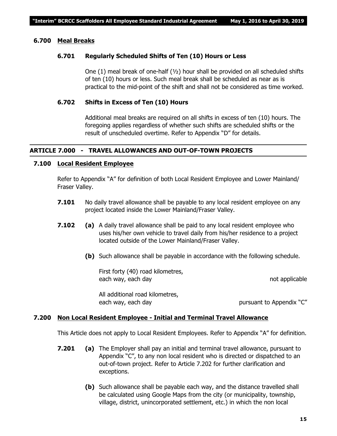### **6.700 Meal Breaks**

### **6.701 Regularly Scheduled Shifts of Ten (10) Hours or Less**

One (1) meal break of one-half  $(v_2)$  hour shall be provided on all scheduled shifts of ten (10) hours or less. Such meal break shall be scheduled as near as is practical to the mid-point of the shift and shall not be considered as time worked.

### **6.702 Shifts in Excess of Ten (10) Hours**

Additional meal breaks are required on all shifts in excess of ten (10) hours. The foregoing applies regardless of whether such shifts are scheduled shifts or the result of unscheduled overtime. Refer to Appendix "D" for details.

### **ARTICLE 7.000 - TRAVEL ALLOWANCES AND OUT-OF-TOWN PROJECTS**

### **7.100 Local Resident Employee**

Refer to Appendix "A" for definition of both Local Resident Employee and Lower Mainland/ Fraser Valley.

- **7.101** No daily travel allowance shall be payable to any local resident employee on any project located inside the Lower Mainland/Fraser Valley.
- **7.102 (a)** A daily travel allowance shall be paid to any local resident employee who uses his/her own vehicle to travel daily from his/her residence to a project located outside of the Lower Mainland/Fraser Valley.
	- **(b)** Such allowance shall be payable in accordance with the following schedule.

First forty (40) road kilometres, each way, each day not applicable

All additional road kilometres, each way, each day but be pursuant to Appendix "C"

### **7.200 Non Local Resident Employee - Initial and Terminal Travel Allowance**

This Article does not apply to Local Resident Employees. Refer to Appendix "A" for definition.

- **7.201 (a)** The Employer shall pay an initial and terminal travel allowance, pursuant to Appendix "C", to any non local resident who is directed or dispatched to an out-of-town project. Refer to Article 7.202 for further clarification and exceptions.
	- **(b)** Such allowance shall be payable each way, and the distance travelled shall be calculated using Google Maps from the city (or municipality, township, village, district, unincorporated settlement, etc.) in which the non local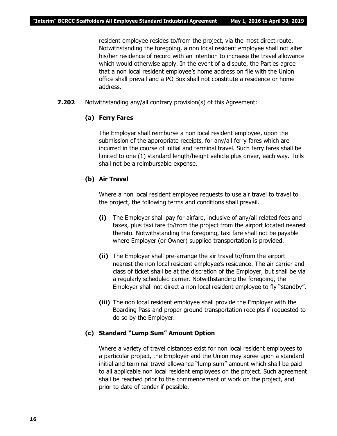resident employee resides to/from the project, via the most direct route. Notwithstanding the foregoing, a non local resident employee shall not alter his/her residence of record with an intention to increase the travel allowance which would otherwise apply. In the event of a dispute, the Parties agree that a non local resident employee's home address on file with the Union office shall prevail and a PO Box shall not constitute a residence or home address.

**7.202** Notwithstanding any/all contrary provision(s) of this Agreement:

### **(a) Ferry Fares**

The Employer shall reimburse a non local resident employee, upon the submission of the appropriate receipts, for any/all ferry fares which are incurred in the course of initial and terminal travel. Such ferry fares shall be limited to one (1) standard length/height vehicle plus driver, each way. Tolls shall not be a reimbursable expense.

### **(b) Air Travel**

Where a non local resident employee requests to use air travel to travel to the project, the following terms and conditions shall prevail.

- **(i)** The Employer shall pay for airfare, inclusive of any/all related fees and taxes, plus taxi fare to/from the project from the airport located nearest thereto. Notwithstanding the foregoing, taxi fare shall not be payable where Employer (or Owner) supplied transportation is provided.
- **(ii)** The Employer shall pre-arrange the air travel to/from the airport nearest the non local resident employee's residence. The air carrier and class of ticket shall be at the discretion of the Employer, but shall be via a regularly scheduled carrier. Notwithstanding the foregoing, the Employer shall not direct a non local resident employee to fly "standby".
- **(iii)** The non local resident employee shall provide the Employer with the Boarding Pass and proper ground transportation receipts if requested to do so by the Employer.

### **(c) Standard "Lump Sum" Amount Option**

Where a variety of travel distances exist for non local resident employees to a particular project, the Employer and the Union may agree upon a standard initial and terminal travel allowance "lump sum" amount which shall be paid to all applicable non local resident employees on the project. Such agreement shall be reached prior to the commencement of work on the project, and prior to date of tender if possible.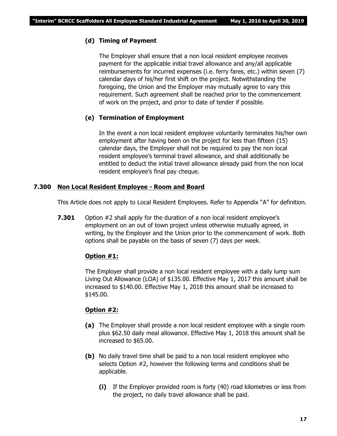### **(d) Timing of Payment**

The Employer shall ensure that a non local resident employee receives payment for the applicable initial travel allowance and any/all applicable reimbursements for incurred expenses (i.e. ferry fares, etc.) within seven (7) calendar days of his/her first shift on the project. Notwithstanding the foregoing, the Union and the Employer may mutually agree to vary this requirement. Such agreement shall be reached prior to the commencement of work on the project, and prior to date of tender if possible.

### **(e) Termination of Employment**

In the event a non local resident employee voluntarily terminates his/her own employment after having been on the project for less than fifteen (15) calendar days, the Employer shall not be required to pay the non local resident employee's terminal travel allowance, and shall additionally be entitled to deduct the initial travel allowance already paid from the non local resident employee's final pay cheque.

### **7.300 Non Local Resident Employee - Room and Board**

This Article does not apply to Local Resident Employees. Refer to Appendix "A" for definition.

**7.301** Option #2 shall apply for the duration of a non local resident employee's employment on an out of town project unless otherwise mutually agreed, in writing, by the Employer and the Union prior to the commencement of work. Both options shall be payable on the basis of seven (7) days per week.

### **Option #1:**

The Employer shall provide a non local resident employee with a daily lump sum Living Out Allowance (LOA) of \$135.00. Effective May 1, 2017 this amount shall be increased to \$140.00. Effective May 1, 2018 this amount shall be increased to \$145.00.

### **Option #2:**

- **(a)** The Employer shall provide a non local resident employee with a single room plus \$62.50 daily meal allowance. Effective May 1, 2018 this amount shall be increased to \$65.00.
- **(b)** No daily travel time shall be paid to a non local resident employee who selects Option #2, however the following terms and conditions shall be applicable.
	- **(i)** If the Employer provided room is forty (40) road kilometres or less from the project, no daily travel allowance shall be paid.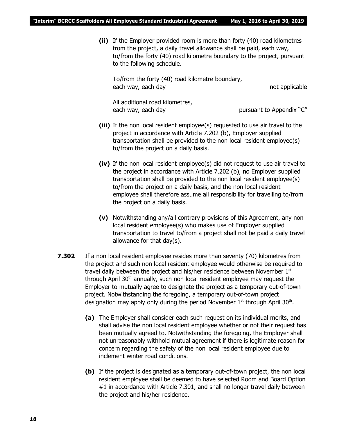**(ii)** If the Employer provided room is more than forty (40) road kilometres from the project, a daily travel allowance shall be paid, each way, to/from the forty (40) road kilometre boundary to the project, pursuant to the following schedule.

To/from the forty (40) road kilometre boundary, each way, each day not applicable

All additional road kilometres, each way, each day bursuant to Appendix "C"

- **(iii)** If the non local resident employee(s) requested to use air travel to the project in accordance with Article 7.202 (b), Employer supplied transportation shall be provided to the non local resident employee(s) to/from the project on a daily basis.
- **(iv)** If the non local resident employee(s) did not request to use air travel to the project in accordance with Article 7.202 (b), no Employer supplied transportation shall be provided to the non local resident employee(s) to/from the project on a daily basis, and the non local resident employee shall therefore assume all responsibility for travelling to/from the project on a daily basis.
- **(v)** Notwithstanding any/all contrary provisions of this Agreement, any non local resident employee(s) who makes use of Employer supplied transportation to travel to/from a project shall not be paid a daily travel allowance for that day(s).
- **7.302** If a non local resident employee resides more than seventy (70) kilometres from the project and such non local resident employee would otherwise be required to travel daily between the project and his/her residence between November  $1<sup>st</sup>$ through April 30<sup>th</sup> annually, such non local resident employee may request the Employer to mutually agree to designate the project as a temporary out-of-town project. Notwithstanding the foregoing, a temporary out-of-town project designation may apply only during the period November  $1^{st}$  through April 30<sup>th</sup>.
	- **(a)** The Employer shall consider each such request on its individual merits, and shall advise the non local resident employee whether or not their request has been mutually agreed to. Notwithstanding the foregoing, the Employer shall not unreasonably withhold mutual agreement if there is legitimate reason for concern regarding the safety of the non local resident employee due to inclement winter road conditions.
	- **(b)** If the project is designated as a temporary out-of-town project, the non local resident employee shall be deemed to have selected Room and Board Option #1 in accordance with Article 7.301, and shall no longer travel daily between the project and his/her residence.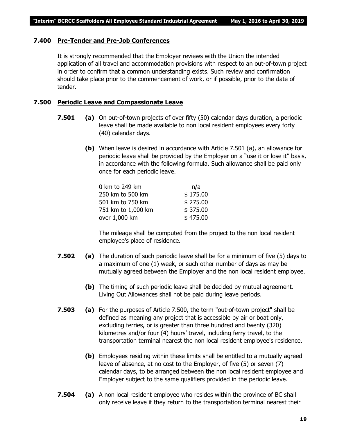### **7.400 Pre-Tender and Pre-Job Conferences**

It is strongly recommended that the Employer reviews with the Union the intended application of all travel and accommodation provisions with respect to an out-of-town project in order to confirm that a common understanding exists. Such review and confirmation should take place prior to the commencement of work, or if possible, prior to the date of tender.

### **7.500 Periodic Leave and Compassionate Leave**

- **7.501 (a)** On out-of-town projects of over fifty (50) calendar days duration, a periodic leave shall be made available to non local resident employees every forty (40) calendar days.
	- **(b)** When leave is desired in accordance with Article 7.501 (a), an allowance for periodic leave shall be provided by the Employer on a "use it or lose it" basis, in accordance with the following formula. Such allowance shall be paid only once for each periodic leave.

| 0 km to 249 km     | n/a      |
|--------------------|----------|
| 250 km to 500 km   | \$175.00 |
| 501 km to 750 km   | \$275.00 |
| 751 km to 1,000 km | \$375.00 |
| over 1,000 km      | \$475.00 |

The mileage shall be computed from the project to the non local resident employee's place of residence.

- **7.502 (a)** The duration of such periodic leave shall be for a minimum of five (5) days to a maximum of one (1) week, or such other number of days as may be mutually agreed between the Employer and the non local resident employee.
	- **(b)** The timing of such periodic leave shall be decided by mutual agreement. Living Out Allowances shall not be paid during leave periods.
- **7.503 (a)** For the purposes of Article 7.500, the term "out-of-town project" shall be defined as meaning any project that is accessible by air or boat only, excluding ferries, or is greater than three hundred and twenty (320) kilometres and/or four (4) hours' travel, including ferry travel, to the transportation terminal nearest the non local resident employee's residence.
	- **(b)** Employees residing within these limits shall be entitled to a mutually agreed leave of absence, at no cost to the Employer, of five (5) or seven (7) calendar days, to be arranged between the non local resident employee and Employer subject to the same qualifiers provided in the periodic leave.
- **7.504 (a)** A non local resident employee who resides within the province of BC shall only receive leave if they return to the transportation terminal nearest their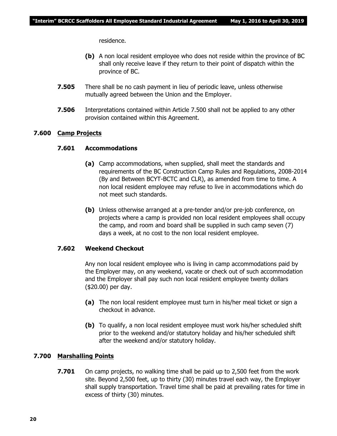residence.

- **(b)** A non local resident employee who does not reside within the province of BC shall only receive leave if they return to their point of dispatch within the province of BC.
- **7.505** There shall be no cash payment in lieu of periodic leave, unless otherwise mutually agreed between the Union and the Employer.
- **7.506** Interpretations contained within Article 7.500 shall not be applied to any other provision contained within this Agreement.

### **7.600 Camp Projects**

### **7.601 Accommodations**

- **(a)** Camp accommodations, when supplied, shall meet the standards and requirements of the BC Construction Camp Rules and Regulations, 2008-2014 (By and Between BCYT-BCTC and CLR), as amended from time to time. A non local resident employee may refuse to live in accommodations which do not meet such standards.
- **(b)** Unless otherwise arranged at a pre-tender and/or pre-job conference, on projects where a camp is provided non local resident employees shall occupy the camp, and room and board shall be supplied in such camp seven (7) days a week, at no cost to the non local resident employee.

### **7.602 Weekend Checkout**

Any non local resident employee who is living in camp accommodations paid by the Employer may, on any weekend, vacate or check out of such accommodation and the Employer shall pay such non local resident employee twenty dollars (\$20.00) per day.

- **(a)** The non local resident employee must turn in his/her meal ticket or sign a checkout in advance.
- **(b)** To qualify, a non local resident employee must work his/her scheduled shift prior to the weekend and/or statutory holiday and his/her scheduled shift after the weekend and/or statutory holiday.

### **7.700 Marshalling Points**

**7.701** On camp projects, no walking time shall be paid up to 2,500 feet from the work site. Beyond 2,500 feet, up to thirty (30) minutes travel each way, the Employer shall supply transportation. Travel time shall be paid at prevailing rates for time in excess of thirty (30) minutes.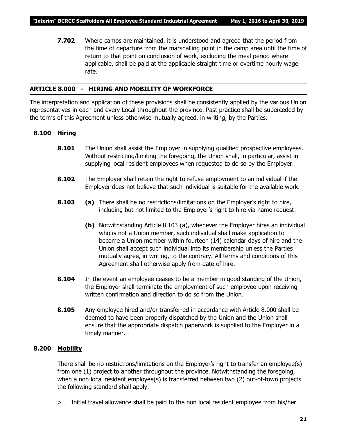**7.702** Where camps are maintained, it is understood and agreed that the period from the time of departure from the marshalling point in the camp area until the time of return to that point on conclusion of work, excluding the meal period where applicable, shall be paid at the applicable straight time or overtime hourly wage rate.

### **ARTICLE 8.000 - HIRING AND MOBILITY OF WORKFORCE**

The interpretation and application of these provisions shall be consistently applied by the various Union representatives in each and every Local throughout the province. Past practice shall be superceded by the terms of this Agreement unless otherwise mutually agreed, in writing, by the Parties.

### **8.100 Hiring**

- **8.101** The Union shall assist the Employer in supplying qualified prospective employees. Without restricting/limiting the foregoing, the Union shall, in particular, assist in supplying local resident employees when requested to do so by the Employer.
- **8.102** The Employer shall retain the right to refuse employment to an individual if the Employer does not believe that such individual is suitable for the available work.
- **8.103 (a)** There shall be no restrictions/limitations on the Employer's right to hire, including but not limited to the Employer's right to hire via name request.
	- **(b)** Notwithstanding Article 8.103 (a), whenever the Employer hires an individual who is not a Union member, such individual shall make application to become a Union member within fourteen (14) calendar days of hire and the Union shall accept such individual into its membership unless the Parties mutually agree, in writing, to the contrary. All terms and conditions of this Agreement shall otherwise apply from date of hire.
- **8.104** In the event an employee ceases to be a member in good standing of the Union, the Employer shall terminate the employment of such employee upon receiving written confirmation and direction to do so from the Union.
- **8.105** Any employee hired and/or transferred in accordance with Article 8.000 shall be deemed to have been properly dispatched by the Union and the Union shall ensure that the appropriate dispatch paperwork is supplied to the Employer in a timely manner.

### **8.200 Mobility**

There shall be no restrictions/limitations on the Employer's right to transfer an employee(s) from one (1) project to another throughout the province. Notwithstanding the foregoing, when a non local resident employee(s) is transferred between two (2) out-of-town projects the following standard shall apply.

> Initial travel allowance shall be paid to the non local resident employee from his/her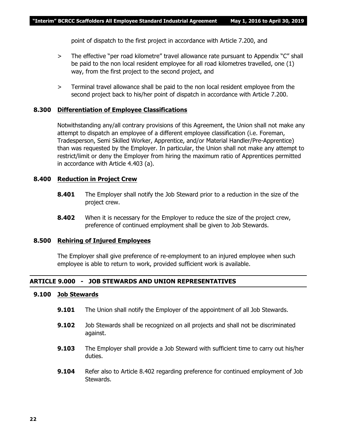point of dispatch to the first project in accordance with Article 7.200, and

- > The effective "per road kilometre" travel allowance rate pursuant to Appendix "C" shall be paid to the non local resident employee for all road kilometres travelled, one (1) way, from the first project to the second project, and
- > Terminal travel allowance shall be paid to the non local resident employee from the second project back to his/her point of dispatch in accordance with Article 7.200.

### **8.300 Differentiation of Employee Classifications**

Notwithstanding any/all contrary provisions of this Agreement, the Union shall not make any attempt to dispatch an employee of a different employee classification (i.e. Foreman, Tradesperson, Semi Skilled Worker, Apprentice, and/or Material Handler/Pre-Apprentice) than was requested by the Employer. In particular, the Union shall not make any attempt to restrict/limit or deny the Employer from hiring the maximum ratio of Apprentices permitted in accordance with Article 4.403 (a).

### **8.400 Reduction in Project Crew**

- **8.401** The Employer shall notify the Job Steward prior to a reduction in the size of the project crew.
- **8.402** When it is necessary for the Employer to reduce the size of the project crew, preference of continued employment shall be given to Job Stewards.

### **8.500 Rehiring of Injured Employees**

The Employer shall give preference of re-employment to an injured employee when such employee is able to return to work, provided sufficient work is available.

### **ARTICLE 9.000 - JOB STEWARDS AND UNION REPRESENTATIVES**

### **9.100 Job Stewards**

- **9.101** The Union shall notify the Employer of the appointment of all Job Stewards.
- **9.102** Job Stewards shall be recognized on all projects and shall not be discriminated against.
- **9.103** The Employer shall provide a Job Steward with sufficient time to carry out his/her duties.
- **9.104** Refer also to Article 8.402 regarding preference for continued employment of Job Stewards.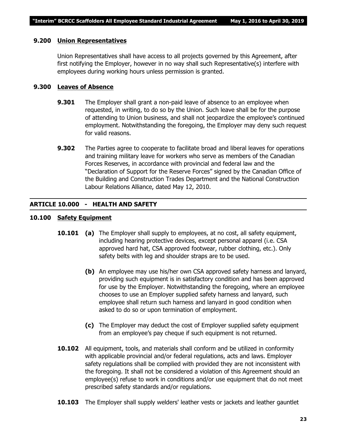### **9.200 Union Representatives**

Union Representatives shall have access to all projects governed by this Agreement, after first notifying the Employer, however in no way shall such Representative(s) interfere with employees during working hours unless permission is granted.

### **9.300 Leaves of Absence**

- **9.301** The Employer shall grant a non-paid leave of absence to an employee when requested, in writing, to do so by the Union. Such leave shall be for the purpose of attending to Union business, and shall not jeopardize the employee's continued employment. Notwithstanding the foregoing, the Employer may deny such request for valid reasons.
- **9.302** The Parties agree to cooperate to facilitate broad and liberal leaves for operations and training military leave for workers who serve as members of the Canadian Forces Reserves, in accordance with provincial and federal law and the "Declaration of Support for the Reserve Forces" signed by the Canadian Office of the Building and Construction Trades Department and the National Construction Labour Relations Alliance, dated May 12, 2010.

### **ARTICLE 10.000 - HEALTH AND SAFETY**

### **10.100 Safety Equipment**

- **10.101 (a)** The Employer shall supply to employees, at no cost, all safety equipment, including hearing protective devices, except personal apparel (i.e. CSA approved hard hat, CSA approved footwear, rubber clothing, etc.). Only safety belts with leg and shoulder straps are to be used.
	- **(b)** An employee may use his/her own CSA approved safety harness and lanyard, providing such equipment is in satisfactory condition and has been approved for use by the Employer. Notwithstanding the foregoing, where an employee chooses to use an Employer supplied safety harness and lanyard, such employee shall return such harness and lanyard in good condition when asked to do so or upon termination of employment.
	- **(c)** The Employer may deduct the cost of Employer supplied safety equipment from an employee's pay cheque if such equipment is not returned.
- **10.102** All equipment, tools, and materials shall conform and be utilized in conformity with applicable provincial and/or federal regulations, acts and laws. Employer safety regulations shall be complied with provided they are not inconsistent with the foregoing. It shall not be considered a violation of this Agreement should an employee(s) refuse to work in conditions and/or use equipment that do not meet prescribed safety standards and/or regulations.
- **10.103** The Employer shall supply welders' leather vests or jackets and leather gauntlet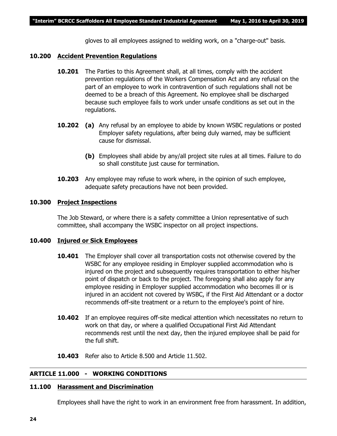gloves to all employees assigned to welding work, on a "charge-out" basis.

### **10.200 Accident Prevention Regulations**

- **10.201** The Parties to this Agreement shall, at all times, comply with the accident prevention regulations of the *Workers Compensation Act* and any refusal on the part of an employee to work in contravention of such regulations shall not be deemed to be a breach of this Agreement. No employee shall be discharged because such employee fails to work under unsafe conditions as set out in the regulations.
- **10.202 (a)** Any refusal by an employee to abide by known WSBC regulations or posted Employer safety regulations, after being duly warned, may be sufficient cause for dismissal.
	- **(b)** Employees shall abide by any/all project site rules at all times. Failure to do so shall constitute just cause for termination.
- **10.203** Any employee may refuse to work where, in the opinion of such employee, adequate safety precautions have not been provided.

### **10.300 Project Inspections**

The Job Steward, or where there is a safety committee a Union representative of such committee, shall accompany the WSBC inspector on all project inspections.

### **10.400 Injured or Sick Employees**

- **10.401** The Employer shall cover all transportation costs not otherwise covered by the WSBC for any employee residing in Employer supplied accommodation who is injured on the project and subsequently requires transportation to either his/her point of dispatch or back to the project. The foregoing shall also apply for any employee residing in Employer supplied accommodation who becomes ill or is injured in an accident not covered by WSBC, if the First Aid Attendant or a doctor recommends off-site treatment or a return to the employee's point of hire.
- **10.402** If an employee requires off-site medical attention which necessitates no return to work on that day, or where a qualified Occupational First Aid Attendant recommends rest until the next day, then the injured employee shall be paid for the full shift.
- **10.403** Refer also to Article 8.500 and Article 11.502.

### **ARTICLE 11.000 - WORKING CONDITIONS**

### **11.100 Harassment and Discrimination**

Employees shall have the right to work in an environment free from harassment. In addition,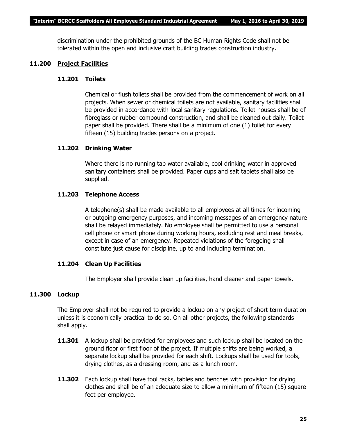discrimination under the prohibited grounds of the *BC Human Rights Code* shall not be tolerated within the open and inclusive craft building trades construction industry.

### **11.200 Project Facilities**

### **11.201 Toilets**

Chemical or flush toilets shall be provided from the commencement of work on all projects. When sewer or chemical toilets are not available, sanitary facilities shall be provided in accordance with local sanitary regulations. Toilet houses shall be of fibreglass or rubber compound construction, and shall be cleaned out daily. Toilet paper shall be provided. There shall be a minimum of one (1) toilet for every fifteen (15) building trades persons on a project.

### **11.202 Drinking Water**

Where there is no running tap water available, cool drinking water in approved sanitary containers shall be provided. Paper cups and salt tablets shall also be supplied.

### **11.203 Telephone Access**

A telephone(s) shall be made available to all employees at all times for incoming or outgoing emergency purposes, and incoming messages of an emergency nature shall be relayed immediately. No employee shall be permitted to use a personal cell phone or smart phone during working hours, excluding rest and meal breaks, except in case of an emergency. Repeated violations of the foregoing shall constitute just cause for discipline, up to and including termination.

### **11.204 Clean Up Facilities**

The Employer shall provide clean up facilities, hand cleaner and paper towels.

### **11.300 Lockup**

The Employer shall not be required to provide a lockup on any project of short term duration unless it is economically practical to do so. On all other projects, the following standards shall apply.

- **11.301** A lockup shall be provided for employees and such lockup shall be located on the ground floor or first floor of the project. If multiple shifts are being worked, a separate lockup shall be provided for each shift. Lockups shall be used for tools, drying clothes, as a dressing room, and as a lunch room.
- **11.302** Each lockup shall have tool racks, tables and benches with provision for drying clothes and shall be of an adequate size to allow a minimum of fifteen (15) square feet per employee.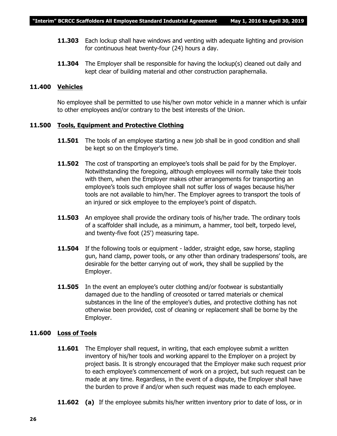- **11.303** Each lockup shall have windows and venting with adequate lighting and provision for continuous heat twenty-four (24) hours a day.
- **11.304** The Employer shall be responsible for having the lockup(s) cleaned out daily and kept clear of building material and other construction paraphernalia.

### **11.400 Vehicles**

No employee shall be permitted to use his/her own motor vehicle in a manner which is unfair to other employees and/or contrary to the best interests of the Union.

### **11.500 Tools, Equipment and Protective Clothing**

- **11.501** The tools of an employee starting a new job shall be in good condition and shall be kept so on the Employer's time.
- **11.502** The cost of transporting an employee's tools shall be paid for by the Employer. Notwithstanding the foregoing, although employees will normally take their tools with them, when the Employer makes other arrangements for transporting an employee's tools such employee shall not suffer loss of wages because his/her tools are not available to him/her. The Employer agrees to transport the tools of an injured or sick employee to the employee's point of dispatch.
- **11.503** An employee shall provide the ordinary tools of his/her trade. The ordinary tools of a scaffolder shall include, as a minimum, a hammer, tool belt, torpedo level, and twenty-five foot (25') measuring tape.
- **11.504** If the following tools or equipment ladder, straight edge, saw horse, stapling gun, hand clamp, power tools, or any other than ordinary tradespersons' tools, are desirable for the better carrying out of work, they shall be supplied by the Employer.
- **11.505** In the event an employee's outer clothing and/or footwear is substantially damaged due to the handling of creosoted or tarred materials or chemical substances in the line of the employee's duties, and protective clothing has not otherwise been provided, cost of cleaning or replacement shall be borne by the Employer.

### **11.600 Loss of Tools**

- **11.601** The Employer shall request, in writing, that each employee submit a written inventory of his/her tools and working apparel to the Employer on a project by project basis. It is strongly encouraged that the Employer make such request prior to each employee's commencement of work on a project, but such request can be made at any time. Regardless, in the event of a dispute, the Employer shall have the burden to prove if and/or when such request was made to each employee.
- **11.602** (a) If the employee submits his/her written inventory prior to date of loss, or in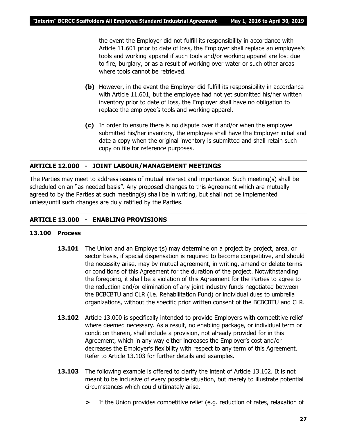the event the Employer did not fulfill its responsibility in accordance with Article 11.601 prior to date of loss, the Employer shall replace an employee's tools and working apparel if such tools and/or working apparel are lost due to fire, burglary, or as a result of working over water or such other areas where tools cannot be retrieved.

- **(b)** However, in the event the Employer did fulfill its responsibility in accordance with Article 11.601, but the employee had not yet submitted his/her written inventory prior to date of loss, the Employer shall have no obligation to replace the employee's tools and working apparel.
- **(c)** In order to ensure there is no dispute over if and/or when the employee submitted his/her inventory, the employee shall have the Employer initial and date a copy when the original inventory is submitted and shall retain such copy on file for reference purposes.

### **ARTICLE 12.000 - JOINT LABOUR/MANAGEMENT MEETINGS**

The Parties may meet to address issues of mutual interest and importance. Such meeting(s) shall be scheduled on an "as needed basis". Any proposed changes to this Agreement which are mutually agreed to by the Parties at such meeting(s) shall be in writing, but shall not be implemented unless/until such changes are duly ratified by the Parties.

### **ARTICLE 13.000 - ENABLING PROVISIONS**

### **13.100 Process**

- **13.101** The Union and an Employer(s) may determine on a project by project, area, or sector basis, if special dispensation is required to become competitive, and should the necessity arise, may by mutual agreement, in writing, amend or delete terms or conditions of this Agreement for the duration of the project. Notwithstanding the foregoing, it shall be a violation of this Agreement for the Parties to agree to the reduction and/or elimination of any joint industry funds negotiated between the BCBCBTU and CLR (i.e. Rehabilitation Fund) or individual dues to umbrella organizations, without the specific prior written consent of the BCBCBTU and CLR.
- **13.102** Article 13.000 is specifically intended to provide Employers with competitive relief where deemed necessary. As a result, no enabling package, or individual term or condition therein, shall include a provision, not already provided for in this Agreement, which in any way either increases the Employer's cost and/or decreases the Employer's flexibility with respect to any term of this Agreement. Refer to Article 13.103 for further details and examples.
- **13.103** The following example is offered to clarify the intent of Article 13.102. It is not meant to be inclusive of every possible situation, but merely to illustrate potential circumstances which could ultimately arise.
	- **>** If the Union provides competitive relief (e.g. reduction of rates, relaxation of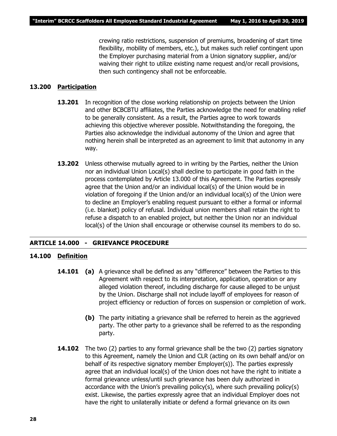crewing ratio restrictions, suspension of premiums, broadening of start time flexibility, mobility of members, etc.), but makes such relief contingent upon the Employer purchasing material from a Union signatory supplier, and/or waiving their right to utilize existing name request and/or recall provisions, then such contingency shall not be enforceable.

### **13.200 Participation**

- **13.201** In recognition of the close working relationship on projects between the Union and other BCBCBTU affiliates, the Parties acknowledge the need for enabling relief to be generally consistent. As a result, the Parties agree to work towards achieving this objective wherever possible. Notwithstanding the foregoing, the Parties also acknowledge the individual autonomy of the Union and agree that nothing herein shall be interpreted as an agreement to limit that autonomy in any way.
- **13.202** Unless otherwise mutually agreed to in writing by the Parties, neither the Union nor an individual Union Local(s) shall decline to participate in good faith in the process contemplated by Article 13.000 of this Agreement. The Parties expressly agree that the Union and/or an individual local(s) of the Union would be in violation of foregoing if the Union and/or an individual local(s) of the Union were to decline an Employer's enabling request pursuant to either a formal or informal (i.e. blanket) policy of refusal. Individual union members shall retain the right to refuse a dispatch to an enabled project, but neither the Union nor an individual local(s) of the Union shall encourage or otherwise counsel its members to do so.

### **ARTICLE 14.000 - GRIEVANCE PROCEDURE**

### **14.100 Definition**

- **14.101 (a)** A grievance shall be defined as any "difference" between the Parties to this Agreement with respect to its interpretation, application, operation or any alleged violation thereof, including discharge for cause alleged to be unjust by the Union. Discharge shall not include layoff of employees for reason of project efficiency or reduction of forces on suspension or completion of work.
	- **(b)** The party initiating a grievance shall be referred to herein as the aggrieved party. The other party to a grievance shall be referred to as the responding party.
- **14.102** The two (2) parties to any formal grievance shall be the two (2) parties signatory to this Agreement, namely the Union and CLR (acting on its own behalf and/or on behalf of its respective signatory member Employer(s)). The parties expressly agree that an individual local(s) of the Union does not have the right to initiate a formal grievance unless/until such grievance has been duly authorized in accordance with the Union's prevailing policy(s), where such prevailing policy(s) exist. Likewise, the parties expressly agree that an individual Employer does not have the right to unilaterally initiate or defend a formal grievance on its own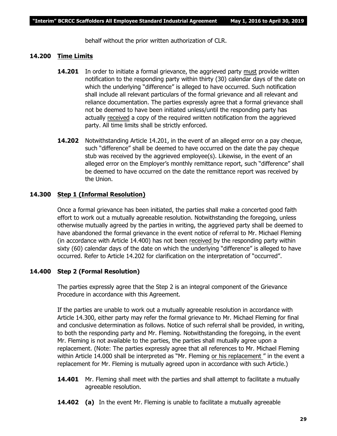behalf without the prior written authorization of CLR.

### **14.200 Time Limits**

- **14.201** In order to initiate a formal grievance, the aggrieved party must provide written notification to the responding party within thirty (30) calendar days of the date on which the underlying "difference" is alleged to have occurred. Such notification shall include all relevant particulars of the formal grievance and all relevant and reliance documentation. The parties expressly agree that a formal grievance shall not be deemed to have been initiated unless/until the responding party has actually received a copy of the required written notification from the aggrieved party. All time limits shall be strictly enforced.
- **14.202** Notwithstanding Article 14.201, in the event of an alleged error on a pay cheque, such "difference" shall be deemed to have occurred on the date the pay cheque stub was received by the aggrieved employee(s). Likewise, in the event of an alleged error on the Employer's monthly remittance report, such "difference" shall be deemed to have occurred on the date the remittance report was received by the Union.

### **14.300 Step 1 (Informal Resolution)**

Once a formal grievance has been initiated, the parties shall make a concerted good faith effort to work out a mutually agreeable resolution. Notwithstanding the foregoing, unless otherwise mutually agreed by the parties in writing, the aggrieved party shall be deemed to have abandoned the formal grievance in the event notice of referral to Mr. Michael Fleming (in accordance with Article 14.400) has not been received by the responding party within sixty (60) calendar days of the date on which the underlying "difference" is alleged to have occurred. Refer to Article 14.202 for clarification on the interpretation of "occurred".

### **14.400 Step 2 (Formal Resolution)**

The parties expressly agree that the Step 2 is an integral component of the Grievance Procedure in accordance with this Agreement.

If the parties are unable to work out a mutually agreeable resolution in accordance with Article 14.300, either party may refer the formal grievance to Mr. Michael Fleming for final and conclusive determination as follows. Notice of such referral shall be provided, in writing, to both the responding party and Mr. Fleming. Notwithstanding the foregoing, in the event Mr. Fleming is not available to the parties, the parties shall mutually agree upon a replacement. (Note: The parties expressly agree that all references to Mr. Michael Fleming within Article 14.000 shall be interpreted as *"Mr. Fleming or his replacement "* in the event a replacement for Mr. Fleming is mutually agreed upon in accordance with such Article.)

- **14.401** Mr. Fleming shall meet with the parties and shall attempt to facilitate a mutually agreeable resolution.
- **14.402 (a)** In the event Mr. Fleming is unable to facilitate a mutually agreeable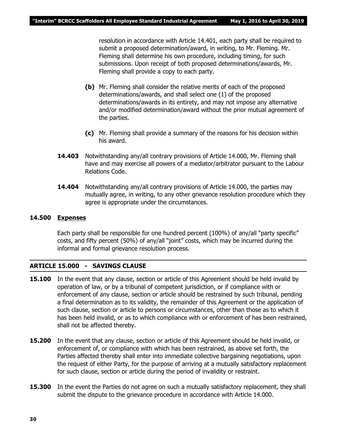resolution in accordance with Article 14.401, each party shall be required to submit a proposed determination/award, in writing, to Mr. Fleming. Mr. Fleming shall determine his own procedure, including timing, for such submissions. Upon receipt of both proposed determinations/awards, Mr. Fleming shall provide a copy to each party.

- **(b)** Mr. Fleming shall consider the relative merits of each of the proposed determinations/awards, and shall select one (1) of the proposed determinations/awards in its entirety, and may not impose any alternative and/or modified determination/award without the prior mutual agreement of the parties.
- **(c)** Mr. Fleming shall provide a summary of the reasons for his decision within his award.
- **14.403** Notwithstanding any/all contrary provisions of Article 14.000, Mr. Fleming shall have and may exercise all powers of a mediator/arbitrator pursuant to the *Labour Relations Code.*
- **14.404** Notwithstanding any/all contrary provisions of Article 14.000, the parties may mutually agree, in writing, to any other grievance resolution procedure which they agree is appropriate under the circumstances.

### **14.500 Expenses**

Each party shall be responsible for one hundred percent (100%) of any/all "party specific" costs, and fifty percent (50%) of any/all "joint" costs, which may be incurred during the informal and formal grievance resolution process.

### **ARTICLE 15.000 - SAVINGS CLAUSE**

- **15.100** In the event that any clause, section or article of this Agreement should be held invalid by operation of law, or by a tribunal of competent jurisdiction, or if compliance with or enforcement of any clause, section or article should be restrained by such tribunal, pending a final determination as to its validity, the remainder of this Agreement or the application of such clause, section or article to persons or circumstances, other than those as to which it has been held invalid, or as to which compliance with or enforcement of has been restrained, shall not be affected thereby.
- **15.200** In the event that any clause, section or article of this Agreement should be held invalid, or enforcement of, or compliance with which has been restrained, as above set forth, the Parties affected thereby shall enter into immediate collective bargaining negotiations, upon the request of either Party, for the purpose of arriving at a mutually satisfactory replacement for such clause, section or article during the period of invalidity or restraint.
- **15.300** In the event the Parties do not agree on such a mutually satisfactory replacement, they shall submit the dispute to the grievance procedure in accordance with Article 14.000.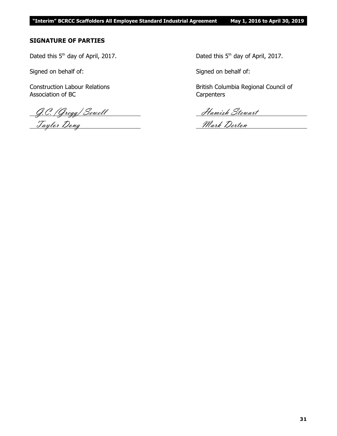### **SIGNATURE OF PARTIES**

Dated this  $5<sup>th</sup>$  day of April, 2017. Dated this  $5<sup>th</sup>$  day of April, 2017.

Signed on behalf of: Signed on behalf of:

Association of BC Carpenters

G.C. (Gregg) Sewell Hamish Stewart Taylor Dong Nark Derton

Construction Labour Relations **British Columbia Regional Council of**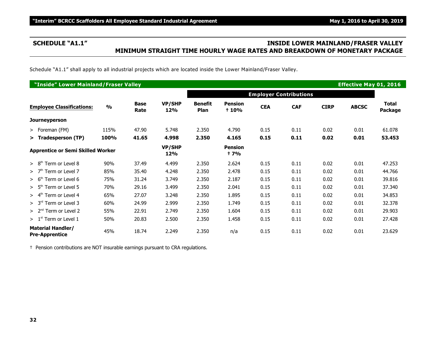### **SCHEDULE "A1.1" INSIDE LOWER MAINLAND/FRASER VALLEY MINIMUM STRAIGHT TIME HOURLY WAGE RATES AND BREAKDOWN OF MONETARY PACKAGE**

Schedule "A1.1" shall apply to all industrial projects which are located inside the Lower Mainland/Fraser Valley.

| "Inside" Lower Mainland/Fraser Valley<br><b>Effective May 01, 2016</b> |               |                      |                      |                               |                         |            |                               |             |              |                  |
|------------------------------------------------------------------------|---------------|----------------------|----------------------|-------------------------------|-------------------------|------------|-------------------------------|-------------|--------------|------------------|
|                                                                        |               |                      |                      |                               |                         |            | <b>Employer Contributions</b> |             |              |                  |
| <b>Employee Classifications:</b>                                       | $\frac{0}{0}$ | <b>Base</b><br>Rate  | <b>VP/SHP</b><br>12% | <b>Benefit</b><br><b>Plan</b> | <b>Pension</b><br>+ 10% | <b>CEA</b> | <b>CAF</b>                    | <b>CIRP</b> | <b>ABCSC</b> | Total<br>Package |
| Journeyperson                                                          |               |                      |                      |                               |                         |            |                               |             |              |                  |
| > Foreman (FM)                                                         | 115%          | 47.90                | 5.748                | 2.350                         | 4.790                   | 0.15       | 0.11                          | 0.02        | 0.01         | 61.078           |
| > Tradesperson (TP)                                                    | 100%          | 41.65                | 4.998                | 2.350                         | 4.165                   | 0.15       | 0.11                          | 0.02        | 0.01         | 53.453           |
| <b>Apprentice or Semi Skilled Worker</b>                               |               | <b>VP/SHP</b><br>12% |                      | <b>Pension</b><br>† 7%        |                         |            |                               |             |              |                  |
| $> 8th$ Term or Level 8                                                | 90%           | 37.49                | 4.499                | 2.350                         | 2.624                   | 0.15       | 0.11                          | 0.02        | 0.01         | 47.253           |
| Term or Level 7<br>>7 <sup>th</sup>                                    | 85%           | 35.40                | 4.248                | 2.350                         | 2.478                   | 0.15       | 0.11                          | 0.02        | 0.01         | 44.766           |
| $> 6th$ Term or Level 6                                                | 75%           | 31.24                | 3.749                | 2.350                         | 2.187                   | 0.15       | 0.11                          | 0.02        | 0.01         | 39.816           |
| $> 5th$ Term or Level 5                                                | 70%           | 29.16                | 3.499                | 2.350                         | 2.041                   | 0.15       | 0.11                          | 0.02        | 0.01         | 37.340           |
| Term or Level 4<br>> 4 <sup>th</sup>                                   | 65%           | 27.07                | 3.248                | 2.350                         | 1.895                   | 0.15       | 0.11                          | 0.02        | 0.01         | 34.853           |
| $> 3rd$ Term or Level 3                                                | 60%           | 24.99                | 2.999                | 2.350                         | 1.749                   | 0.15       | 0.11                          | 0.02        | 0.01         | 32.378           |
| $> 2nd$ Term or Level 2                                                | 55%           | 22.91                | 2.749                | 2.350                         | 1.604                   | 0.15       | 0.11                          | 0.02        | 0.01         | 29.903           |
| $> 1st$ Term or Level 1                                                | 50%           | 20.83                | 2.500                | 2.350                         | 1.458                   | 0.15       | 0.11                          | 0.02        | 0.01         | 27.428           |
| <b>Material Handler/</b><br><b>Pre-Apprentice</b>                      | 45%           | 18.74                | 2.249                | 2.350                         | n/a                     | 0.15       | 0.11                          | 0.02        | 0.01         | 23.629           |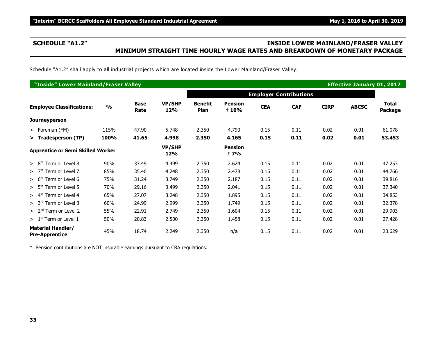### **SCHEDULE "A1.2" INSIDE LOWER MAINLAND/FRASER VALLEY MINIMUM STRAIGHT TIME HOURLY WAGE RATES AND BREAKDOWN OF MONETARY PACKAGE**

Schedule "A1.2" shall apply to all industrial projects which are located inside the Lower Mainland/Fraser Valley.

| "Inside" Lower Mainland/Fraser Valley<br><b>Effective January 01, 2017</b> |               |                     |               |                               |                         |            |                               |             |              |                         |
|----------------------------------------------------------------------------|---------------|---------------------|---------------|-------------------------------|-------------------------|------------|-------------------------------|-------------|--------------|-------------------------|
|                                                                            |               |                     |               |                               |                         |            | <b>Employer Contributions</b> |             |              |                         |
| <b>Employee Classifications:</b>                                           | $\frac{0}{0}$ | <b>Base</b><br>Rate | VP/SHP<br>12% | <b>Benefit</b><br>Plan        | <b>Pension</b><br>+ 10% | <b>CEA</b> | <b>CAF</b>                    | <b>CIRP</b> | <b>ABCSC</b> | <b>Total</b><br>Package |
| Journeyperson                                                              |               |                     |               |                               |                         |            |                               |             |              |                         |
| > Foreman (FM)                                                             | 115%          | 47.90               | 5.748         | 2.350                         | 4.790                   | 0.15       | 0.11                          | 0.02        | 0.01         | 61.078                  |
| > Tradesperson (TP)                                                        | 100%          | 41.65               | 4.998         | 2.350                         | 4.165                   | 0.15       | 0.11                          | 0.02        | 0.01         | 53.453                  |
| <b>Apprentice or Semi Skilled Worker</b>                                   |               | VP/SHP<br>12%       |               | <b>Pension</b><br><b>t</b> 7% |                         |            |                               |             |              |                         |
| Term or Level 8<br>> 8 <sup>th</sup>                                       | 90%           | 37.49               | 4.499         | 2.350                         | 2.624                   | 0.15       | 0.11                          | 0.02        | 0.01         | 47.253                  |
| >7 <sup>th</sup><br>Term or Level 7                                        | 85%           | 35.40               | 4.248         | 2.350                         | 2.478                   | 0.15       | 0.11                          | 0.02        | 0.01         | 44.766                  |
| $> 6th$ Term or Level 6                                                    | 75%           | 31.24               | 3.749         | 2.350                         | 2.187                   | 0.15       | 0.11                          | 0.02        | 0.01         | 39.816                  |
| Term or Level 5<br>> 5 <sup>th</sup>                                       | 70%           | 29.16               | 3.499         | 2.350                         | 2.041                   | 0.15       | 0.11                          | 0.02        | 0.01         | 37.340                  |
| Term or Level 4<br>> 4 <sup>th</sup>                                       | 65%           | 27.07               | 3.248         | 2.350                         | 1.895                   | 0.15       | 0.11                          | 0.02        | 0.01         | 34.853                  |
| $> 3rd$ Term or Level 3                                                    | 60%           | 24.99               | 2.999         | 2.350                         | 1.749                   | 0.15       | 0.11                          | 0.02        | 0.01         | 32.378                  |
| $> 2nd$ Term or Level 2                                                    | 55%           | 22.91               | 2.749         | 2.350                         | 1.604                   | 0.15       | 0.11                          | 0.02        | 0.01         | 29.903                  |
| $>1st$ Term or Level 1                                                     | 50%           | 20.83               | 2.500         | 2.350                         | 1.458                   | 0.15       | 0.11                          | 0.02        | 0.01         | 27.428                  |
| <b>Material Handler/</b><br><b>Pre-Apprentice</b>                          | 45%           | 18.74               | 2.249         | 2.350                         | n/a                     | 0.15       | 0.11                          | 0.02        | 0.01         | 23.629                  |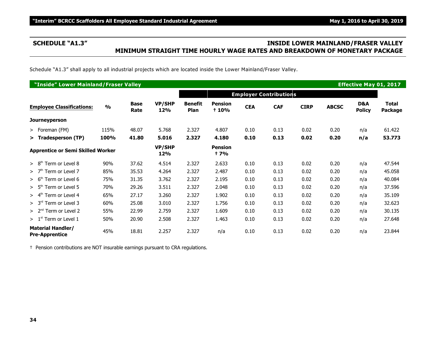### **SCHEDULE "A1.3" INSIDE LOWER MAINLAND/FRASER VALLEY MINIMUM STRAIGHT TIME HOURLY WAGE RATES AND BREAKDOWN OF MONETARY PACKAGE**

Schedule "A1.3" shall apply to all industrial projects which are located inside the Lower Mainland/Fraser Valley.

|                                                   | "Inside" Lower Mainland/Fraser Valley<br><b>Effective May 01, 2017</b> |                     |                      |                        |                         |            |                               |             |              |                      |                         |  |
|---------------------------------------------------|------------------------------------------------------------------------|---------------------|----------------------|------------------------|-------------------------|------------|-------------------------------|-------------|--------------|----------------------|-------------------------|--|
|                                                   |                                                                        |                     |                      |                        |                         |            | <b>Employer Contributions</b> |             |              |                      |                         |  |
| <b>Employee Classifications:</b>                  | $\frac{9}{6}$                                                          | <b>Base</b><br>Rate | <b>VP/SHP</b><br>12% | <b>Benefit</b><br>Plan | <b>Pension</b><br>+ 10% | <b>CEA</b> | <b>CAF</b>                    | <b>CIRP</b> | <b>ABCSC</b> | D&A<br><b>Policy</b> | <b>Total</b><br>Package |  |
| Journeyperson                                     |                                                                        |                     |                      |                        |                         |            |                               |             |              |                      |                         |  |
| > Foreman (FM)                                    | 115%                                                                   | 48.07               | 5.768                | 2.327                  | 4.807                   | 0.10       | 0.13                          | 0.02        | 0.20         | n/a                  | 61.422                  |  |
| > Tradesperson (TP)                               | 100%                                                                   | 41.80               | 5.016                | 2.327                  | 4.180                   | 0.10       | 0.13                          | 0.02        | 0.20         | n/a                  | 53.773                  |  |
| <b>Apprentice or Semi Skilled Worker</b>          |                                                                        |                     | <b>VP/SHP</b><br>12% |                        | <b>Pension</b><br>† 7%  |            |                               |             |              |                      |                         |  |
| Term or Level 8<br>> 8 <sup>th</sup>              | 90%                                                                    | 37.62               | 4.514                | 2.327                  | 2.633                   | 0.10       | 0.13                          | 0.02        | 0.20         | n/a                  | 47.544                  |  |
| Term or Level 7<br>>7 <sup>th</sup>               | 85%                                                                    | 35.53               | 4.264                | 2.327                  | 2.487                   | 0.10       | 0.13                          | 0.02        | 0.20         | n/a                  | 45.058                  |  |
| Term or Level 6<br>> 6 <sup>th</sup>              | 75%                                                                    | 31.35               | 3.762                | 2.327                  | 2.195                   | 0.10       | 0.13                          | 0.02        | 0.20         | n/a                  | 40.084                  |  |
| $> 5th$ Term or Level 5                           | 70%                                                                    | 29.26               | 3.511                | 2.327                  | 2.048                   | 0.10       | 0.13                          | 0.02        | 0.20         | n/a                  | 37.596                  |  |
| Term or Level 4<br>> 4 <sup>th</sup>              | 65%                                                                    | 27.17               | 3.260                | 2.327                  | 1.902                   | 0.10       | 0.13                          | 0.02        | 0.20         | n/a                  | 35.109                  |  |
| $> 3rd$ Term or Level 3                           | 60%                                                                    | 25.08               | 3.010                | 2.327                  | 1.756                   | 0.10       | 0.13                          | 0.02        | 0.20         | n/a                  | 32.623                  |  |
| $> 2nd$ Term or Level 2                           | 55%                                                                    | 22.99               | 2.759                | 2.327                  | 1.609                   | 0.10       | 0.13                          | 0.02        | 0.20         | n/a                  | 30.135                  |  |
| $>1st$ Term or Level 1                            | 50%                                                                    | 20.90               | 2.508                | 2.327                  | 1.463                   | 0.10       | 0.13                          | 0.02        | 0.20         | n/a                  | 27.648                  |  |
| <b>Material Handler/</b><br><b>Pre-Apprentice</b> | 45%                                                                    | 18.81               | 2.257                | 2.327                  | n/a                     | 0.10       | 0.13                          | 0.02        | 0.20         | n/a                  | 23.844                  |  |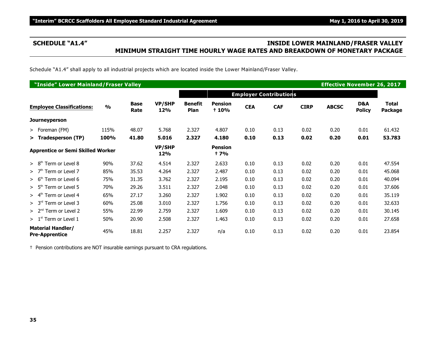### **SCHEDULE "A1.4" INSIDE LOWER MAINLAND/FRASER VALLEY MINIMUM STRAIGHT TIME HOURLY WAGE RATES AND BREAKDOWN OF MONETARY PACKAGE**

Schedule "A1.4" shall apply to all industrial projects which are located inside the Lower Mainland/Fraser Valley.

| "Inside" Lower Mainland/Fraser Valley             |               |                     |                      |                        |                               |            | <b>Effective November 26, 2017</b> |             |              |                      |                         |
|---------------------------------------------------|---------------|---------------------|----------------------|------------------------|-------------------------------|------------|------------------------------------|-------------|--------------|----------------------|-------------------------|
|                                                   |               |                     |                      |                        |                               |            | <b>Employer Contributions</b>      |             |              |                      |                         |
| <b>Employee Classifications:</b>                  | $\frac{0}{0}$ | <b>Base</b><br>Rate | <b>VP/SHP</b><br>12% | <b>Benefit</b><br>Plan | <b>Pension</b><br>+ 10%       | <b>CEA</b> | <b>CAF</b>                         | <b>CIRP</b> | <b>ABCSC</b> | D&A<br><b>Policy</b> | <b>Total</b><br>Package |
| <b>Journeyperson</b>                              |               |                     |                      |                        |                               |            |                                    |             |              |                      |                         |
| $>$ Foreman (FM)                                  | 115%          | 48.07               | 5.768                | 2.327                  | 4.807                         | 0.10       | 0.13                               | 0.02        | 0.20         | 0.01                 | 61.432                  |
| > Tradesperson (TP)                               | 100%          | 41.80               | 5.016                | 2.327                  | 4.180                         | 0.10       | 0.13                               | 0.02        | 0.20         | 0.01                 | 53.783                  |
| <b>Apprentice or Semi Skilled Worker</b>          |               |                     | <b>VP/SHP</b><br>12% |                        | <b>Pension</b><br><b>t</b> 7% |            |                                    |             |              |                      |                         |
| Term or Level 8<br>> 8 <sup>th</sup>              | 90%           | 37.62               | 4.514                | 2.327                  | 2.633                         | 0.10       | 0.13                               | 0.02        | 0.20         | 0.01                 | 47.554                  |
| Term or Level 7<br>>7 <sup>th</sup>               | 85%           | 35.53               | 4.264                | 2.327                  | 2.487                         | 0.10       | 0.13                               | 0.02        | 0.20         | 0.01                 | 45.068                  |
| > 6 <sup>th</sup><br>Term or Level 6              | 75%           | 31.35               | 3.762                | 2.327                  | 2.195                         | 0.10       | 0.13                               | 0.02        | 0.20         | 0.01                 | 40.094                  |
| $> 5th$ Term or Level 5                           | 70%           | 29.26               | 3.511                | 2.327                  | 2.048                         | 0.10       | 0.13                               | 0.02        | 0.20         | 0.01                 | 37.606                  |
| Term or Level 4<br>$> 4^m$                        | 65%           | 27.17               | 3.260                | 2.327                  | 1.902                         | 0.10       | 0.13                               | 0.02        | 0.20         | 0.01                 | 35.119                  |
| Term or Level 3<br>> 3 <sup>rd</sup>              | 60%           | 25.08               | 3.010                | 2.327                  | 1.756                         | 0.10       | 0.13                               | 0.02        | 0.20         | 0.01                 | 32.633                  |
| $> 2nd$ Term or Level 2                           | 55%           | 22.99               | 2.759                | 2.327                  | 1.609                         | 0.10       | 0.13                               | 0.02        | 0.20         | 0.01                 | 30.145                  |
| $> 1st$ Term or Level 1                           | 50%           | 20.90               | 2.508                | 2.327                  | 1.463                         | 0.10       | 0.13                               | 0.02        | 0.20         | 0.01                 | 27.658                  |
| <b>Material Handler/</b><br><b>Pre-Apprentice</b> | 45%           | 18.81               | 2.257                | 2.327                  | n/a                           | 0.10       | 0.13                               | 0.02        | 0.20         | 0.01                 | 23.854                  |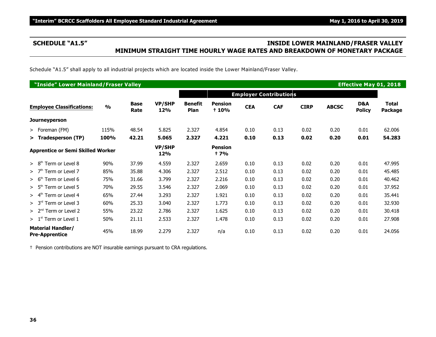### **SCHEDULE "A1.5" INSIDE LOWER MAINLAND/FRASER VALLEY MINIMUM STRAIGHT TIME HOURLY WAGE RATES AND BREAKDOWN OF MONETARY PACKAGE**

Schedule "A1.5" shall apply to all industrial projects which are located inside the Lower Mainland/Fraser Valley.

| "Inside" Lower Mainland/Fraser Valley<br><b>Effective May 01, 2018</b> |               |                     |                      |                        |                               |            |                               |             |              |                      |                                |
|------------------------------------------------------------------------|---------------|---------------------|----------------------|------------------------|-------------------------------|------------|-------------------------------|-------------|--------------|----------------------|--------------------------------|
|                                                                        |               |                     |                      |                        |                               |            | <b>Employer Contributions</b> |             |              |                      |                                |
| <b>Employee Classifications:</b>                                       | $\frac{0}{0}$ | <b>Base</b><br>Rate | <b>VP/SHP</b><br>12% | <b>Benefit</b><br>Plan | <b>Pension</b><br>+ 10%       | <b>CEA</b> | <b>CAF</b>                    | <b>CIRP</b> | <b>ABCSC</b> | D&A<br><b>Policy</b> | <b>Total</b><br><b>Package</b> |
| <b>Journeyperson</b>                                                   |               |                     |                      |                        |                               |            |                               |             |              |                      |                                |
| $>$ Foreman (FM)                                                       | 115%          | 48.54               | 5.825                | 2.327                  | 4.854                         | 0.10       | 0.13                          | 0.02        | 0.20         | 0.01                 | 62.006                         |
| > Tradesperson (TP)                                                    | 100%          | 42.21               | 5.065                | 2.327                  | 4.221                         | 0.10       | 0.13                          | 0.02        | 0.20         | 0.01                 | 54.283                         |
| <b>Apprentice or Semi Skilled Worker</b>                               |               |                     | <b>VP/SHP</b><br>12% |                        | <b>Pension</b><br><b>t</b> 7% |            |                               |             |              |                      |                                |
| > 8 <sup>th</sup><br>Term or Level 8                                   | 90%           | 37.99               | 4.559                | 2.327                  | 2.659                         | 0.10       | 0.13                          | 0.02        | 0.20         | 0.01                 | 47.995                         |
| >7 <sup>th</sup><br>Term or Level 7                                    | 85%           | 35.88               | 4.306                | 2.327                  | 2.512                         | 0.10       | 0.13                          | 0.02        | 0.20         | 0.01                 | 45.485                         |
| Term or Level 6<br>> 6 <sup>th</sup>                                   | 75%           | 31.66               | 3.799                | 2.327                  | 2.216                         | 0.10       | 0.13                          | 0.02        | 0.20         | 0.01                 | 40.462                         |
| $> 5th$ Term or Level 5                                                | 70%           | 29.55               | 3.546                | 2.327                  | 2.069                         | 0.10       | 0.13                          | 0.02        | 0.20         | 0.01                 | 37.952                         |
| Term or Level 4<br>> 4 <sup>tn</sup>                                   | 65%           | 27.44               | 3.293                | 2.327                  | 1.921                         | 0.10       | 0.13                          | 0.02        | 0.20         | 0.01                 | 35.441                         |
| > 3 <sup>rd</sup><br>Term or Level 3                                   | 60%           | 25.33               | 3.040                | 2.327                  | 1.773                         | 0.10       | 0.13                          | 0.02        | 0.20         | 0.01                 | 32.930                         |
| $> 2nd$ Term or Level 2                                                | 55%           | 23.22               | 2.786                | 2.327                  | 1.625                         | 0.10       | 0.13                          | 0.02        | 0.20         | 0.01                 | 30.418                         |
| $> 1st$ Term or Level 1                                                | 50%           | 21.11               | 2.533                | 2.327                  | 1.478                         | 0.10       | 0.13                          | 0.02        | 0.20         | 0.01                 | 27.908                         |
| <b>Material Handler/</b><br><b>Pre-Apprentice</b>                      | 45%           | 18.99               | 2.279                | 2.327                  | n/a                           | 0.10       | 0.13                          | 0.02        | 0.20         | 0.01                 | 24.056                         |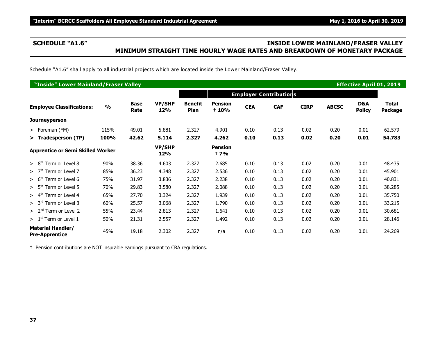### **SCHEDULE "A1.6" INSIDE LOWER MAINLAND/FRASER VALLEY MINIMUM STRAIGHT TIME HOURLY WAGE RATES AND BREAKDOWN OF MONETARY PACKAGE**

Schedule "A1.6" shall apply to all industrial projects which are located inside the Lower Mainland/Fraser Valley.

| "Inside" Lower Mainland/Fraser Valley<br><b>Effective April 01, 2019</b> |               |                     |                      |                        |                               |            |                               |             |              |                      |                  |
|--------------------------------------------------------------------------|---------------|---------------------|----------------------|------------------------|-------------------------------|------------|-------------------------------|-------------|--------------|----------------------|------------------|
|                                                                          |               |                     |                      |                        |                               |            | <b>Employer Contributions</b> |             |              |                      |                  |
| <b>Employee Classifications:</b>                                         | $\frac{0}{0}$ | <b>Base</b><br>Rate | <b>VP/SHP</b><br>12% | <b>Benefit</b><br>Plan | <b>Pension</b><br>+ 10%       | <b>CEA</b> | <b>CAF</b>                    | <b>CIRP</b> | <b>ABCSC</b> | D&A<br><b>Policy</b> | Total<br>Package |
| <b>Journeyperson</b>                                                     |               |                     |                      |                        |                               |            |                               |             |              |                      |                  |
| $>$ Foreman (FM)                                                         | 115%          | 49.01               | 5.881                | 2.327                  | 4.901                         | 0.10       | 0.13                          | 0.02        | 0.20         | 0.01                 | 62.579           |
| > Tradesperson (TP)                                                      | 100%          | 42.62               | 5.114                | 2.327                  | 4.262                         | 0.10       | 0.13                          | 0.02        | 0.20         | 0.01                 | 54.783           |
| <b>Apprentice or Semi Skilled Worker</b>                                 |               |                     | <b>VP/SHP</b><br>12% |                        | <b>Pension</b><br><b>t</b> 7% |            |                               |             |              |                      |                  |
| Term or Level 8<br>> 8 <sup>th</sup>                                     | 90%           | 38.36               | 4.603                | 2.327                  | 2.685                         | 0.10       | 0.13                          | 0.02        | 0.20         | 0.01                 | 48.435           |
| Term or Level 7<br>>7 <sup>th</sup>                                      | 85%           | 36.23               | 4.348                | 2.327                  | 2.536                         | 0.10       | 0.13                          | 0.02        | 0.20         | 0.01                 | 45.901           |
| Term or Level 6<br>> 6 <sup>th</sup>                                     | 75%           | 31.97               | 3.836                | 2.327                  | 2.238                         | 0.10       | 0.13                          | 0.02        | 0.20         | 0.01                 | 40.831           |
| $> 5th$ Term or Level 5                                                  | 70%           | 29.83               | 3.580                | 2.327                  | 2.088                         | 0.10       | 0.13                          | 0.02        | 0.20         | 0.01                 | 38.285           |
| Term or Level 4<br>$> 4^m$                                               | 65%           | 27.70               | 3.324                | 2.327                  | 1.939                         | 0.10       | 0.13                          | 0.02        | 0.20         | 0.01                 | 35.750           |
| > 3 <sup>rd</sup><br>Term or Level 3                                     | 60%           | 25.57               | 3.068                | 2.327                  | 1.790                         | 0.10       | 0.13                          | 0.02        | 0.20         | 0.01                 | 33.215           |
| $> 2nd$ Term or Level 2                                                  | 55%           | 23.44               | 2.813                | 2.327                  | 1.641                         | 0.10       | 0.13                          | 0.02        | 0.20         | 0.01                 | 30.681           |
| $>1st$ Term or Level 1                                                   | 50%           | 21.31               | 2.557                | 2.327                  | 1.492                         | 0.10       | 0.13                          | 0.02        | 0.20         | 0.01                 | 28.146           |
| <b>Material Handler/</b><br><b>Pre-Apprentice</b>                        | 45%           | 19.18               | 2.302                | 2.327                  | n/a                           | 0.10       | 0.13                          | 0.02        | 0.20         | 0.01                 | 24.269           |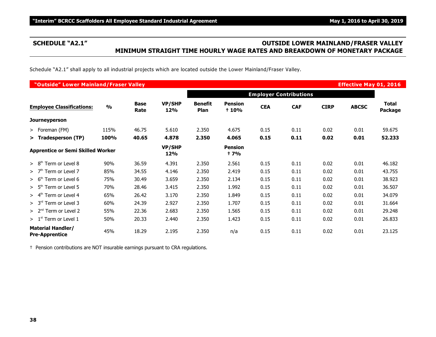### **SCHEDULE "A2.1" OUTSIDE LOWER MAINLAND/FRASER VALLEY MINIMUM STRAIGHT TIME HOURLY WAGE RATES AND BREAKDOWN OF MONETARY PACKAGE**

Schedule "A2.1" shall apply to all industrial projects which are located outside the Lower Mainland/Fraser Valley.

|                                                   | "Outside" Lower Mainland/Fraser Valley<br><b>Effective May 01, 2016</b> |                     |                      |                               |                               |            |                               |             |              |                         |  |  |
|---------------------------------------------------|-------------------------------------------------------------------------|---------------------|----------------------|-------------------------------|-------------------------------|------------|-------------------------------|-------------|--------------|-------------------------|--|--|
|                                                   |                                                                         |                     |                      |                               |                               |            | <b>Employer Contributions</b> |             |              |                         |  |  |
| <b>Employee Classifications:</b>                  | $\frac{0}{0}$                                                           | <b>Base</b><br>Rate | <b>VP/SHP</b><br>12% | <b>Benefit</b><br><b>Plan</b> | <b>Pension</b><br>+ 10%       | <b>CEA</b> | <b>CAF</b>                    | <b>CIRP</b> | <b>ABCSC</b> | <b>Total</b><br>Package |  |  |
| Journeyperson                                     |                                                                         |                     |                      |                               |                               |            |                               |             |              |                         |  |  |
| > Foreman (FM)                                    | 115%                                                                    | 46.75               | 5.610                | 2.350                         | 4.675                         | 0.15       | 0.11                          | 0.02        | 0.01         | 59.675                  |  |  |
| > Tradesperson (TP)                               | <b>100%</b>                                                             | 40.65               | 4.878                | 2.350                         | 4.065                         | 0.15       | 0.11                          | 0.02        | 0.01         | 52.233                  |  |  |
| <b>Apprentice or Semi Skilled Worker</b>          |                                                                         |                     | <b>VP/SHP</b><br>12% |                               | <b>Pension</b><br><b>t</b> 7% |            |                               |             |              |                         |  |  |
| Term or Level 8<br>> 8 <sup>th</sup>              | 90%                                                                     | 36.59               | 4.391                | 2.350                         | 2.561                         | 0.15       | 0.11                          | 0.02        | 0.01         | 46.182                  |  |  |
| $>$ 7 <sup>th</sup> Term or Level 7               | 85%                                                                     | 34.55               | 4.146                | 2.350                         | 2.419                         | 0.15       | 0.11                          | 0.02        | 0.01         | 43.755                  |  |  |
| $> 6th$ Term or Level 6                           | 75%                                                                     | 30.49               | 3.659                | 2.350                         | 2.134                         | 0.15       | 0.11                          | 0.02        | 0.01         | 38.923                  |  |  |
| $> 5th$ Term or Level 5                           | 70%                                                                     | 28.46               | 3.415                | 2.350                         | 1.992                         | 0.15       | 0.11                          | 0.02        | 0.01         | 36.507                  |  |  |
| $> 4th$ Term or Level 4                           | 65%                                                                     | 26.42               | 3.170                | 2.350                         | 1.849                         | 0.15       | 0.11                          | 0.02        | 0.01         | 34.079                  |  |  |
| $> 3rd$ Term or Level 3                           | 60%                                                                     | 24.39               | 2.927                | 2.350                         | 1.707                         | 0.15       | 0.11                          | 0.02        | 0.01         | 31.664                  |  |  |
| $> 2nd$ Term or Level 2                           | 55%                                                                     | 22.36               | 2.683                | 2.350                         | 1.565                         | 0.15       | 0.11                          | 0.02        | 0.01         | 29.248                  |  |  |
| $>1st$ Term or Level 1                            | 50%                                                                     | 20.33               | 2.440                | 2.350                         | 1.423                         | 0.15       | 0.11                          | 0.02        | 0.01         | 26.833                  |  |  |
| <b>Material Handler/</b><br><b>Pre-Apprentice</b> | 45%                                                                     | 18.29               | 2.195                | 2.350                         | n/a                           | 0.15       | 0.11                          | 0.02        | 0.01         | 23.125                  |  |  |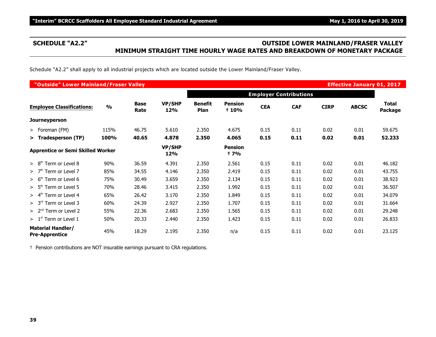### **SCHEDULE "A2.2" OUTSIDE LOWER MAINLAND/FRASER VALLEY MINIMUM STRAIGHT TIME HOURLY WAGE RATES AND BREAKDOWN OF MONETARY PACKAGE**

Schedule "A2.2" shall apply to all industrial projects which are located outside the Lower Mainland/Fraser Valley.

| "Outside" Lower Mainland/Fraser Valley<br><b>Effective January 01, 2017</b> |               |                     |               |                        |                               |            |                               |             |              |                         |  |
|-----------------------------------------------------------------------------|---------------|---------------------|---------------|------------------------|-------------------------------|------------|-------------------------------|-------------|--------------|-------------------------|--|
|                                                                             |               |                     |               |                        |                               |            | <b>Employer Contributions</b> |             |              |                         |  |
| <b>Employee Classifications:</b>                                            | $\frac{0}{0}$ | <b>Base</b><br>Rate | VP/SHP<br>12% | <b>Benefit</b><br>Plan | <b>Pension</b><br>+ 10%       | <b>CEA</b> | <b>CAF</b>                    | <b>CIRP</b> | <b>ABCSC</b> | <b>Total</b><br>Package |  |
| Journeyperson                                                               |               |                     |               |                        |                               |            |                               |             |              |                         |  |
| > Foreman (FM)                                                              | 115%          | 46.75               | 5.610         | 2.350                  | 4.675                         | 0.15       | 0.11                          | 0.02        | 0.01         | 59.675                  |  |
| > Tradesperson (TP)                                                         | 100%          | 40.65               | 4.878         | 2.350                  | 4.065                         | 0.15       | 0.11                          | 0.02        | 0.01         | 52.233                  |  |
| <b>Apprentice or Semi Skilled Worker</b>                                    |               |                     | VP/SHP<br>12% |                        | <b>Pension</b><br><b>t</b> 7% |            |                               |             |              |                         |  |
| Term or Level 8<br>> 8 <sup>th</sup>                                        | 90%           | 36.59               | 4.391         | 2.350                  | 2.561                         | 0.15       | 0.11                          | 0.02        | 0.01         | 46.182                  |  |
| >7 <sup>th</sup><br>Term or Level 7                                         | 85%           | 34.55               | 4.146         | 2.350                  | 2.419                         | 0.15       | 0.11                          | 0.02        | 0.01         | 43.755                  |  |
| $> 6th$ Term or Level 6                                                     | 75%           | 30.49               | 3.659         | 2.350                  | 2.134                         | 0.15       | 0.11                          | 0.02        | 0.01         | 38.923                  |  |
| Term or Level 5<br>> 5 <sup>th</sup>                                        | 70%           | 28.46               | 3.415         | 2.350                  | 1.992                         | 0.15       | 0.11                          | 0.02        | 0.01         | 36.507                  |  |
| Term or Level 4<br>> 4 <sup>th</sup>                                        | 65%           | 26.42               | 3.170         | 2.350                  | 1.849                         | 0.15       | 0.11                          | 0.02        | 0.01         | 34.079                  |  |
| $> 3rd$ Term or Level 3                                                     | 60%           | 24.39               | 2.927         | 2.350                  | 1.707                         | 0.15       | 0.11                          | 0.02        | 0.01         | 31.664                  |  |
| $> 2nd$ Term or Level 2                                                     | 55%           | 22.36               | 2.683         | 2.350                  | 1.565                         | 0.15       | 0.11                          | 0.02        | 0.01         | 29.248                  |  |
| $> 1st$ Term or Level 1                                                     | 50%           | 20.33               | 2.440         | 2.350                  | 1.423                         | 0.15       | 0.11                          | 0.02        | 0.01         | 26.833                  |  |
| <b>Material Handler/</b><br><b>Pre-Apprentice</b>                           | 45%           | 18.29               | 2.195         | 2.350                  | n/a                           | 0.15       | 0.11                          | 0.02        | 0.01         | 23.125                  |  |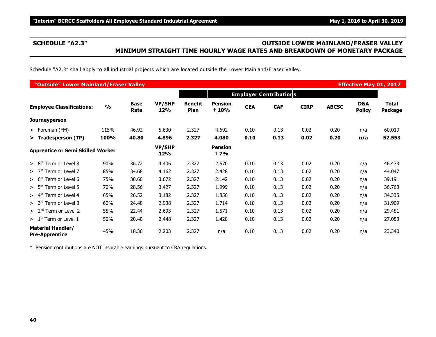### **SCHEDULE "A2.3" OUTSIDE LOWER MAINLAND/FRASER VALLEY MINIMUM STRAIGHT TIME HOURLY WAGE RATES AND BREAKDOWN OF MONETARY PACKAGE**

Schedule "A2.3" shall apply to all industrial projects which are located outside the Lower Mainland/Fraser Valley.

| "Outside" Lower Mainland/Fraser Valley<br><b>Effective May 01, 2017</b> |               |                     |                      |                        |                              |            |                               |             |              |                      |                         |
|-------------------------------------------------------------------------|---------------|---------------------|----------------------|------------------------|------------------------------|------------|-------------------------------|-------------|--------------|----------------------|-------------------------|
|                                                                         |               |                     |                      |                        |                              |            | <b>Employer Contributions</b> |             |              |                      |                         |
| <b>Employee Classifications:</b>                                        | $\frac{0}{0}$ | <b>Base</b><br>Rate | <b>VP/SHP</b><br>12% | <b>Benefit</b><br>Plan | <b>Pension</b><br>+ 10%      | <b>CEA</b> | <b>CAF</b>                    | <b>CIRP</b> | <b>ABCSC</b> | D&A<br><b>Policy</b> | <b>Total</b><br>Package |
| <b>Journeyperson</b>                                                    |               |                     |                      |                        |                              |            |                               |             |              |                      |                         |
| > Foreman (FM)                                                          | 115%          | 46.92               | 5.630                | 2.327                  | 4.692                        | 0.10       | 0.13                          | 0.02        | 0.20         | n/a                  | 60.019                  |
| > Tradesperson (TP)                                                     | 100%          | 40.80               | 4.896                | 2.327                  | 4.080                        | 0.10       | 0.13                          | 0.02        | 0.20         | n/a                  | 52.553                  |
| <b>Apprentice or Semi Skilled Worker</b>                                |               |                     | <b>VP/SHP</b><br>12% |                        | <b>Pension</b><br><b>+7%</b> |            |                               |             |              |                      |                         |
| > 8 <sup>th</sup><br>Term or Level 8                                    | 90%           | 36.72               | 4.406                | 2.327                  | 2.570                        | 0.10       | 0.13                          | 0.02        | 0.20         | n/a                  | 46.473                  |
| Term or Level 7<br>>7 <sup>th</sup>                                     | 85%           | 34.68               | 4.162                | 2.327                  | 2.428                        | 0.10       | 0.13                          | 0.02        | 0.20         | n/a                  | 44.047                  |
| > 6 <sup>th</sup><br>Term or Level 6                                    | 75%           | 30.60               | 3.672                | 2.327                  | 2.142                        | 0.10       | 0.13                          | 0.02        | 0.20         | n/a                  | 39.191                  |
| $> 5th$ Term or Level 5                                                 | 70%           | 28.56               | 3.427                | 2.327                  | 1.999                        | 0.10       | 0.13                          | 0.02        | 0.20         | n/a                  | 36.763                  |
| Term or Level 4<br>> 4 <sup>th</sup>                                    | 65%           | 26.52               | 3.182                | 2.327                  | 1.856                        | 0.10       | 0.13                          | 0.02        | 0.20         | n/a                  | 34.335                  |
| $> 3rd$ Term or Level 3                                                 | 60%           | 24.48               | 2.938                | 2.327                  | 1.714                        | 0.10       | 0.13                          | 0.02        | 0.20         | n/a                  | 31.909                  |
| $> 2nd$ Term or Level 2                                                 | 55%           | 22.44               | 2.693                | 2.327                  | 1.571                        | 0.10       | 0.13                          | 0.02        | 0.20         | n/a                  | 29.481                  |
| $> 1st$ Term or Level 1                                                 | 50%           | 20.40               | 2.448                | 2.327                  | 1.428                        | 0.10       | 0.13                          | 0.02        | 0.20         | n/a                  | 27.053                  |
| <b>Material Handler/</b><br><b>Pre-Apprentice</b>                       | 45%           | 18.36               | 2.203                | 2.327                  | n/a                          | 0.10       | 0.13                          | 0.02        | 0.20         | n/a                  | 23.340                  |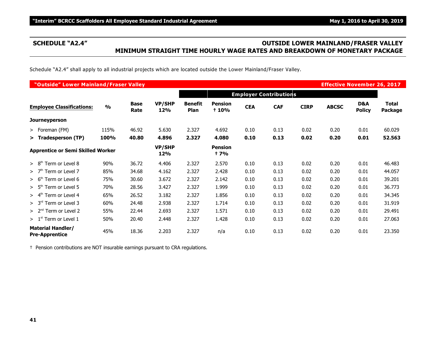### **SCHEDULE "A2.4" OUTSIDE LOWER MAINLAND/FRASER VALLEY MINIMUM STRAIGHT TIME HOURLY WAGE RATES AND BREAKDOWN OF MONETARY PACKAGE**

Schedule "A2.4" shall apply to all industrial projects which are located outside the Lower Mainland/Fraser Valley.

|                                                   | "Outside" Lower Mainland/Fraser Valley<br><b>Effective November 26, 2017</b> |                     |                      |                               |                         |            |            |             |              |                      |                         |  |  |
|---------------------------------------------------|------------------------------------------------------------------------------|---------------------|----------------------|-------------------------------|-------------------------|------------|------------|-------------|--------------|----------------------|-------------------------|--|--|
|                                                   |                                                                              |                     |                      | <b>Employer Contributions</b> |                         |            |            |             |              |                      |                         |  |  |
| <b>Employee Classifications:</b>                  | $\frac{9}{6}$                                                                | <b>Base</b><br>Rate | <b>VP/SHP</b><br>12% | <b>Benefit</b><br><b>Plan</b> | <b>Pension</b><br>+ 10% | <b>CEA</b> | <b>CAF</b> | <b>CIRP</b> | <b>ABCSC</b> | D&A<br><b>Policy</b> | <b>Total</b><br>Package |  |  |
| <b>Journeyperson</b>                              |                                                                              |                     |                      |                               |                         |            |            |             |              |                      |                         |  |  |
| > Foreman (FM)                                    | 115%                                                                         | 46.92               | 5.630                | 2.327                         | 4.692                   | 0.10       | 0.13       | 0.02        | 0.20         | 0.01                 | 60.029                  |  |  |
| > Tradesperson (TP)                               | 100%                                                                         | 40.80               | 4.896                | 2.327                         | 4.080                   | 0.10       | 0.13       | 0.02        | 0.20         | 0.01                 | 52.563                  |  |  |
| <b>Apprentice or Semi Skilled Worker</b>          |                                                                              |                     | <b>VP/SHP</b><br>12% |                               | <b>Pension</b><br>† 7%  |            |            |             |              |                      |                         |  |  |
| Term or Level 8<br>> 8 <sup>th</sup>              | 90%                                                                          | 36.72               | 4.406                | 2.327                         | 2.570                   | 0.10       | 0.13       | 0.02        | 0.20         | 0.01                 | 46.483                  |  |  |
| Term or Level 7<br>>7 <sup>th</sup>               | 85%                                                                          | 34.68               | 4.162                | 2.327                         | 2.428                   | 0.10       | 0.13       | 0.02        | 0.20         | 0.01                 | 44.057                  |  |  |
| > 6 <sup>th</sup><br>Term or Level 6              | 75%                                                                          | 30.60               | 3.672                | 2.327                         | 2.142                   | 0.10       | 0.13       | 0.02        | 0.20         | 0.01                 | 39.201                  |  |  |
| $> 5th$ Term or Level 5                           | 70%                                                                          | 28.56               | 3.427                | 2.327                         | 1.999                   | 0.10       | 0.13       | 0.02        | 0.20         | 0.01                 | 36.773                  |  |  |
| Term or Level 4<br>> 4 <sup>th</sup>              | 65%                                                                          | 26.52               | 3.182                | 2.327                         | 1.856                   | 0.10       | 0.13       | 0.02        | 0.20         | 0.01                 | 34.345                  |  |  |
| $> 3rd$ Term or Level 3                           | 60%                                                                          | 24.48               | 2.938                | 2.327                         | 1.714                   | 0.10       | 0.13       | 0.02        | 0.20         | 0.01                 | 31.919                  |  |  |
| $> 2nd$ Term or Level 2                           | 55%                                                                          | 22.44               | 2.693                | 2.327                         | 1.571                   | 0.10       | 0.13       | 0.02        | 0.20         | 0.01                 | 29.491                  |  |  |
| $>1st$ Term or Level 1                            | 50%                                                                          | 20.40               | 2.448                | 2.327                         | 1.428                   | 0.10       | 0.13       | 0.02        | 0.20         | 0.01                 | 27.063                  |  |  |
| <b>Material Handler/</b><br><b>Pre-Apprentice</b> | 45%                                                                          | 18.36               | 2.203                | 2.327                         | n/a                     | 0.10       | 0.13       | 0.02        | 0.20         | 0.01                 | 23.350                  |  |  |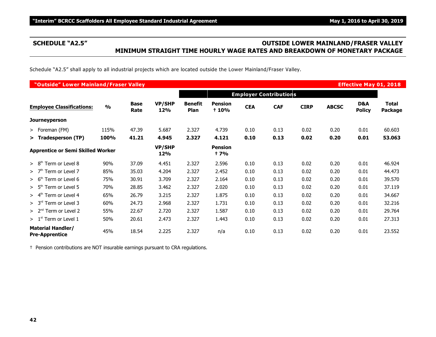### **SCHEDULE "A2.5" OUTSIDE LOWER MAINLAND/FRASER VALLEY MINIMUM STRAIGHT TIME HOURLY WAGE RATES AND BREAKDOWN OF MONETARY PACKAGE**

Schedule "A2.5" shall apply to all industrial projects which are located outside the Lower Mainland/Fraser Valley.

| "Outside" Lower Mainland/Fraser Valley<br><b>Effective May 01, 2018</b> |               |                     |                      |                        |                               |            |                               |             |              |                      |                                |
|-------------------------------------------------------------------------|---------------|---------------------|----------------------|------------------------|-------------------------------|------------|-------------------------------|-------------|--------------|----------------------|--------------------------------|
|                                                                         |               |                     |                      |                        |                               |            | <b>Employer Contributions</b> |             |              |                      |                                |
| <b>Employee Classifications:</b>                                        | $\frac{0}{0}$ | <b>Base</b><br>Rate | <b>VP/SHP</b><br>12% | <b>Benefit</b><br>Plan | <b>Pension</b><br>+ 10%       | <b>CEA</b> | <b>CAF</b>                    | <b>CIRP</b> | <b>ABCSC</b> | D&A<br><b>Policy</b> | <b>Total</b><br><b>Package</b> |
| Journeyperson                                                           |               |                     |                      |                        |                               |            |                               |             |              |                      |                                |
| > Foreman (FM)                                                          | 115%          | 47.39               | 5.687                | 2.327                  | 4.739                         | 0.10       | 0.13                          | 0.02        | 0.20         | 0.01                 | 60.603                         |
| > Tradesperson (TP)                                                     | 100%          | 41.21               | 4.945                | 2.327                  | 4.121                         | 0.10       | 0.13                          | 0.02        | 0.20         | 0.01                 | 53.063                         |
| <b>Apprentice or Semi Skilled Worker</b>                                |               |                     | <b>VP/SHP</b><br>12% |                        | <b>Pension</b><br><b>t</b> 7% |            |                               |             |              |                      |                                |
| > 8 <sup>th</sup><br>Term or Level 8                                    | 90%           | 37.09               | 4.451                | 2.327                  | 2.596                         | 0.10       | 0.13                          | 0.02        | 0.20         | 0.01                 | 46.924                         |
| Term or Level 7<br>> 7 <sup>th</sup>                                    | 85%           | 35.03               | 4.204                | 2.327                  | 2.452                         | 0.10       | 0.13                          | 0.02        | 0.20         | 0.01                 | 44.473                         |
| > 6 <sup>th</sup><br>Term or Level 6                                    | 75%           | 30.91               | 3.709                | 2.327                  | 2.164                         | 0.10       | 0.13                          | 0.02        | 0.20         | 0.01                 | 39.570                         |
| $> 5th$ Term or Level 5                                                 | 70%           | 28.85               | 3.462                | 2.327                  | 2.020                         | 0.10       | 0.13                          | 0.02        | 0.20         | 0.01                 | 37.119                         |
| Term or Level 4<br>> 4 <sup>th</sup>                                    | 65%           | 26.79               | 3.215                | 2.327                  | 1.875                         | 0.10       | 0.13                          | 0.02        | 0.20         | 0.01                 | 34.667                         |
| $> 3rd$ Term or Level 3                                                 | 60%           | 24.73               | 2.968                | 2.327                  | 1.731                         | 0.10       | 0.13                          | 0.02        | 0.20         | 0.01                 | 32.216                         |
| $> 2nd$ Term or Level 2                                                 | 55%           | 22.67               | 2.720                | 2.327                  | 1.587                         | 0.10       | 0.13                          | 0.02        | 0.20         | 0.01                 | 29.764                         |
| $> 1st$ Term or Level 1                                                 | 50%           | 20.61               | 2.473                | 2.327                  | 1.443                         | 0.10       | 0.13                          | 0.02        | 0.20         | 0.01                 | 27.313                         |
| <b>Material Handler/</b><br><b>Pre-Apprentice</b>                       | 45%           | 18.54               | 2.225                | 2.327                  | n/a                           | 0.10       | 0.13                          | 0.02        | 0.20         | 0.01                 | 23.552                         |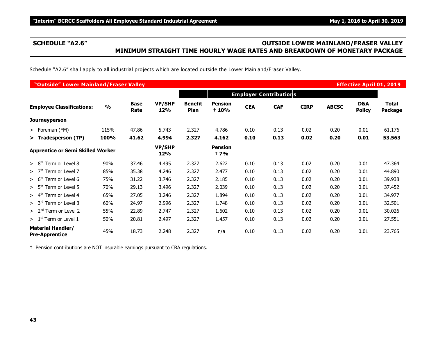### **SCHEDULE "A2.6" OUTSIDE LOWER MAINLAND/FRASER VALLEY MINIMUM STRAIGHT TIME HOURLY WAGE RATES AND BREAKDOWN OF MONETARY PACKAGE**

Schedule "A2.6" shall apply to all industrial projects which are located outside the Lower Mainland/Fraser Valley.

|                                                   | "Outside" Lower Mainland/Fraser Valley<br><b>Effective April 01, 2019</b> |                     |                      |                               |                               |            |                               |             |              |                      |                  |  |  |
|---------------------------------------------------|---------------------------------------------------------------------------|---------------------|----------------------|-------------------------------|-------------------------------|------------|-------------------------------|-------------|--------------|----------------------|------------------|--|--|
|                                                   |                                                                           |                     |                      |                               |                               |            | <b>Employer Contributions</b> |             |              |                      |                  |  |  |
| <b>Employee Classifications:</b>                  | $\frac{0}{0}$                                                             | <b>Base</b><br>Rate | <b>VP/SHP</b><br>12% | <b>Benefit</b><br><b>Plan</b> | <b>Pension</b><br>+ 10%       | <b>CEA</b> | <b>CAF</b>                    | <b>CIRP</b> | <b>ABCSC</b> | D&A<br><b>Policy</b> | Total<br>Package |  |  |
| <b>Journeyperson</b>                              |                                                                           |                     |                      |                               |                               |            |                               |             |              |                      |                  |  |  |
| > Foreman (FM)                                    | 115%                                                                      | 47.86               | 5.743                | 2.327                         | 4.786                         | 0.10       | 0.13                          | 0.02        | 0.20         | 0.01                 | 61.176           |  |  |
| > Tradesperson (TP)                               | 100%                                                                      | 41.62               | 4.994                | 2.327                         | 4.162                         | 0.10       | 0.13                          | 0.02        | 0.20         | 0.01                 | 53.563           |  |  |
| <b>Apprentice or Semi Skilled Worker</b>          |                                                                           |                     | <b>VP/SHP</b><br>12% |                               | <b>Pension</b><br><b>t</b> 7% |            |                               |             |              |                      |                  |  |  |
| Term or Level 8<br>> 8 <sup>th</sup>              | 90%                                                                       | 37.46               | 4.495                | 2.327                         | 2.622                         | 0.10       | 0.13                          | 0.02        | 0.20         | 0.01                 | 47.364           |  |  |
| Term or Level 7<br>>7 <sup>th</sup>               | 85%                                                                       | 35.38               | 4.246                | 2.327                         | 2.477                         | 0.10       | 0.13                          | 0.02        | 0.20         | 0.01                 | 44.890           |  |  |
| Term or Level 6<br>> 6 <sup>th</sup>              | 75%                                                                       | 31.22               | 3.746                | 2.327                         | 2.185                         | 0.10       | 0.13                          | 0.02        | 0.20         | 0.01                 | 39.938           |  |  |
| $> 5th$ Term or Level 5                           | 70%                                                                       | 29.13               | 3.496                | 2.327                         | 2.039                         | 0.10       | 0.13                          | 0.02        | 0.20         | 0.01                 | 37.452           |  |  |
| Term or Level 4<br>$> 4^{\rm m}$                  | 65%                                                                       | 27.05               | 3.246                | 2.327                         | 1.894                         | 0.10       | 0.13                          | 0.02        | 0.20         | 0.01                 | 34.977           |  |  |
| $> 3rd$ Term or Level 3                           | 60%                                                                       | 24.97               | 2.996                | 2.327                         | 1.748                         | 0.10       | 0.13                          | 0.02        | 0.20         | 0.01                 | 32.501           |  |  |
| $> 2nd$ Term or Level 2                           | 55%                                                                       | 22.89               | 2.747                | 2.327                         | 1.602                         | 0.10       | 0.13                          | 0.02        | 0.20         | 0.01                 | 30.026           |  |  |
| $>1st$ Term or Level 1                            | 50%                                                                       | 20.81               | 2.497                | 2.327                         | 1.457                         | 0.10       | 0.13                          | 0.02        | 0.20         | 0.01                 | 27.551           |  |  |
| <b>Material Handler/</b><br><b>Pre-Apprentice</b> | 45%                                                                       | 18.73               | 2.248                | 2.327                         | n/a                           | 0.10       | 0.13                          | 0.02        | 0.20         | 0.01                 | 23.765           |  |  |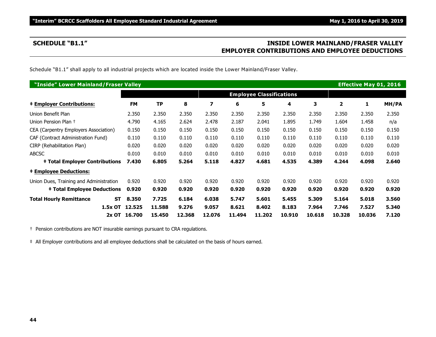### **SCHEDULE "B1.1" INSIDE LOWER MAINLAND/FRASER VALLEY EMPLOYER CONTRIBUTIONS AND EMPLOYEE DEDUCTIONS**

Schedule "B1.1" shall apply to all industrial projects which are located inside the Lower Mainland/Fraser Valley.

| "Inside" Lower Mainland/Fraser Valley       |              |        |        |        |        |                                 |        |        |        | <b>Effective May 01, 2016</b> |       |
|---------------------------------------------|--------------|--------|--------|--------|--------|---------------------------------|--------|--------|--------|-------------------------------|-------|
|                                             |              |        |        |        |        | <b>Employee Classifications</b> |        |        |        |                               |       |
| <b>‡ Employer Contributions:</b>            | <b>FM</b>    | TP     | 8      | 7      | 6      | 5                               | 4      | 3      | 2      | 1                             | MH/PA |
| Union Benefit Plan                          | 2.350        | 2.350  | 2.350  | 2.350  | 2.350  | 2.350                           | 2.350  | 2.350  | 2.350  | 2.350                         | 2.350 |
| Union Pension Plan +                        | 4.790        | 4.165  | 2.624  | 2.478  | 2.187  | 2.041                           | 1.895  | 1.749  | 1.604  | 1.458                         | n/a   |
| CEA (Carpentry Employers Association)       | 0.150        | 0.150  | 0.150  | 0.150  | 0.150  | 0.150                           | 0.150  | 0.150  | 0.150  | 0.150                         | 0.150 |
| CAF (Contract Administration Fund)          | 0.110        | 0.110  | 0.110  | 0.110  | 0.110  | 0.110                           | 0.110  | 0.110  | 0.110  | 0.110                         | 0.110 |
| CIRP (Rehabilitation Plan)                  | 0.020        | 0.020  | 0.020  | 0.020  | 0.020  | 0.020                           | 0.020  | 0.020  | 0.020  | 0.020                         | 0.020 |
| <b>ABCSC</b>                                | 0.010        | 0.010  | 0.010  | 0.010  | 0.010  | 0.010                           | 0.010  | 0.010  | 0.010  | 0.010                         | 0.010 |
| <b>‡ Total Employer Contributions</b>       | 7.430        | 6.805  | 5.264  | 5.118  | 4.827  | 4.681                           | 4.535  | 4.389  | 4.244  | 4.098                         | 2.640 |
| <b>‡ Employee Deductions:</b>               |              |        |        |        |        |                                 |        |        |        |                               |       |
| Union Dues, Training and Administration     | 0.920        | 0.920  | 0.920  | 0.920  | 0.920  | 0.920                           | 0.920  | 0.920  | 0.920  | 0.920                         | 0.920 |
| <b>‡ Total Employee Deductions</b>          | 0.920        | 0.920  | 0.920  | 0.920  | 0.920  | 0.920                           | 0.920  | 0.920  | 0.920  | 0.920                         | 0.920 |
| <b>Total Hourly Remittance</b><br><b>ST</b> | 8.350        | 7.725  | 6.184  | 6.038  | 5.747  | 5.601                           | 5.455  | 5.309  | 5.164  | 5.018                         | 3.560 |
| 1.5x OT                                     | 12.525       | 11.588 | 9.276  | 9.057  | 8.621  | 8.402                           | 8.183  | 7.964  | 7.746  | 7.527                         | 5.340 |
|                                             | 2x OT 16.700 | 15.450 | 12.368 | 12.076 | 11.494 | 11.202                          | 10.910 | 10.618 | 10.328 | 10.036                        | 7.120 |

† Pension contributions are NOT insurable earnings pursuant to CRA regulations.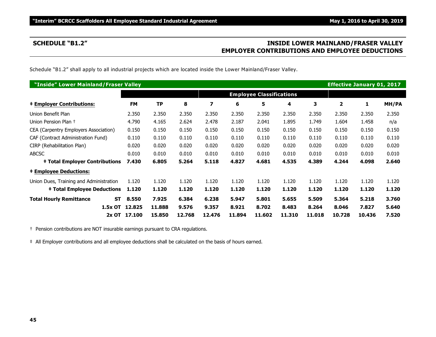### **SCHEDULE "B1.2" INSIDE LOWER MAINLAND/FRASER VALLEY EMPLOYER CONTRIBUTIONS AND EMPLOYEE DEDUCTIONS**

Schedule "B1.2" shall apply to all industrial projects which are located inside the Lower Mainland/Fraser Valley.

| "Inside" Lower Mainland/Fraser Valley       |              |        |        |        |        |                                 |        |        | <b>Effective January 01, 2017</b> |        |       |
|---------------------------------------------|--------------|--------|--------|--------|--------|---------------------------------|--------|--------|-----------------------------------|--------|-------|
|                                             |              |        |        |        |        | <b>Employee Classifications</b> |        |        |                                   |        |       |
| <b>‡ Employer Contributions:</b>            | <b>FM</b>    | TP     | 8      | 7      | 6      | 5                               | 4      | 3      | 2                                 | 1      | MH/PA |
| Union Benefit Plan                          | 2.350        | 2.350  | 2.350  | 2.350  | 2.350  | 2.350                           | 2.350  | 2.350  | 2.350                             | 2.350  | 2.350 |
| Union Pension Plan +                        | 4.790        | 4.165  | 2.624  | 2.478  | 2.187  | 2.041                           | 1.895  | 1.749  | 1.604                             | 1.458  | n/a   |
| CEA (Carpentry Employers Association)       | 0.150        | 0.150  | 0.150  | 0.150  | 0.150  | 0.150                           | 0.150  | 0.150  | 0.150                             | 0.150  | 0.150 |
| CAF (Contract Administration Fund)          | 0.110        | 0.110  | 0.110  | 0.110  | 0.110  | 0.110                           | 0.110  | 0.110  | 0.110                             | 0.110  | 0.110 |
| CIRP (Rehabilitation Plan)                  | 0.020        | 0.020  | 0.020  | 0.020  | 0.020  | 0.020                           | 0.020  | 0.020  | 0.020                             | 0.020  | 0.020 |
| <b>ABCSC</b>                                | 0.010        | 0.010  | 0.010  | 0.010  | 0.010  | 0.010                           | 0.010  | 0.010  | 0.010                             | 0.010  | 0.010 |
| <b>‡ Total Employer Contributions</b>       | 7.430        | 6.805  | 5.264  | 5.118  | 4.827  | 4.681                           | 4.535  | 4.389  | 4.244                             | 4.098  | 2.640 |
| <b>‡ Employee Deductions:</b>               |              |        |        |        |        |                                 |        |        |                                   |        |       |
| Union Dues, Training and Administration     | 1.120        | 1.120  | 1.120  | 1.120  | 1.120  | 1.120                           | 1.120  | 1.120  | 1.120                             | 1.120  | 1.120 |
| <b>‡ Total Employee Deductions</b>          | 1.120        | 1.120  | 1.120  | 1.120  | 1.120  | 1.120                           | 1.120  | 1.120  | 1.120                             | 1.120  | 1.120 |
| <b>Total Hourly Remittance</b><br><b>ST</b> | 8.550        | 7.925  | 6.384  | 6.238  | 5.947  | 5.801                           | 5.655  | 5.509  | 5.364                             | 5.218  | 3.760 |
| 1.5x OT                                     | 12.825       | 11,888 | 9.576  | 9.357  | 8.921  | 8.702                           | 8.483  | 8.264  | 8.046                             | 7.827  | 5.640 |
|                                             | 2x OT 17.100 | 15.850 | 12.768 | 12.476 | 11.894 | 11.602                          | 11.310 | 11.018 | 10.728                            | 10.436 | 7.520 |

† Pension contributions are NOT insurable earnings pursuant to CRA regulations.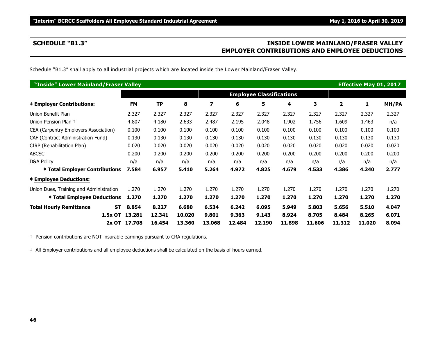### **SCHEDULE "B1.3" INSIDE LOWER MAINLAND/FRASER VALLEY EMPLOYER CONTRIBUTIONS AND EMPLOYEE DEDUCTIONS**

Schedule "B1.3" shall apply to all industrial projects which are located inside the Lower Mainland/Fraser Valley.

| "Inside" Lower Mainland/Fraser Valley       |              |           |        |        |        |                                 |        |        |                | <b>Effective May 01, 2017</b> |       |
|---------------------------------------------|--------------|-----------|--------|--------|--------|---------------------------------|--------|--------|----------------|-------------------------------|-------|
|                                             |              |           |        |        |        | <b>Employee Classifications</b> |        |        |                |                               |       |
| <b>‡ Employer Contributions:</b>            | <b>FM</b>    | <b>TP</b> | 8      | 7      | 6      | 5                               | 4      | 3      | $\overline{2}$ | 1                             | MH/PA |
| Union Benefit Plan                          | 2.327        | 2.327     | 2.327  | 2.327  | 2.327  | 2.327                           | 2.327  | 2.327  | 2.327          | 2.327                         | 2.327 |
| Union Pension Plan +                        | 4.807        | 4.180     | 2.633  | 2.487  | 2.195  | 2.048                           | 1.902  | 1.756  | 1.609          | 1.463                         | n/a   |
| CEA (Carpentry Employers Association)       | 0.100        | 0.100     | 0.100  | 0.100  | 0.100  | 0.100                           | 0.100  | 0.100  | 0.100          | 0.100                         | 0.100 |
| CAF (Contract Administration Fund)          | 0.130        | 0.130     | 0.130  | 0.130  | 0.130  | 0.130                           | 0.130  | 0.130  | 0.130          | 0.130                         | 0.130 |
| CIRP (Rehabilitation Plan)                  | 0.020        | 0.020     | 0.020  | 0.020  | 0.020  | 0.020                           | 0.020  | 0.020  | 0.020          | 0.020                         | 0.020 |
| <b>ABCSC</b>                                | 0.200        | 0.200     | 0.200  | 0.200  | 0.200  | 0.200                           | 0.200  | 0.200  | 0.200          | 0.200                         | 0.200 |
| D&A Policy                                  | n/a          | n/a       | n/a    | n/a    | n/a    | n/a                             | n/a    | n/a    | n/a            | n/a                           | n/a   |
| <b>‡ Total Employer Contributions</b>       | 7.584        | 6.957     | 5.410  | 5.264  | 4.972  | 4.825                           | 4.679  | 4.533  | 4.386          | 4.240                         | 2.777 |
| <b>‡ Employee Deductions:</b>               |              |           |        |        |        |                                 |        |        |                |                               |       |
| Union Dues, Training and Administration     | 1.270        | 1.270     | 1.270  | 1.270  | 1.270  | 1.270                           | 1.270  | 1.270  | 1.270          | 1.270                         | 1.270 |
| <b>‡ Total Employee Deductions</b>          | 1.270        | 1.270     | 1.270  | 1.270  | 1.270  | 1.270                           | 1.270  | 1.270  | 1.270          | 1.270                         | 1.270 |
| <b>Total Hourly Remittance</b><br><b>ST</b> | 8.854        | 8.227     | 6.680  | 6.534  | 6.242  | 6.095                           | 5.949  | 5.803  | 5.656          | 5.510                         | 4.047 |
| 1.5x OT                                     | 13.281       | 12.341    | 10,020 | 9.801  | 9.363  | 9.143                           | 8.924  | 8.705  | 8.484          | 8.265                         | 6.071 |
|                                             | 2x OT 17.708 | 16.454    | 13.360 | 13.068 | 12.484 | 12.190                          | 11.898 | 11.606 | 11.312         | 11.020                        | 8.094 |

† Pension contributions are NOT insurable earnings pursuant to CRA regulations.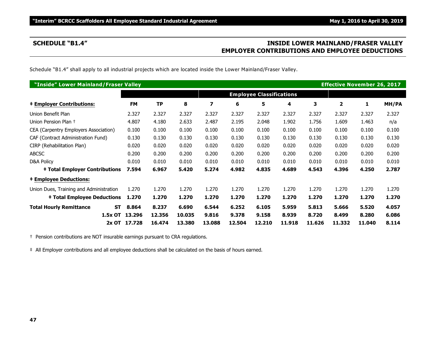### **SCHEDULE "B1.4" INSIDE LOWER MAINLAND/FRASER VALLEY EMPLOYER CONTRIBUTIONS AND EMPLOYEE DEDUCTIONS**

Schedule "B1.4" shall apply to all industrial projects which are located inside the Lower Mainland/Fraser Valley.

| "Inside" Lower Mainland/Fraser Valley       |                |           |        |                |        |                                 |        |        | <b>Effective November 26, 2017</b> |        |       |
|---------------------------------------------|----------------|-----------|--------|----------------|--------|---------------------------------|--------|--------|------------------------------------|--------|-------|
|                                             |                |           |        |                |        | <b>Employee Classifications</b> |        |        |                                    |        |       |
| <b>‡ Employer Contributions:</b>            | <b>FM</b>      | <b>TP</b> | 8      | $\overline{z}$ | 6      | 5                               | 4      | 3      | $\overline{2}$                     | 1      | MH/PA |
| Union Benefit Plan                          | 2.327          | 2.327     | 2.327  | 2.327          | 2.327  | 2.327                           | 2.327  | 2.327  | 2.327                              | 2.327  | 2.327 |
| Union Pension Plan +                        | 4.807          | 4.180     | 2.633  | 2.487          | 2.195  | 2.048                           | 1.902  | 1.756  | 1.609                              | 1.463  | n/a   |
| CEA (Carpentry Employers Association)       | 0.100          | 0.100     | 0.100  | 0.100          | 0.100  | 0.100                           | 0.100  | 0.100  | 0.100                              | 0.100  | 0.100 |
| CAF (Contract Administration Fund)          | 0.130          | 0.130     | 0.130  | 0.130          | 0.130  | 0.130                           | 0.130  | 0.130  | 0.130                              | 0.130  | 0.130 |
| CIRP (Rehabilitation Plan)                  | 0.020          | 0.020     | 0.020  | 0.020          | 0.020  | 0.020                           | 0.020  | 0.020  | 0.020                              | 0.020  | 0.020 |
| <b>ABCSC</b>                                | 0.200          | 0.200     | 0.200  | 0.200          | 0.200  | 0.200                           | 0.200  | 0.200  | 0.200                              | 0.200  | 0.200 |
| D&A Policy                                  | 0.010          | 0.010     | 0.010  | 0.010          | 0.010  | 0.010                           | 0.010  | 0.010  | 0.010                              | 0.010  | 0.010 |
| <b>‡ Total Employer Contributions</b>       | 7.594          | 6.967     | 5.420  | 5.274          | 4.982  | 4.835                           | 4.689  | 4.543  | 4.396                              | 4.250  | 2.787 |
| <b>‡ Employee Deductions:</b>               |                |           |        |                |        |                                 |        |        |                                    |        |       |
| Union Dues, Training and Administration     | 1.270          | 1.270     | 1.270  | 1.270          | 1.270  | 1.270                           | 1.270  | 1.270  | 1.270                              | 1.270  | 1.270 |
| <b>‡ Total Employee Deductions</b>          | 1.270          | 1.270     | 1.270  | 1.270          | 1.270  | 1.270                           | 1.270  | 1.270  | 1.270                              | 1.270  | 1.270 |
| <b>Total Hourly Remittance</b><br><b>ST</b> | 8.864          | 8.237     | 6.690  | 6.544          | 6.252  | 6.105                           | 5.959  | 5.813  | 5.666                              | 5.520  | 4.057 |
|                                             | 1.5x OT 13.296 | 12,356    | 10.035 | 9.816          | 9.378  | 9.158                           | 8.939  | 8.720  | 8.499                              | 8.280  | 6.086 |
|                                             | 2x OT 17.728   | 16.474    | 13.380 | 13.088         | 12.504 | 12.210                          | 11.918 | 11.626 | 11.332                             | 11.040 | 8.114 |

† Pension contributions are NOT insurable earnings pursuant to CRA regulations.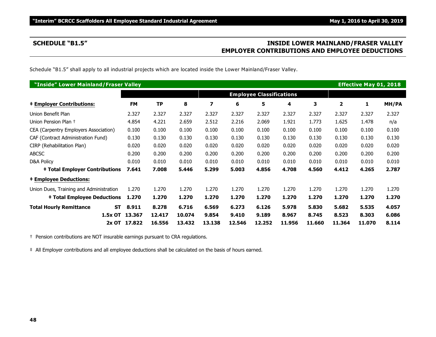### **SCHEDULE "B1.5" INSIDE LOWER MAINLAND/FRASER VALLEY EMPLOYER CONTRIBUTIONS AND EMPLOYEE DEDUCTIONS**

Schedule "B1.5" shall apply to all industrial projects which are located inside the Lower Mainland/Fraser Valley.

| "Inside" Lower Mainland/Fraser Valley       |              |           |        |        |        |                                 |        |        |                | <b>Effective May 01, 2018</b> |       |
|---------------------------------------------|--------------|-----------|--------|--------|--------|---------------------------------|--------|--------|----------------|-------------------------------|-------|
|                                             |              |           |        |        |        | <b>Employee Classifications</b> |        |        |                |                               |       |
| <b>‡ Employer Contributions:</b>            | <b>FM</b>    | <b>TP</b> | 8      | 7      | 6      | 5                               | 4      | 3      | $\overline{2}$ | 1                             | MH/PA |
| Union Benefit Plan                          | 2.327        | 2.327     | 2.327  | 2.327  | 2.327  | 2.327                           | 2.327  | 2.327  | 2.327          | 2.327                         | 2.327 |
| Union Pension Plan +                        | 4.854        | 4.221     | 2.659  | 2.512  | 2.216  | 2.069                           | 1.921  | 1.773  | 1.625          | 1.478                         | n/a   |
| CEA (Carpentry Employers Association)       | 0.100        | 0.100     | 0.100  | 0.100  | 0.100  | 0.100                           | 0.100  | 0.100  | 0.100          | 0.100                         | 0.100 |
| CAF (Contract Administration Fund)          | 0.130        | 0.130     | 0.130  | 0.130  | 0.130  | 0.130                           | 0.130  | 0.130  | 0.130          | 0.130                         | 0.130 |
| CIRP (Rehabilitation Plan)                  | 0.020        | 0.020     | 0.020  | 0.020  | 0.020  | 0.020                           | 0.020  | 0.020  | 0.020          | 0.020                         | 0.020 |
| <b>ABCSC</b>                                | 0.200        | 0.200     | 0.200  | 0.200  | 0.200  | 0.200                           | 0.200  | 0.200  | 0.200          | 0.200                         | 0.200 |
| D&A Policy                                  | 0.010        | 0.010     | 0.010  | 0.010  | 0.010  | 0.010                           | 0.010  | 0.010  | 0.010          | 0.010                         | 0.010 |
| <b>‡ Total Employer Contributions</b>       | 7.641        | 7.008     | 5.446  | 5.299  | 5.003  | 4.856                           | 4.708  | 4.560  | 4.412          | 4.265                         | 2.787 |
| <b>‡ Employee Deductions:</b>               |              |           |        |        |        |                                 |        |        |                |                               |       |
| Union Dues, Training and Administration     | 1.270        | 1.270     | 1.270  | 1.270  | 1.270  | 1.270                           | 1.270  | 1.270  | 1.270          | 1.270                         | 1.270 |
| <b>‡ Total Employee Deductions</b>          | 1.270        | 1.270     | 1.270  | 1.270  | 1.270  | 1.270                           | 1.270  | 1.270  | 1.270          | 1.270                         | 1.270 |
| <b>Total Hourly Remittance</b><br><b>ST</b> | 8.911        | 8.278     | 6.716  | 6.569  | 6.273  | 6.126                           | 5.978  | 5.830  | 5.682          | 5.535                         | 4.057 |
| 1.5x OT                                     | 13.367       | 12.417    | 10.074 | 9.854  | 9.410  | 9.189                           | 8.967  | 8.745  | 8.523          | 8.303                         | 6.086 |
|                                             | 2x OT 17.822 | 16.556    | 13.432 | 13.138 | 12.546 | 12.252                          | 11.956 | 11.660 | 11.364         | 11.070                        | 8.114 |

† Pension contributions are NOT insurable earnings pursuant to CRA regulations.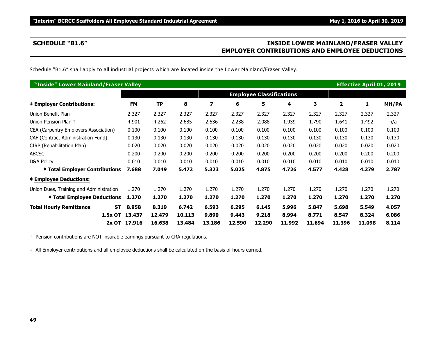### **SCHEDULE "B1.6" INSIDE LOWER MAINLAND/FRASER VALLEY EMPLOYER CONTRIBUTIONS AND EMPLOYEE DEDUCTIONS**

Schedule "B1.6" shall apply to all industrial projects which are located inside the Lower Mainland/Fraser Valley.

| "Inside" Lower Mainland/Fraser Valley       |                |           |        |        |        |                                 |        |        |                | <b>Effective April 01, 2019</b> |       |
|---------------------------------------------|----------------|-----------|--------|--------|--------|---------------------------------|--------|--------|----------------|---------------------------------|-------|
|                                             |                |           |        |        |        | <b>Employee Classifications</b> |        |        |                |                                 |       |
| <b>‡ Employer Contributions:</b>            | <b>FM</b>      | <b>TP</b> | 8      | 7      | 6      | 5                               | 4      | 3      | $\overline{2}$ | 1                               | MH/PA |
| Union Benefit Plan                          | 2.327          | 2.327     | 2.327  | 2.327  | 2.327  | 2.327                           | 2.327  | 2.327  | 2.327          | 2.327                           | 2.327 |
| Union Pension Plan +                        | 4.901          | 4.262     | 2.685  | 2.536  | 2.238  | 2.088                           | 1.939  | 1.790  | 1.641          | 1.492                           | n/a   |
| CEA (Carpentry Employers Association)       | 0.100          | 0.100     | 0.100  | 0.100  | 0.100  | 0.100                           | 0.100  | 0.100  | 0.100          | 0.100                           | 0.100 |
| CAF (Contract Administration Fund)          | 0.130          | 0.130     | 0.130  | 0.130  | 0.130  | 0.130                           | 0.130  | 0.130  | 0.130          | 0.130                           | 0.130 |
| CIRP (Rehabilitation Plan)                  | 0.020          | 0.020     | 0.020  | 0.020  | 0.020  | 0.020                           | 0.020  | 0.020  | 0.020          | 0.020                           | 0.020 |
| <b>ABCSC</b>                                | 0.200          | 0.200     | 0.200  | 0.200  | 0.200  | 0.200                           | 0.200  | 0.200  | 0.200          | 0.200                           | 0.200 |
| D&A Policy                                  | 0.010          | 0.010     | 0.010  | 0.010  | 0.010  | 0.010                           | 0.010  | 0.010  | 0.010          | 0.010                           | 0.010 |
| <b>‡ Total Employer Contributions</b>       | 7.688          | 7.049     | 5.472  | 5.323  | 5.025  | 4.875                           | 4.726  | 4.577  | 4.428          | 4.279                           | 2.787 |
| <b>‡ Employee Deductions:</b>               |                |           |        |        |        |                                 |        |        |                |                                 |       |
| Union Dues, Training and Administration     | 1.270          | 1.270     | 1.270  | 1.270  | 1.270  | 1.270                           | 1.270  | 1.270  | 1.270          | 1.270                           | 1.270 |
| <b>‡ Total Employee Deductions</b>          | 1.270          | 1.270     | 1.270  | 1.270  | 1.270  | 1.270                           | 1.270  | 1.270  | 1.270          | 1.270                           | 1.270 |
| <b>Total Hourly Remittance</b><br><b>ST</b> | 8.958          | 8.319     | 6.742  | 6.593  | 6.295  | 6.145                           | 5.996  | 5.847  | 5.698          | 5.549                           | 4.057 |
|                                             | 1.5x OT 13.437 | 12.479    | 10.113 | 9.890  | 9.443  | 9.218                           | 8.994  | 8.771  | 8.547          | 8.324                           | 6.086 |
|                                             | 2x OT 17.916   | 16.638    | 13.484 | 13.186 | 12.590 | 12.290                          | 11.992 | 11.694 | 11.396         | 11.098                          | 8.114 |

† Pension contributions are NOT insurable earnings pursuant to CRA regulations.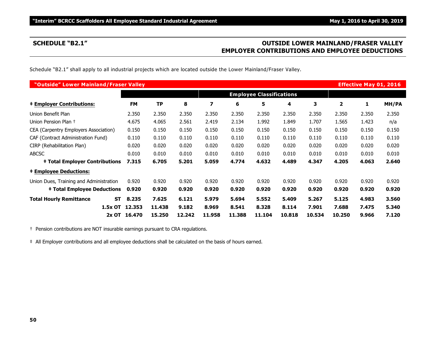### **SCHEDULE "B2.1" OUTSIDE LOWER MAINLAND/FRASER VALLEY EMPLOYER CONTRIBUTIONS AND EMPLOYEE DEDUCTIONS**

Schedule "B2.1" shall apply to all industrial projects which are located outside the Lower Mainland/Fraser Valley.

| "Outside" Lower Mainland/Fraser Valley      |              |                                 |        |        |        |        |        |        |                | <b>Effective May 01, 2016</b> |       |
|---------------------------------------------|--------------|---------------------------------|--------|--------|--------|--------|--------|--------|----------------|-------------------------------|-------|
|                                             |              | <b>Employee Classifications</b> |        |        |        |        |        |        |                |                               |       |
| <b>‡ Employer Contributions:</b>            | <b>FM</b>    | <b>TP</b>                       | 8      | 7      | 6      | 5      | 4      | 3      | $\overline{2}$ | 1                             | MH/PA |
| Union Benefit Plan                          | 2.350        | 2.350                           | 2.350  | 2.350  | 2.350  | 2.350  | 2.350  | 2.350  | 2.350          | 2.350                         | 2.350 |
| Union Pension Plan +                        | 4.675        | 4.065                           | 2.561  | 2.419  | 2.134  | 1.992  | 1.849  | 1.707  | 1.565          | 1.423                         | n/a   |
| CEA (Carpentry Employers Association)       | 0.150        | 0.150                           | 0.150  | 0.150  | 0.150  | 0.150  | 0.150  | 0.150  | 0.150          | 0.150                         | 0.150 |
| CAF (Contract Administration Fund)          | 0.110        | 0.110                           | 0.110  | 0.110  | 0.110  | 0.110  | 0.110  | 0.110  | 0.110          | 0.110                         | 0.110 |
| CIRP (Rehabilitation Plan)                  | 0.020        | 0.020                           | 0.020  | 0.020  | 0.020  | 0.020  | 0.020  | 0.020  | 0.020          | 0.020                         | 0.020 |
| <b>ABCSC</b>                                | 0.010        | 0.010                           | 0.010  | 0.010  | 0.010  | 0.010  | 0.010  | 0.010  | 0.010          | 0.010                         | 0.010 |
| <b>‡ Total Employer Contributions</b>       | 7.315        | 6.705                           | 5.201  | 5.059  | 4.774  | 4.632  | 4.489  | 4.347  | 4.205          | 4.063                         | 2.640 |
| <b>‡ Employee Deductions:</b>               |              |                                 |        |        |        |        |        |        |                |                               |       |
| Union Dues, Training and Administration     | 0.920        | 0.920                           | 0.920  | 0.920  | 0.920  | 0.920  | 0.920  | 0.920  | 0.920          | 0.920                         | 0.920 |
| <b>‡ Total Employee Deductions</b>          | 0.920        | 0.920                           | 0.920  | 0.920  | 0.920  | 0.920  | 0.920  | 0.920  | 0.920          | 0.920                         | 0.920 |
| <b>Total Hourly Remittance</b><br><b>ST</b> | 8.235        | 7.625                           | 6.121  | 5.979  | 5.694  | 5.552  | 5.409  | 5.267  | 5.125          | 4.983                         | 3.560 |
| 1.5x OT                                     | 12.353       | 11.438                          | 9.182  | 8.969  | 8.541  | 8.328  | 8.114  | 7.901  | 7.688          | 7.475                         | 5.340 |
|                                             | 2x OT 16.470 | 15.250                          | 12.242 | 11.958 | 11.388 | 11.104 | 10.818 | 10.534 | 10.250         | 9.966                         | 7.120 |

† Pension contributions are NOT insurable earnings pursuant to CRA regulations.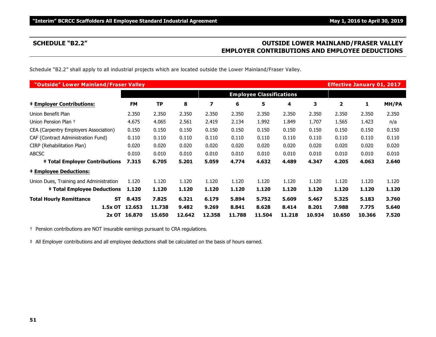### **SCHEDULE "B2.2" OUTSIDE LOWER MAINLAND/FRASER VALLEY EMPLOYER CONTRIBUTIONS AND EMPLOYEE DEDUCTIONS**

Schedule "B2.2" shall apply to all industrial projects which are located outside the Lower Mainland/Fraser Valley.

| "Outside" Lower Mainland/Fraser Valley      |              |                                 |        |        |        |        |        |        | <b>Effective January 01, 2017</b> |        |       |
|---------------------------------------------|--------------|---------------------------------|--------|--------|--------|--------|--------|--------|-----------------------------------|--------|-------|
|                                             |              | <b>Employee Classifications</b> |        |        |        |        |        |        |                                   |        |       |
| <b>‡ Employer Contributions:</b>            | <b>FM</b>    | TP                              | 8      | 7      | 6      | 5      | 4      | 3      | 2                                 | 1      | MH/PA |
| Union Benefit Plan                          | 2.350        | 2.350                           | 2.350  | 2.350  | 2.350  | 2.350  | 2.350  | 2.350  | 2.350                             | 2.350  | 2.350 |
| Union Pension Plan +                        | 4.675        | 4.065                           | 2.561  | 2.419  | 2.134  | 1.992  | 1.849  | 1.707  | 1.565                             | 1.423  | n/a   |
| CEA (Carpentry Employers Association)       | 0.150        | 0.150                           | 0.150  | 0.150  | 0.150  | 0.150  | 0.150  | 0.150  | 0.150                             | 0.150  | 0.150 |
| CAF (Contract Administration Fund)          | 0.110        | 0.110                           | 0.110  | 0.110  | 0.110  | 0.110  | 0.110  | 0.110  | 0.110                             | 0.110  | 0.110 |
| CIRP (Rehabilitation Plan)                  | 0.020        | 0.020                           | 0.020  | 0.020  | 0.020  | 0.020  | 0.020  | 0.020  | 0.020                             | 0.020  | 0.020 |
| <b>ABCSC</b>                                | 0.010        | 0.010                           | 0.010  | 0.010  | 0.010  | 0.010  | 0.010  | 0.010  | 0.010                             | 0.010  | 0.010 |
| <b>‡ Total Employer Contributions</b>       | 7.315        | 6.705                           | 5.201  | 5.059  | 4.774  | 4.632  | 4.489  | 4.347  | 4.205                             | 4.063  | 2.640 |
| <b>‡ Employee Deductions:</b>               |              |                                 |        |        |        |        |        |        |                                   |        |       |
| Union Dues, Training and Administration     | 1.120        | 1.120                           | 1.120  | 1.120  | 1.120  | 1.120  | 1.120  | 1.120  | 1.120                             | 1.120  | 1.120 |
| <b>‡ Total Employee Deductions</b>          | 1.120        | 1.120                           | 1.120  | 1.120  | 1.120  | 1.120  | 1.120  | 1.120  | 1.120                             | 1.120  | 1.120 |
| <b>Total Hourly Remittance</b><br><b>ST</b> | 8.435        | 7.825                           | 6.321  | 6.179  | 5.894  | 5.752  | 5.609  | 5.467  | 5.325                             | 5.183  | 3.760 |
| 1.5x OT                                     | 12.653       | 11.738                          | 9.482  | 9.269  | 8.841  | 8.628  | 8.414  | 8.201  | 7.988                             | 7.775  | 5.640 |
|                                             | 2x OT 16.870 | 15.650                          | 12.642 | 12.358 | 11.788 | 11.504 | 11.218 | 10.934 | 10.650                            | 10.366 | 7.520 |

† Pension contributions are NOT insurable earnings pursuant to CRA regulations.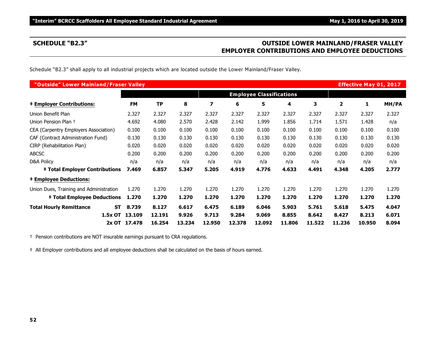### **SCHEDULE "B2.3" OUTSIDE LOWER MAINLAND/FRASER VALLEY EMPLOYER CONTRIBUTIONS AND EMPLOYEE DEDUCTIONS**

Schedule "B2.3" shall apply to all industrial projects which are located outside the Lower Mainland/Fraser Valley.

| "Outside" Lower Mainland/Fraser Valley      |              |           |        |        |        |                                 |        |        |                | <b>Effective May 01, 2017</b> |       |
|---------------------------------------------|--------------|-----------|--------|--------|--------|---------------------------------|--------|--------|----------------|-------------------------------|-------|
|                                             |              |           |        |        |        | <b>Employee Classifications</b> |        |        |                |                               |       |
| <b>‡ Employer Contributions:</b>            | <b>FM</b>    | <b>TP</b> | 8      | 7      | 6      | 5                               | 4      | 3      | $\overline{2}$ | 1                             | MH/PA |
| Union Benefit Plan                          | 2.327        | 2.327     | 2.327  | 2.327  | 2.327  | 2.327                           | 2.327  | 2.327  | 2.327          | 2.327                         | 2.327 |
| Union Pension Plan +                        | 4.692        | 4.080     | 2.570  | 2.428  | 2.142  | 1.999                           | 1.856  | 1.714  | 1.571          | 1.428                         | n/a   |
| CEA (Carpentry Employers Association)       | 0.100        | 0.100     | 0.100  | 0.100  | 0.100  | 0.100                           | 0.100  | 0.100  | 0.100          | 0.100                         | 0.100 |
| CAF (Contract Administration Fund)          | 0.130        | 0.130     | 0.130  | 0.130  | 0.130  | 0.130                           | 0.130  | 0.130  | 0.130          | 0.130                         | 0.130 |
| CIRP (Rehabilitation Plan)                  | 0.020        | 0.020     | 0.020  | 0.020  | 0.020  | 0.020                           | 0.020  | 0.020  | 0.020          | 0.020                         | 0.020 |
| <b>ABCSC</b>                                | 0.200        | 0.200     | 0.200  | 0.200  | 0.200  | 0.200                           | 0.200  | 0.200  | 0.200          | 0.200                         | 0.200 |
| D&A Policy                                  | n/a          | n/a       | n/a    | n/a    | n/a    | n/a                             | n/a    | n/a    | n/a            | n/a                           | n/a   |
| <b>‡ Total Employer Contributions</b>       | 7.469        | 6.857     | 5.347  | 5.205  | 4.919  | 4.776                           | 4.633  | 4.491  | 4.348          | 4.205                         | 2.777 |
| <b>‡ Employee Deductions:</b>               |              |           |        |        |        |                                 |        |        |                |                               |       |
| Union Dues, Training and Administration     | 1.270        | 1.270     | 1.270  | 1.270  | 1.270  | 1.270                           | 1.270  | 1.270  | 1.270          | 1.270                         | 1.270 |
| <b>‡ Total Employee Deductions</b>          | 1.270        | 1.270     | 1.270  | 1.270  | 1.270  | 1.270                           | 1.270  | 1.270  | 1.270          | 1.270                         | 1.270 |
| <b>Total Hourly Remittance</b><br><b>ST</b> | 8.739        | 8.127     | 6.617  | 6.475  | 6.189  | 6.046                           | 5.903  | 5.761  | 5.618          | 5.475                         | 4.047 |
| 1.5x OT                                     | 13.109       | 12.191    | 9.926  | 9.713  | 9.284  | 9.069                           | 8.855  | 8.642  | 8.427          | 8.213                         | 6.071 |
|                                             | 2x OT 17.478 | 16.254    | 13.234 | 12.950 | 12.378 | 12.092                          | 11.806 | 11.522 | 11.236         | 10.950                        | 8.094 |

† Pension contributions are NOT insurable earnings pursuant to CRA regulations.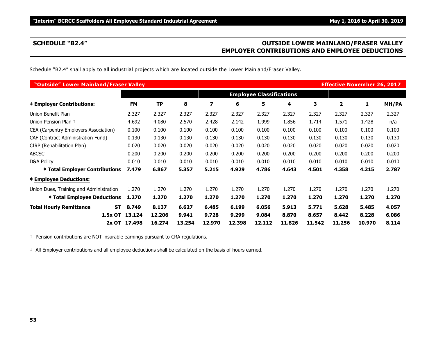### **SCHEDULE "B2.4" OUTSIDE LOWER MAINLAND/FRASER VALLEY EMPLOYER CONTRIBUTIONS AND EMPLOYEE DEDUCTIONS**

Schedule "B2.4" shall apply to all industrial projects which are located outside the Lower Mainland/Fraser Valley.

| "Outside" Lower Mainland/Fraser Valley      |              |           |        |        |        |                                 |        |        | <b>Effective November 26, 2017</b> |        |       |
|---------------------------------------------|--------------|-----------|--------|--------|--------|---------------------------------|--------|--------|------------------------------------|--------|-------|
|                                             |              |           |        |        |        | <b>Employee Classifications</b> |        |        |                                    |        |       |
| <b>‡ Employer Contributions:</b>            | <b>FM</b>    | <b>TP</b> | 8      | 7      | 6      | 5                               | 4      | 3      | $\overline{2}$                     | 1      | MH/PA |
| Union Benefit Plan                          | 2.327        | 2.327     | 2.327  | 2.327  | 2.327  | 2.327                           | 2.327  | 2.327  | 2.327                              | 2.327  | 2.327 |
| Union Pension Plan +                        | 4.692        | 4.080     | 2.570  | 2.428  | 2.142  | 1.999                           | 1.856  | 1.714  | 1.571                              | 1.428  | n/a   |
| CEA (Carpentry Employers Association)       | 0.100        | 0.100     | 0.100  | 0.100  | 0.100  | 0.100                           | 0.100  | 0.100  | 0.100                              | 0.100  | 0.100 |
| CAF (Contract Administration Fund)          | 0.130        | 0.130     | 0.130  | 0.130  | 0.130  | 0.130                           | 0.130  | 0.130  | 0.130                              | 0.130  | 0.130 |
| CIRP (Rehabilitation Plan)                  | 0.020        | 0.020     | 0.020  | 0.020  | 0.020  | 0.020                           | 0.020  | 0.020  | 0.020                              | 0.020  | 0.020 |
| <b>ABCSC</b>                                | 0.200        | 0.200     | 0.200  | 0.200  | 0.200  | 0.200                           | 0.200  | 0.200  | 0.200                              | 0.200  | 0.200 |
| D&A Policy                                  | 0.010        | 0.010     | 0.010  | 0.010  | 0.010  | 0.010                           | 0.010  | 0.010  | 0.010                              | 0.010  | 0.010 |
| <b>‡ Total Employer Contributions</b>       | 7.479        | 6.867     | 5.357  | 5.215  | 4.929  | 4.786                           | 4.643  | 4.501  | 4.358                              | 4.215  | 2.787 |
| <b>‡ Employee Deductions:</b>               |              |           |        |        |        |                                 |        |        |                                    |        |       |
| Union Dues, Training and Administration     | 1.270        | 1.270     | 1.270  | 1.270  | 1.270  | 1.270                           | 1.270  | 1.270  | 1.270                              | 1.270  | 1.270 |
| <b>‡ Total Employee Deductions</b>          | 1.270        | 1.270     | 1.270  | 1.270  | 1.270  | 1.270                           | 1.270  | 1.270  | 1.270                              | 1.270  | 1.270 |
| <b>Total Hourly Remittance</b><br><b>ST</b> | 8.749        | 8.137     | 6.627  | 6.485  | 6.199  | 6.056                           | 5.913  | 5.771  | 5.628                              | 5.485  | 4.057 |
| 1.5x OT                                     | 13.124       | 12.206    | 9.941  | 9.728  | 9.299  | 9.084                           | 8.870  | 8.657  | 8.442                              | 8.228  | 6.086 |
|                                             | 2x OT 17.498 | 16.274    | 13.254 | 12.970 | 12.398 | 12.112                          | 11.826 | 11.542 | 11.256                             | 10.970 | 8.114 |

† Pension contributions are NOT insurable earnings pursuant to CRA regulations.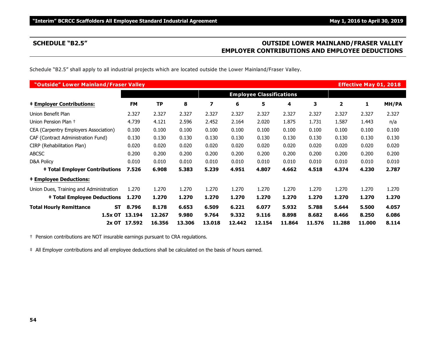### **SCHEDULE "B2.5" OUTSIDE LOWER MAINLAND/FRASER VALLEY EMPLOYER CONTRIBUTIONS AND EMPLOYEE DEDUCTIONS**

Schedule "B2.5" shall apply to all industrial projects which are located outside the Lower Mainland/Fraser Valley.

| "Outside" Lower Mainland/Fraser Valley  |           |              |           |        |        |        |        |        |        |        | <b>Effective May 01, 2018</b> |       |
|-----------------------------------------|-----------|--------------|-----------|--------|--------|--------|--------|--------|--------|--------|-------------------------------|-------|
|                                         |           |              |           |        |        |        |        |        |        |        |                               |       |
| <b>‡ Employer Contributions:</b>        |           | <b>FM</b>    | <b>TP</b> | 8      | 7      | 6      | 5      | 4      | 3      | 2      | 1                             | MH/PA |
| Union Benefit Plan                      |           | 2.327        | 2.327     | 2.327  | 2.327  | 2.327  | 2.327  | 2.327  | 2.327  | 2.327  | 2.327                         | 2.327 |
| Union Pension Plan +                    |           | 4.739        | 4.121     | 2.596  | 2.452  | 2.164  | 2.020  | 1.875  | 1.731  | 1.587  | 1.443                         | n/a   |
| CEA (Carpentry Employers Association)   |           | 0.100        | 0.100     | 0.100  | 0.100  | 0.100  | 0.100  | 0.100  | 0.100  | 0.100  | 0.100                         | 0.100 |
| CAF (Contract Administration Fund)      |           | 0.130        | 0.130     | 0.130  | 0.130  | 0.130  | 0.130  | 0.130  | 0.130  | 0.130  | 0.130                         | 0.130 |
| CIRP (Rehabilitation Plan)              |           | 0.020        | 0.020     | 0.020  | 0.020  | 0.020  | 0.020  | 0.020  | 0.020  | 0.020  | 0.020                         | 0.020 |
| <b>ABCSC</b>                            |           | 0.200        | 0.200     | 0.200  | 0.200  | 0.200  | 0.200  | 0.200  | 0.200  | 0.200  | 0.200                         | 0.200 |
| <b>D&amp;A Policy</b>                   |           | 0.010        | 0.010     | 0.010  | 0.010  | 0.010  | 0.010  | 0.010  | 0.010  | 0.010  | 0.010                         | 0.010 |
| <b>‡ Total Employer Contributions</b>   |           | 7.526        | 6.908     | 5.383  | 5.239  | 4.951  | 4.807  | 4.662  | 4.518  | 4.374  | 4.230                         | 2.787 |
| <b>‡ Employee Deductions:</b>           |           |              |           |        |        |        |        |        |        |        |                               |       |
| Union Dues, Training and Administration |           | 1.270        | 1.270     | 1.270  | 1.270  | 1.270  | 1.270  | 1.270  | 1.270  | 1.270  | 1.270                         | 1.270 |
| <b>‡ Total Employee Deductions</b>      |           | 1.270        | 1.270     | 1.270  | 1.270  | 1.270  | 1.270  | 1.270  | 1.270  | 1.270  | 1.270                         | 1.270 |
| <b>Total Hourly Remittance</b>          | <b>ST</b> | 8.796        | 8.178     | 6.653  | 6.509  | 6.221  | 6.077  | 5.932  | 5.788  | 5.644  | 5.500                         | 4.057 |
|                                         | 1.5x OT   | 13.194       | 12.267    | 9.980  | 9.764  | 9.332  | 9.116  | 8.898  | 8.682  | 8.466  | 8.250                         | 6.086 |
|                                         |           | 2x OT 17.592 | 16.356    | 13.306 | 13.018 | 12.442 | 12.154 | 11.864 | 11.576 | 11.288 | 11.000                        | 8.114 |

† Pension contributions are NOT insurable earnings pursuant to CRA regulations.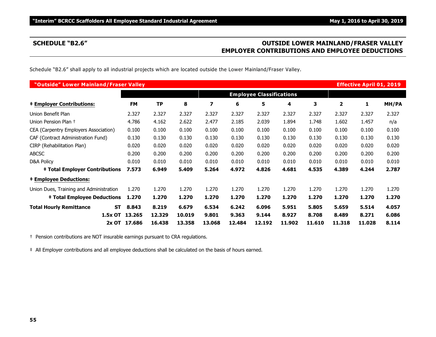### **SCHEDULE "B2.6" OUTSIDE LOWER MAINLAND/FRASER VALLEY EMPLOYER CONTRIBUTIONS AND EMPLOYEE DEDUCTIONS**

Schedule "B2.6" shall apply to all industrial projects which are located outside the Lower Mainland/Fraser Valley.

| "Outside" Lower Mainland/Fraser Valley  |           |              |                                 |        |        |        |        |        |        |        | <b>Effective April 01, 2019</b> |       |
|-----------------------------------------|-----------|--------------|---------------------------------|--------|--------|--------|--------|--------|--------|--------|---------------------------------|-------|
|                                         |           |              | <b>Employee Classifications</b> |        |        |        |        |        |        |        |                                 |       |
| <b>‡ Employer Contributions:</b>        |           | <b>FM</b>    | <b>TP</b>                       | 8      | 7      | 6      | 5      | 4      | 3      | 2      | $\mathbf{1}$                    | MH/PA |
| Union Benefit Plan                      |           | 2.327        | 2.327                           | 2.327  | 2.327  | 2.327  | 2.327  | 2.327  | 2.327  | 2.327  | 2.327                           | 2.327 |
| Union Pension Plan +                    |           | 4.786        | 4.162                           | 2.622  | 2.477  | 2.185  | 2.039  | 1.894  | 1.748  | 1.602  | 1.457                           | n/a   |
| CEA (Carpentry Employers Association)   |           | 0.100        | 0.100                           | 0.100  | 0.100  | 0.100  | 0.100  | 0.100  | 0.100  | 0.100  | 0.100                           | 0.100 |
| CAF (Contract Administration Fund)      |           | 0.130        | 0.130                           | 0.130  | 0.130  | 0.130  | 0.130  | 0.130  | 0.130  | 0.130  | 0.130                           | 0.130 |
| CIRP (Rehabilitation Plan)              |           | 0.020        | 0.020                           | 0.020  | 0.020  | 0.020  | 0.020  | 0.020  | 0.020  | 0.020  | 0.020                           | 0.020 |
| <b>ABCSC</b>                            |           | 0.200        | 0.200                           | 0.200  | 0.200  | 0.200  | 0.200  | 0.200  | 0.200  | 0.200  | 0.200                           | 0.200 |
| D&A Policy                              |           | 0.010        | 0.010                           | 0.010  | 0.010  | 0.010  | 0.010  | 0.010  | 0.010  | 0.010  | 0.010                           | 0.010 |
| <b>‡ Total Employer Contributions</b>   |           | 7.573        | 6.949                           | 5.409  | 5.264  | 4.972  | 4.826  | 4.681  | 4.535  | 4.389  | 4.244                           | 2.787 |
| <b>‡ Employee Deductions:</b>           |           |              |                                 |        |        |        |        |        |        |        |                                 |       |
| Union Dues, Training and Administration |           | 1.270        | 1.270                           | 1.270  | 1.270  | 1.270  | 1.270  | 1.270  | 1.270  | 1.270  | 1.270                           | 1.270 |
| <b>‡ Total Employee Deductions</b>      |           | 1.270        | 1.270                           | 1.270  | 1.270  | 1.270  | 1.270  | 1.270  | 1.270  | 1.270  | 1.270                           | 1.270 |
| <b>Total Hourly Remittance</b>          | <b>ST</b> | 8.843        | 8.219                           | 6.679  | 6.534  | 6.242  | 6.096  | 5.951  | 5.805  | 5.659  | 5.514                           | 4.057 |
|                                         | 1.5x OT   | 13.265       | 12,329                          | 10.019 | 9.801  | 9.363  | 9.144  | 8.927  | 8.708  | 8.489  | 8.271                           | 6.086 |
|                                         |           | 2x OT 17.686 | 16.438                          | 13.358 | 13.068 | 12.484 | 12.192 | 11.902 | 11.610 | 11.318 | 11.028                          | 8.114 |

† Pension contributions are NOT insurable earnings pursuant to CRA regulations.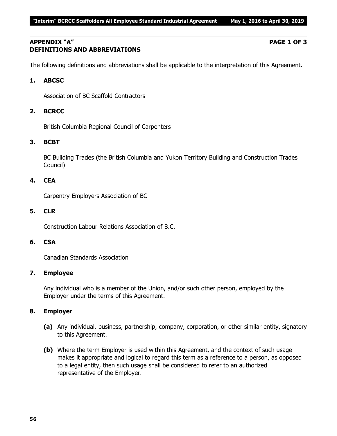### **APPENDIX "A" PAGE 1 OF 3 DEFINITIONS AND ABBREVIATIONS**

The following definitions and abbreviations shall be applicable to the interpretation of this Agreement.

### **1. ABCSC**

Association of BC Scaffold Contractors

### **2. BCRCC**

British Columbia Regional Council of Carpenters

### **3. BCBT**

BC Building Trades (the British Columbia and Yukon Territory Building and Construction Trades Council)

### **4. CEA**

Carpentry Employers Association of BC

### **5. CLR**

Construction Labour Relations Association of B.C.

### **6. CSA**

Canadian Standards Association

### **7. Employee**

Any individual who is a member of the Union, and/or such other person, employed by the Employer under the terms of this Agreement.

### **8. Employer**

- **(a)** Any individual, business, partnership, company, corporation, or other similar entity, signatory to this Agreement.
- **(b)** Where the term Employer is used within this Agreement, and the context of such usage makes it appropriate and logical to regard this term as a reference to a person, as opposed to a legal entity, then such usage shall be considered to refer to an authorized representative of the Employer.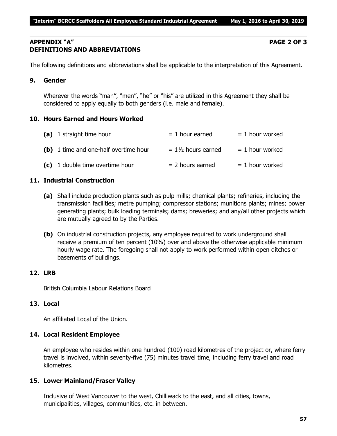### **APPENDIX "A" PAGE 2 OF 3 DEFINITIONS AND ABBREVIATIONS**

The following definitions and abbreviations shall be applicable to the interpretation of this Agreement.

### **9. Gender**

Wherever the words "man", "men", "he" or "his" are utilized in this Agreement they shall be considered to apply equally to both genders (i.e. male and female).

### **10. Hours Earned and Hours Worked**

| (a) 1 straight time hour              | $= 1$ hour earned             | $= 1$ hour worked |
|---------------------------------------|-------------------------------|-------------------|
| (b) 1 time and one-half overtime hour | $= 1\frac{1}{2}$ hours earned | $= 1$ hour worked |
| (c) 1 double time overtime hour       | $= 2$ hours earned            | $= 1$ hour worked |

### **11. Industrial Construction**

- **(a)** Shall include production plants such as pulp mills; chemical plants; refineries, including the transmission facilities; metre pumping; compressor stations; munitions plants; mines; power generating plants; bulk loading terminals; dams; breweries; and any/all other projects which are mutually agreed to by the Parties.
- **(b)** On industrial construction projects, any employee required to work underground shall receive a premium of ten percent (10%) over and above the otherwise applicable minimum hourly wage rate. The foregoing shall not apply to work performed within open ditches or basements of buildings.

### **12. LRB**

British Columbia Labour Relations Board

### **13. Local**

An affiliated Local of the Union.

### **14. Local Resident Employee**

An employee who resides within one hundred (100) road kilometres of the project or, where ferry travel is involved, within seventy-five (75) minutes travel time, including ferry travel and road kilometres.

### **15. Lower Mainland/Fraser Valley**

Inclusive of West Vancouver to the west, Chilliwack to the east, and all cities, towns, municipalities, villages, communities, etc. in between.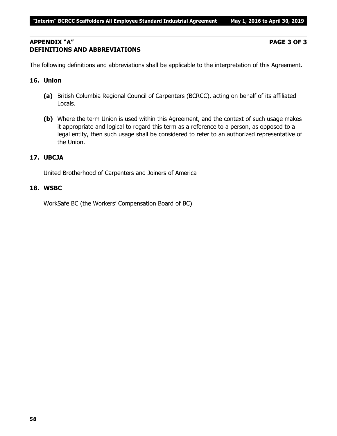### **APPENDIX "A" PAGE 3 OF 3 DEFINITIONS AND ABBREVIATIONS**

The following definitions and abbreviations shall be applicable to the interpretation of this Agreement.

### **16. Union**

- **(a)** British Columbia Regional Council of Carpenters (BCRCC), acting on behalf of its affiliated Locals.
- **(b)** Where the term Union is used within this Agreement, and the context of such usage makes it appropriate and logical to regard this term as a reference to a person, as opposed to a legal entity, then such usage shall be considered to refer to an authorized representative of the Union.

### **17. UBCJA**

United Brotherhood of Carpenters and Joiners of America

### **18. WSBC**

WorkSafe BC (the Workers' Compensation Board of BC)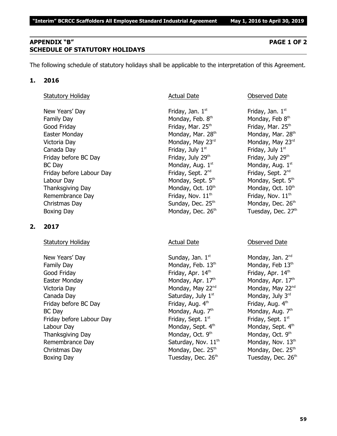### **APPENDIX "B" PAGE 1 OF 2 SCHEDULE OF STATUTORY HOLIDAYS**

The following schedule of statutory holidays shall be applicable to the interpretation of this Agreement.

### **1. 2016**

### Statutory Holiday **Actual Date Conserved Date** Observed Date

New Years' Day **Friday**, Jan. 1<sup>st</sup> Family Day **Monday, Feb. 8th** Monday, Feb. 8th Good Friday **Friday** Friday, Mar. 25<sup>th</sup> Friday, Mar. 25<sup>th</sup> Friday, Mar. 25<sup>th</sup> Easter Monday Monday, Mar. 28<sup>th</sup> Monday, Mar. 28<sup>th</sup> Monday, Mar. 28<sup>th</sup> Victoria Day **Monday, May 23<sup>rd</sup>** Monday, May 23<sup>rd</sup> Monday, May 23<sup>rd</sup> Canada Day **Friday, July 1<sup>st</sup> Senary Article** Scanada Day 1st structure of the Scanada Day Friday before BC Day  $Friday$ , July 29<sup>th</sup> Friday, July 29<sup>th</sup>  $BC$  Day Monday, Aug.  $1<sup>st</sup>$ Friday before Labour Day Friday, Sept. 2<sup>nd</sup> Labour Day Monday, Sept. 5<sup>th</sup> Monday, Sept. 5<sup>th</sup> Monday, Sept. 5<sup>th</sup> Thanksgiving Day Monday, Oct.  $10<sup>th</sup>$  Monday, Oct.  $10<sup>th</sup>$  Monday, Oct.  $10<sup>th</sup>$ Remembrance Day  $\qquad \qquad$  Friday, Nov.  $11^{\text{th}}$  Friday, Nov.  $11^{\text{th}}$ Christmas Day  $S$ unday, Dec. 25<sup>th</sup> Monday, Dec. 26<sup>th</sup> Boxing Day Monday, Dec. 26<sup>th</sup> Tuesday, Dec. 27<sup>th</sup>

### **2. 2017**

### Statutory Holiday **Actual Date** Actual Date **Conserved Date** Observed Date

New Years' Day North Sunday, Jan. 1<sup>st</sup> Monday, Jan. 2<sup>nd</sup> Monday, Jan. 2<sup>nd</sup> Family Day Monday, Feb.  $13<sup>th</sup>$  Monday, Feb  $13<sup>th</sup>$ Good Friday **Friday**, Apr. 14<sup>th</sup> Friday, Apr. 14<sup>th</sup> Friday, Apr. 14<sup>th</sup> Easter Monday **Monday, Apr. 17<sup>th</sup> Monday, Apr. 17<sup>th</sup> Monday, Apr. 17<sup>th</sup>** Victoria Day **Monday, May 22<sup>nd</sup> Monday, May 22<sup>nd</sup> Monday, May 22<sup>nd</sup> Monday, May 22<sup>nd</sup>** Canada Day Saturday, July  $1^{\text{st}}$  Monday, July  $3^{\text{rd}}$ Friday before BC Day  $Friday$ , Aug.  $4<sup>th</sup>$  Friday, Aug.  $4<sup>th</sup>$ BC Day Monday, Aug. 7<sup>th</sup> Friday before Labour Day Friday, Sept. 1<sup>st</sup> Labour Day Monday, Sept. 4<sup>th</sup> Monday, Sept. 4<sup>th</sup> Monday, Sept. 4<sup>th</sup> Thanksgiving Day Monday, Oct. 9th Remembrance Day  $Saturday$ , Nov.  $11<sup>th</sup>$  Monday, Nov.  $13<sup>th</sup>$ Christmas Day  $M$ onday, Dec. 25<sup>th</sup> Monday, Dec. 25<sup>th</sup> Monday, Dec. 25<sup>th</sup> Boxing Day **Bridge Community Community** Tuesday, Dec. 26<sup>th</sup> Tuesday, Dec. 26<sup>th</sup>

Friday, Jan.  $1<sup>st</sup>$ Monday, Feb 8th Monday, Aug. 1st Friday, Sept. 2<sup>nd</sup>

Monday, Aug.  $7<sup>th</sup>$ Friday, Sept. 1st Monday, Oct. 9th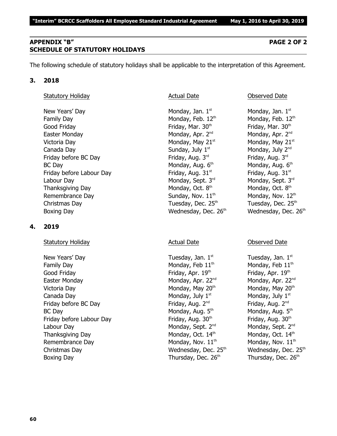Victoria Day **Monday, May 21**<sup>st</sup> Monday, May 21<sup>st</sup> Monday, May 21<sup>st</sup> Canada Day  $Sunday, July 1<sup>st</sup>$  Monday, July  $2<sup>nd</sup>$ Friday before BC Day  $\qquad \qquad$  Friday, Aug. 3<sup>rd</sup> Friday, Aug. 3<sup>rd</sup>  $BC$  Day Monday, Aug.  $6<sup>th</sup>$ Friday before Labour Day Friday, Aug. 31st striday, Aug. 31st striday, Aug. 31st Labour Day Monday, Sept. 3<sup>rd</sup> Monday, Sept. 3<sup>rd</sup> Monday, Sept. 3<sup>rd</sup> Rept. 3<sup>rd</sup> Rept. 3<sup>rd</sup> Thanksgiving Day Monday, Oct. 8<sup>th</sup> Remembrance Day  $Sunday, Nov. 11<sup>th</sup>$  Monday, Nov.  $12<sup>th</sup>$ Christmas Day  $\qquad \qquad$  Tuesday, Dec. 25<sup>th</sup>  $\qquad \qquad$  Tuesday, Dec. 25<sup>th</sup>

### **4. 2019**

Statutory Holiday **Actual Date** Actual Date **Conserved Date** Observed Date

New Years' Day  $\qquad \qquad$  Tuesday, Jan.  $1^{st}$  Tuesday, Jan.  $1^{st}$ Family Day Monday, Feb  $11<sup>th</sup>$  Monday, Feb  $11<sup>th</sup>$ Good Friday **Friday, Apr. 19th Friday, Apr. 19th 19th** Friday, Apr. 19th the three states of the three states of the three states of the three states of the three states of the three states of the three states of the three Easter Monday **Monday, Apr. 22<sup>nd</sup> Monday, Apr. 22**<sup>nd</sup> Monday, Apr. 22<sup>nd</sup> Victoria Day **Monday, May 20<sup>th</sup> Monday, May 20<sup>th</sup> Monday, May 20<sup>th</sup> Monday, May 20<sup>th</sup>** Canada Day  $\qquad \qquad \qquad \qquad$  Monday, July 1st structure  $\qquad$  Monday, July 1st Friday before BC Day Friday, Aug. 2<sup>nd</sup> Friday, Aug. 2<sup>nd</sup> Friday, Aug. 2<sup>nd</sup> Friday, Aug. 2<sup>nd</sup> BC Day Monday, Aug. 5<sup>th</sup> Friday before Labour Day Friday, Aug. 30<sup>th</sup> Friday, Aug. 30<sup>th</sup> Friday, Aug. 30<sup>th</sup> Labour Day Monday, Sept. 2<sup>nd</sup> Monday, Sept. 2<sup>nd</sup> Monday, Sept. 2<sup>nd</sup> Thanksgiving Day Monday, Oct.  $14<sup>th</sup>$  Monday, Oct.  $14<sup>th</sup>$  Monday, Oct.  $14<sup>th</sup>$ Remembrance Day  $M$ onday, Nov.  $11<sup>th</sup>$  Monday, Nov.  $11<sup>th</sup>$ Christmas Day **Mathem Christmas Day Christmas Day Christmas Day Albert Christmas Day Albert Christmas Albert Christmas Albert Christmas Mathem Christmas Albert Christmas Albert Christmas Albert Christmas Albert Christmas A** Boxing Day Thursday, Dec. 26<sup>th</sup> Thursday, Dec. 26<sup>th</sup> Thursday, Dec. 26<sup>th</sup>

**60**

### **APPENDIX "B" PAGE 2 OF 2 SCHEDULE OF STATUTORY HOLIDAYS**

The following schedule of statutory holidays shall be applicable to the interpretation of this Agreement.

### **3. 2018**

### Statutory Holiday **Actual Date Conserved Date** Observed Date

Family Day Monday, Feb.  $12<sup>th</sup>$  Monday, Feb.  $12<sup>th</sup>$ Good Friday **Friday**, Mar. 30<sup>th</sup> Friday, Mar. 30<sup>th</sup> Friday, Mar. 30<sup>th</sup> Easter Monday **Monday, Apr. 2<sup>nd</sup> Monday, Apr. 2<sup>nd</sup> Monday, Apr. 2<sup>nd</sup> Monday, Apr. 2<sup>nd</sup>** Boxing Day **Bridge Community Community** Wednesday, Dec. 26<sup>th</sup> Wednesday, Dec. 26<sup>th</sup>

New Years' Day  $\blacksquare$  Monday, Jan. 1st  $\blacksquare$  Monday, Jan. 1st structure  $\blacksquare$  Monday, Jan. 1st Monday, Aug. 6th Monday, Oct. 8th

Monday, Aug.  $5<sup>th</sup>$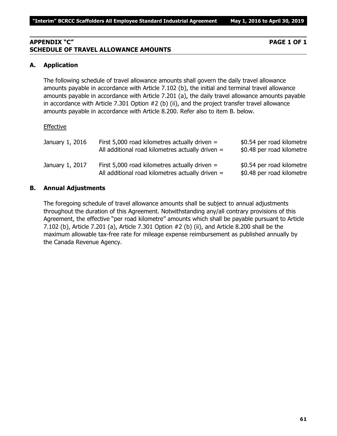### **APPENDIX "C" PAGE 1 OF 1 SCHEDULE OF TRAVEL ALLOWANCE AMOUNTS**

### **A. Application**

The following schedule of travel allowance amounts shall govern the daily travel allowance amounts payable in accordance with Article 7.102 (b), the initial and terminal travel allowance amounts payable in accordance with Article 7.201 (a), the daily travel allowance amounts payable in accordance with Article 7.301 Option #2 (b) (ii), and the project transfer travel allowance amounts payable in accordance with Article 8.200. Refer also to item B. below.

### Effective

| January 1, 2016 | First 5,000 road kilometres actually driven $=$<br>All additional road kilometres actually driven $=$ | \$0.54 per road kilometre<br>\$0.48 per road kilometre |
|-----------------|-------------------------------------------------------------------------------------------------------|--------------------------------------------------------|
| January 1, 2017 | First 5,000 road kilometres actually driven $=$<br>All additional road kilometres actually driven $=$ | \$0.54 per road kilometre<br>\$0.48 per road kilometre |

### **B. Annual Adjustments**

The foregoing schedule of travel allowance amounts shall be subject to annual adjustments throughout the duration of this Agreement. Notwithstanding any/all contrary provisions of this Agreement, the effective "per road kilometre" amounts which shall be payable pursuant to Article 7.102 (b), Article 7.201 (a), Article 7.301 Option #2 (b) (ii), and Article 8.200 shall be the maximum allowable tax-free rate for mileage expense reimbursement as published annually by the Canada Revenue Agency.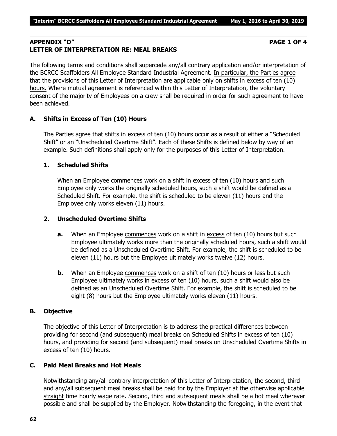### **APPENDIX "D" PAGE 1 OF 4 LETTER OF INTERPRETATION RE: MEAL BREAKS**

The following terms and conditions shall supercede any/all contrary application and/or interpretation of the BCRCC Scaffolders All Employee Standard Industrial Agreement. In particular, the Parties agree that the provisions of this Letter of Interpretation are applicable only on shifts in excess of ten (10) hours. Where mutual agreement is referenced within this Letter of Interpretation, the voluntary consent of the majority of Employees on a crew shall be required in order for such agreement to have been achieved.

### **A. Shifts in Excess of Ten (10) Hours**

The Parties agree that shifts in excess of ten (10) hours occur as a result of either a "Scheduled Shift" or an "Unscheduled Overtime Shift". Each of these Shifts is defined below by way of an example. Such definitions shall apply only for the purposes of this Letter of Interpretation.

### **1. Scheduled Shifts**

When an Employee commences work on a shift in excess of ten (10) hours and such Employee only works the originally scheduled hours, such a shift would be defined as a Scheduled Shift. For example, the shift is scheduled to be eleven (11) hours and the Employee only works eleven (11) hours.

### **2. Unscheduled Overtime Shifts**

- **a.** When an Employee commences work on a shift in excess of ten (10) hours but such Employee ultimately works more than the originally scheduled hours, such a shift would be defined as a Unscheduled Overtime Shift. For example, the shift is scheduled to be eleven (11) hours but the Employee ultimately works twelve (12) hours.
- **b.** When an Employee commences work on a shift of ten (10) hours or less but such Employee ultimately works in excess of ten (10) hours, such a shift would also be defined as an Unscheduled Overtime Shift. For example, the shift is scheduled to be eight (8) hours but the Employee ultimately works eleven (11) hours.

### **B. Objective**

The objective of this Letter of Interpretation is to address the practical differences between providing for second (and subsequent) meal breaks on Scheduled Shifts in excess of ten (10) hours, and providing for second (and subsequent) meal breaks on Unscheduled Overtime Shifts in excess of ten (10) hours.

### **C. Paid Meal Breaks and Hot Meals**

Notwithstanding any/all contrary interpretation of this Letter of Interpretation, the second, third and any/all subsequent meal breaks shall be paid for by the Employer at the otherwise applicable straight time hourly wage rate. Second, third and subsequent meals shall be a hot meal wherever possible and shall be supplied by the Employer. Notwithstanding the foregoing, in the event that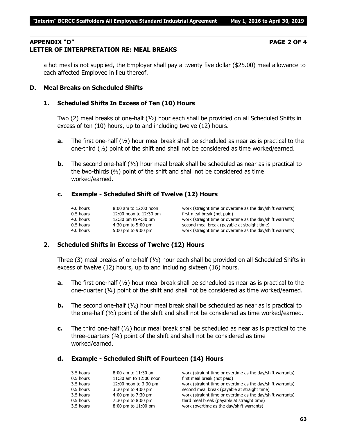### **APPENDIX "D" PAGE 2 OF 4 LETTER OF INTERPRETATION RE: MEAL BREAKS**

a hot meal is not supplied, the Employer shall pay a twenty five dollar (\$25.00) meal allowance to each affected Employee in lieu thereof.

### **D. Meal Breaks on Scheduled Shifts**

### **1. Scheduled Shifts In Excess of Ten (10) Hours**

Two (2) meal breaks of one-half (½) hour each shall be provided on all Scheduled Shifts in excess of ten (10) hours, up to and including twelve (12) hours.

- **a.** The first one-half (½) hour meal break shall be scheduled as near as is practical to the one-third  $(1/3)$  point of the shift and shall not be considered as time worked/earned.
- **b.** The second one-half ( $\frac{1}{2}$ ) hour meal break shall be scheduled as near as is practical to the two-thirds  $(2)$  point of the shift and shall not be considered as time worked/earned.

### **c. Example - Scheduled Shift of Twelve (12) Hours**

| 4.0 hours   | 8:00 am to 12:00 noon  | work (straight time or overtime as the day/shift warrants) |
|-------------|------------------------|------------------------------------------------------------|
| 0.5 hours   | 12:00 noon to 12:30 pm | first meal break (not paid)                                |
| 4.0 hours   | 12:30 pm to 4:30 pm    | work (straight time or overtime as the day/shift warrants) |
| $0.5$ hours | $4:30$ pm to 5:00 pm   | second meal break (payable at straight time)               |
| 4.0 hours   | 5:00 pm to 9:00 pm     | work (straight time or overtime as the day/shift warrants) |

### **2. Scheduled Shifts in Excess of Twelve (12) Hours**

Three (3) meal breaks of one-half ( $\frac{1}{2}$ ) hour each shall be provided on all Scheduled Shifts in excess of twelve (12) hours, up to and including sixteen (16) hours.

- **a.** The first one-half (½) hour meal break shall be scheduled as near as is practical to the one-quarter (¼) point of the shift and shall not be considered as time worked/earned.
- **b.** The second one-half ( $\frac{1}{2}$ ) hour meal break shall be scheduled as near as is practical to the one-half  $(V_2)$  point of the shift and shall not be considered as time worked/earned.
- **c.** The third one-half (½) hour meal break shall be scheduled as near as is practical to the three-quarters (¾) point of the shift and shall not be considered as time worked/earned.

### **d. Example - Scheduled Shift of Fourteen (14) Hours**

| 3.5 hours | $8:00$ am to $11:30$ am | work (straight time or overtime as the day/shift warrants) |
|-----------|-------------------------|------------------------------------------------------------|
| 0.5 hours | 11:30 am to 12:00 noon  | first meal break (not paid)                                |
| 3.5 hours | 12:00 noon to 3:30 pm   | work (straight time or overtime as the day/shift warrants) |
| 0.5 hours | $3:30$ pm to $4:00$ pm  | second meal break (payable at straight time)               |
| 3.5 hours | 4:00 pm to 7:30 pm      | work (straight time or overtime as the day/shift warrants) |
| 0.5 hours | 7:30 pm to 8:00 pm      | third meal break (payable at straight time)                |
| 3.5 hours | 8:00 pm to 11:00 pm     | work (overtime as the day/shift warrants)                  |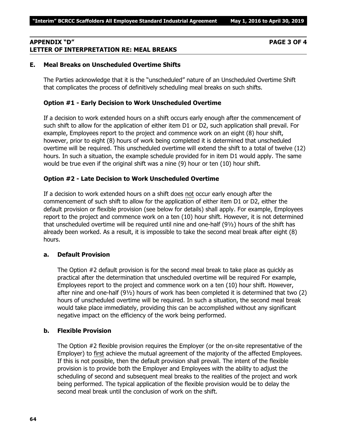### **APPENDIX "D" PAGE 3 OF 4 LETTER OF INTERPRETATION RE: MEAL BREAKS**

### **E. Meal Breaks on Unscheduled Overtime Shifts**

The Parties acknowledge that it is the "unscheduled" nature of an Unscheduled Overtime Shift that complicates the process of definitively scheduling meal breaks on such shifts.

### **Option #1 - Early Decision to Work Unscheduled Overtime**

If a decision to work extended hours on a shift occurs early enough after the commencement of such shift to allow for the application of either item D1 or D2, such application shall prevail. For example, Employees report to the project and commence work on an eight (8) hour shift, however, prior to eight (8) hours of work being completed it is determined that unscheduled overtime will be required. This unscheduled overtime will extend the shift to a total of twelve (12) hours. In such a situation, the example schedule provided for in item D1 would apply. The same would be true even if the original shift was a nine (9) hour or ten (10) hour shift.

### **Option #2 - Late Decision to Work Unscheduled Overtime**

If a decision to work extended hours on a shift does not occur early enough after the commencement of such shift to allow for the application of either item D1 or D2, either the default provision or flexible provision (see below for details) shall apply. For example, Employees report to the project and commence work on a ten (10) hour shift. However, it is not determined that unscheduled overtime will be required until nine and one-half (9½) hours of the shift has already been worked. As a result, it is impossible to take the second meal break after eight (8) hours.

### **a. Default Provision**

The Option #2 default provision is for the second meal break to take place as quickly as practical after the determination that unscheduled overtime will be required For example, Employees report to the project and commence work on a ten (10) hour shift. However, after nine and one-half (9½) hours of work has been completed it is determined that two (2) hours of unscheduled overtime will be required. In such a situation, the second meal break would take place immediately, providing this can be accomplished without any significant negative impact on the efficiency of the work being performed.

### **b. Flexible Provision**

The Option #2 flexible provision requires the Employer (or the on-site representative of the Employer) to first achieve the mutual agreement of the majority of the affected Employees. If this is not possible, then the default provision shall prevail. The intent of the flexible provision is to provide both the Employer and Employees with the ability to adjust the scheduling of second and subsequent meal breaks to the realities of the project and work being performed. The typical application of the flexible provision would be to delay the second meal break until the conclusion of work on the shift.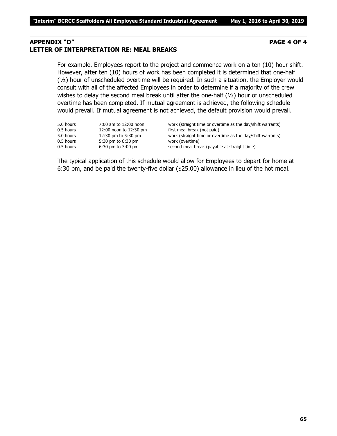### **APPENDIX "D" PAGE 4 OF 4 LETTER OF INTERPRETATION RE: MEAL BREAKS**

For example, Employees report to the project and commence work on a ten (10) hour shift. However, after ten (10) hours of work has been completed it is determined that one-half (½) hour of unscheduled overtime will be required. In such a situation, the Employer would consult with all of the affected Employees in order to determine if a majority of the crew wishes to delay the second meal break until after the one-half (1/2) hour of unscheduled overtime has been completed. If mutual agreement is achieved, the following schedule would prevail. If mutual agreement is not achieved, the default provision would prevail.

| 5.0 hours | 7:00 am to 12:00 noon  | work (straight time or overtime as the day/shift warrants) |
|-----------|------------------------|------------------------------------------------------------|
| 0.5 hours | 12:00 noon to 12:30 pm | first meal break (not paid)                                |
| 5.0 hours | 12:30 pm to 5:30 pm    | work (straight time or overtime as the day/shift warrants) |
| 0.5 hours | 5:30 pm to 6:30 pm     | work (overtime)                                            |
| 0.5 hours | $6:30$ pm to $7:00$ pm | second meal break (payable at straight time)               |
|           |                        |                                                            |

The typical application of this schedule would allow for Employees to depart for home at 6:30 pm, and be paid the twenty-five dollar (\$25.00) allowance in lieu of the hot meal.